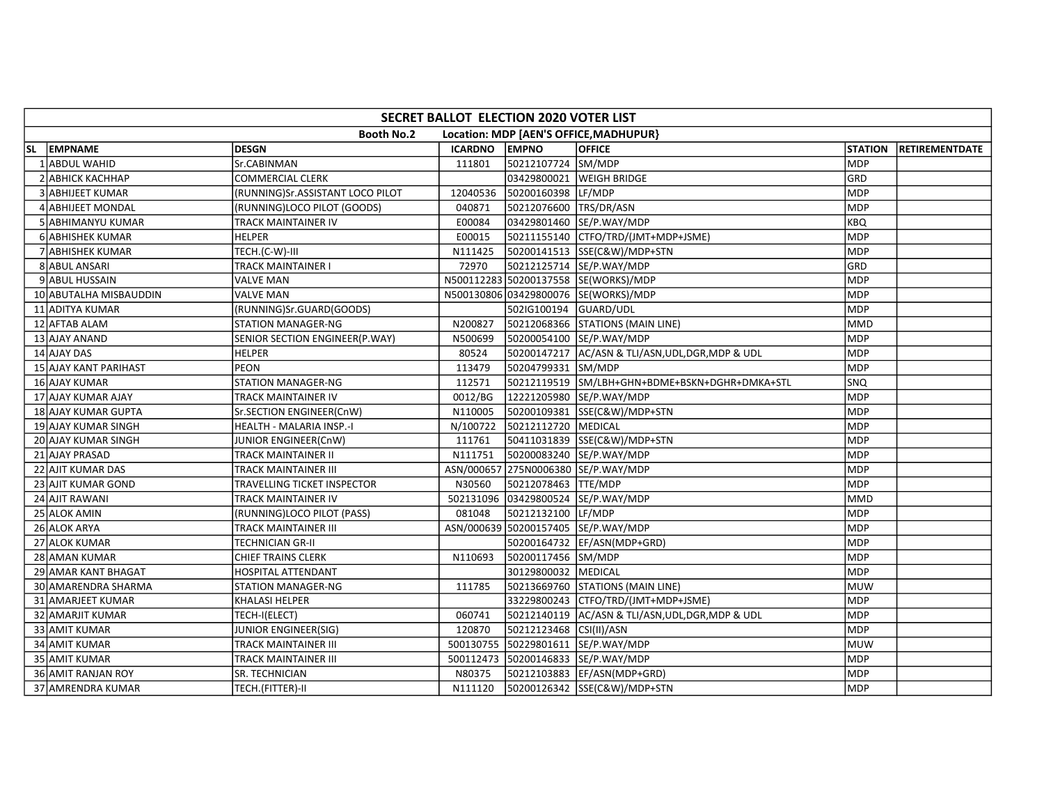|     | SECRET BALLOT ELECTION 2020 VOTER LIST |                                  |          |                         |                                                   |                |                |  |  |  |  |
|-----|----------------------------------------|----------------------------------|----------|-------------------------|---------------------------------------------------|----------------|----------------|--|--|--|--|
|     |                                        | <b>Booth No.2</b>                |          |                         | Location: MDP [AEN'S OFFICE, MADHUPUR}            |                |                |  |  |  |  |
| SL. | <b>EMPNAME</b>                         | <b>DESGN</b>                     | ICARDNO  | <b>EMPNO</b>            | <b>OFFICE</b>                                     | <b>STATION</b> | RETIREMENTDATE |  |  |  |  |
|     | <b>ABDUL WAHID</b>                     | Sr.CABINMAN                      | 111801   | 50212107724 SM/MDP      |                                                   | <b>MDP</b>     |                |  |  |  |  |
|     | 2 ABHICK KACHHAP                       | COMMERCIAL CLERK                 |          | 03429800021             | <b>WEIGH BRIDGE</b>                               | GRD            |                |  |  |  |  |
|     | 3 ABHIJEET KUMAR                       | (RUNNING)Sr.ASSISTANT LOCO PILOT | 12040536 | 50200160398             | LF/MDP                                            | <b>MDP</b>     |                |  |  |  |  |
|     | <b>4 ABHIJEET MONDAL</b>               | (RUNNING)LOCO PILOT (GOODS)      | 040871   | 50212076600 TRS/DR/ASN  |                                                   | <b>MDP</b>     |                |  |  |  |  |
|     | 5 ABHIMANYU KUMAR                      | TRACK MAINTAINER IV              | E00084   |                         | 03429801460 SE/P.WAY/MDP                          | <b>KBQ</b>     |                |  |  |  |  |
|     | <b>6 ABHISHEK KUMAR</b>                | <b>HELPER</b>                    | E00015   |                         | 50211155140 CTFO/TRD/(JMT+MDP+JSME)               | MDP            |                |  |  |  |  |
|     | 7 ABHISHEK KUMAR                       | TECH.(C-W)-III                   | N111425  |                         | 50200141513 SSE(C&W)/MDP+STN                      | MDP            |                |  |  |  |  |
|     | 8 ABUL ANSARI                          | TRACK MAINTAINER I               | 72970    |                         | 50212125714 SE/P.WAY/MDP                          | GRD            |                |  |  |  |  |
|     | 9 ABUL HUSSAIN                         | <b>VALVE MAN</b>                 |          |                         | N500112283 50200137558 SE(WORKS)/MDP              | <b>MDP</b>     |                |  |  |  |  |
|     | 10 ABUTALHA MISBAUDDIN                 | <b>VALVE MAN</b>                 |          |                         | N500130806 03429800076 SE(WORKS)/MDP              | <b>MDP</b>     |                |  |  |  |  |
|     | 11 ADITYA KUMAR                        | (RUNNING)Sr.GUARD(GOODS)         |          | 502IG100194             | GUARD/UDL                                         | <b>MDP</b>     |                |  |  |  |  |
|     | 12 AFTAB ALAM                          | <b>STATION MANAGER-NG</b>        | N200827  |                         | 50212068366 STATIONS (MAIN LINE)                  | lmmd           |                |  |  |  |  |
|     | 13 AJAY ANAND                          | SENIOR SECTION ENGINEER(P.WAY)   | N500699  |                         | 50200054100 SE/P.WAY/MDP                          | MDP            |                |  |  |  |  |
|     | 14 AJAY DAS                            | <b>HELPER</b>                    | 80524    |                         | 50200147217 AC/ASN & TLI/ASN, UDL, DGR, MDP & UDL | <b>MDP</b>     |                |  |  |  |  |
|     | <b>15 AJAY KANT PARIHAST</b>           | <b>PEON</b>                      | 113479   | 50204799331 SM/MDP      |                                                   | MDP            |                |  |  |  |  |
|     | 16 AJAY KUMAR                          | <b>STATION MANAGER-NG</b>        | 112571   |                         | 50212119519 SM/LBH+GHN+BDME+BSKN+DGHR+DMKA+STL    | <b>SNQ</b>     |                |  |  |  |  |
|     | 17 AJAY KUMAR AJAY                     | TRACK MAINTAINER IV              | 0012/BG  |                         | 12221205980 SE/P.WAY/MDP                          | <b>MDP</b>     |                |  |  |  |  |
|     | 18 AJAY KUMAR GUPTA                    | Sr.SECTION ENGINEER(CnW)         | N110005  |                         | 50200109381 SSE(C&W)/MDP+STN                      | <b>MDP</b>     |                |  |  |  |  |
|     | 19 AJAY KUMAR SINGH                    | HEALTH - MALARIA INSP.-I         | N/100722 | 50212112720 MEDICAL     |                                                   | MDP            |                |  |  |  |  |
|     | 20 AJAY KUMAR SINGH                    | JUNIOR ENGINEER(CnW)             | 111761   |                         | 50411031839 SSE(C&W)/MDP+STN                      | <b>MDP</b>     |                |  |  |  |  |
|     | 21 AJAY PRASAD                         | TRACK MAINTAINER II              | N111751  |                         | 50200083240 SE/P.WAY/MDP                          | MDP            |                |  |  |  |  |
|     | 22 AJIT KUMAR DAS                      | TRACK MAINTAINER III             |          |                         | ASN/000657 275N0006380 SE/P.WAY/MDP               | <b>MDP</b>     |                |  |  |  |  |
|     | 23 AJIT KUMAR GOND                     | TRAVELLING TICKET INSPECTOR      | N30560   | 50212078463 TTE/MDP     |                                                   | <b>MDP</b>     |                |  |  |  |  |
|     | 24 AJIT RAWANI                         | TRACK MAINTAINER IV              |          |                         | 502131096 03429800524 SE/P.WAY/MDP                | MMD            |                |  |  |  |  |
|     | 25 ALOK AMIN                           | (RUNNING)LOCO PILOT (PASS)       | 081048   | 50212132100 LF/MDP      |                                                   | <b>MDP</b>     |                |  |  |  |  |
|     | 26 ALOK ARYA                           | <b>TRACK MAINTAINER III</b>      |          |                         | ASN/000639 50200157405 SE/P.WAY/MDP               | MDP            |                |  |  |  |  |
|     | 27 ALOK KUMAR                          | <b>TECHNICIAN GR-II</b>          |          |                         | 50200164732 EF/ASN(MDP+GRD)                       | MDP            |                |  |  |  |  |
|     | 28 AMAN KUMAR                          | <b>CHIEF TRAINS CLERK</b>        | N110693  | 50200117456 SM/MDP      |                                                   | MDP            |                |  |  |  |  |
|     | 29 AMAR KANT BHAGAT                    | <b>HOSPITAL ATTENDANT</b>        |          | 30129800032             | <b>MEDICAL</b>                                    | MDP            |                |  |  |  |  |
|     | 30 AMARENDRA SHARMA                    | STATION MANAGER-NG               | 111785   |                         | 50213669760 STATIONS (MAIN LINE)                  | MUW            |                |  |  |  |  |
|     | 31 AMARJEET KUMAR                      | <b>KHALASI HELPER</b>            |          |                         | 33229800243 CTFO/TRD/(JMT+MDP+JSME)               | MDP            |                |  |  |  |  |
|     | <b>32 AMARJIT KUMAR</b>                | TECH-I(ELECT)                    | 060741   |                         | 50212140119 AC/ASN & TLI/ASN, UDL, DGR, MDP & UDL | <b>MDP</b>     |                |  |  |  |  |
|     | 33 AMIT KUMAR                          | JUNIOR ENGINEER(SIG)             | 120870   | 50212123468 CSI(II)/ASN |                                                   | <b>MDP</b>     |                |  |  |  |  |
|     | 34 AMIT KUMAR                          | <b>TRACK MAINTAINER III</b>      |          |                         | 500130755 50229801611 SE/P.WAY/MDP                | MUW            |                |  |  |  |  |
|     | <b>35 AMIT KUMAR</b>                   | <b>TRACK MAINTAINER III</b>      |          |                         | 500112473 50200146833 SE/P.WAY/MDP                | <b>MDP</b>     |                |  |  |  |  |
|     | 36 AMIT RANJAN ROY                     | SR. TECHNICIAN                   | N80375   |                         | 50212103883  EF/ASN(MDP+GRD)                      | <b>MDP</b>     |                |  |  |  |  |
|     | 37 AMRENDRA KUMAR                      | TECH.(FITTER)-II                 | N111120  |                         | 50200126342 SSE(C&W)/MDP+STN                      | MDP            |                |  |  |  |  |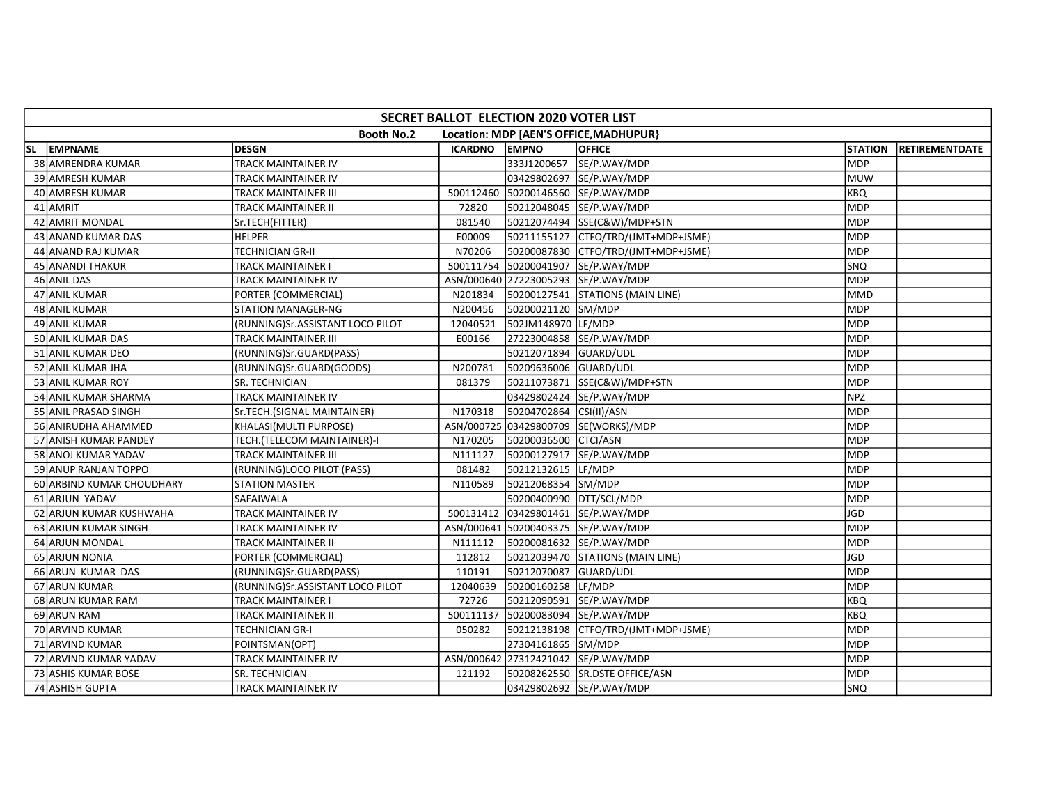|     | SECRET BALLOT ELECTION 2020 VOTER LIST |                                  |          |                         |                                        |                |                       |  |  |  |  |  |
|-----|----------------------------------------|----------------------------------|----------|-------------------------|----------------------------------------|----------------|-----------------------|--|--|--|--|--|
|     |                                        | <b>Booth No.2</b>                |          |                         | Location: MDP [AEN'S OFFICE, MADHUPUR] |                |                       |  |  |  |  |  |
| SL. | <b>EMPNAME</b>                         | <b>DESGN</b>                     | ICARDNO  | <b>EMPNO</b>            | <b>OFFICE</b>                          | <b>STATION</b> | <b>RETIREMENTDATE</b> |  |  |  |  |  |
|     | 38 AMRENDRA KUMAR                      | <b>TRACK MAINTAINER IV</b>       |          | 333J1200657             | SE/P.WAY/MDP                           | <b>MDP</b>     |                       |  |  |  |  |  |
|     | <b>39 AMRESH KUMAR</b>                 | TRACK MAINTAINER IV              |          |                         | 03429802697 SE/P.WAY/MDP               | <b>MUW</b>     |                       |  |  |  |  |  |
|     | 40 AMRESH KUMAR                        | TRACK MAINTAINER III             |          |                         | 500112460 50200146560 SE/P.WAY/MDP     | <b>KBQ</b>     |                       |  |  |  |  |  |
|     | 41 AMRIT                               | TRACK MAINTAINER II              | 72820    |                         | 50212048045 SE/P.WAY/MDP               | <b>MDP</b>     |                       |  |  |  |  |  |
|     | 42 AMRIT MONDAL                        | Sr.TECH(FITTER)                  | 081540   |                         | 50212074494 SSE(C&W)/MDP+STN           | <b>MDP</b>     |                       |  |  |  |  |  |
|     | 43 ANAND KUMAR DAS                     | <b>HELPER</b>                    | E00009   |                         | 50211155127 CTFO/TRD/(JMT+MDP+JSME)    | MDP            |                       |  |  |  |  |  |
|     | 44 ANAND RAJ KUMAR                     | <b>TECHNICIAN GR-II</b>          | N70206   |                         | 50200087830 CTFO/TRD/(JMT+MDP+JSME)    | <b>MDP</b>     |                       |  |  |  |  |  |
|     | 45 ANANDI THAKUR                       | <b>TRACK MAINTAINER I</b>        |          |                         | 500111754 50200041907 SE/P.WAY/MDP     | SNQ            |                       |  |  |  |  |  |
|     | 46 ANIL DAS                            | TRACK MAINTAINER IV              |          |                         | ASN/000640 27223005293 SE/P.WAY/MDP    | <b>MDP</b>     |                       |  |  |  |  |  |
|     | 47 ANIL KUMAR                          | PORTER (COMMERCIAL)              | N201834  |                         | 50200127541 STATIONS (MAIN LINE)       | <b>MMD</b>     |                       |  |  |  |  |  |
|     | <b>48 ANIL KUMAR</b>                   | <b>STATION MANAGER-NG</b>        | N200456  | 50200021120 SM/MDP      |                                        | MDP            |                       |  |  |  |  |  |
|     | 49 ANIL KUMAR                          | (RUNNING)Sr.ASSISTANT LOCO PILOT | 12040521 | 502JM148970 LF/MDP      |                                        | <b>MDP</b>     |                       |  |  |  |  |  |
|     | 50 ANIL KUMAR DAS                      | TRACK MAINTAINER III             | E00166   |                         | 27223004858 SE/P.WAY/MDP               | Імрр           |                       |  |  |  |  |  |
|     | 51 ANIL KUMAR DEO                      | (RUNNING)Sr.GUARD(PASS)          |          | 50212071894 GUARD/UDL   |                                        | <b>MDP</b>     |                       |  |  |  |  |  |
|     | 52 ANIL KUMAR JHA                      | (RUNNING)Sr.GUARD(GOODS)         | N200781  | 50209636006 GUARD/UDL   |                                        | MDP            |                       |  |  |  |  |  |
|     | 53 ANIL KUMAR ROY                      | SR. TECHNICIAN                   | 081379   |                         | 50211073871 SSE(C&W)/MDP+STN           | <b>MDP</b>     |                       |  |  |  |  |  |
|     | 54 ANIL KUMAR SHARMA                   | TRACK MAINTAINER IV              |          |                         | 03429802424 SE/P.WAY/MDP               | NPZ            |                       |  |  |  |  |  |
|     | 55 ANIL PRASAD SINGH                   | Sr.TECH.(SIGNAL MAINTAINER)      | N170318  | 50204702864 CSI(II)/ASN |                                        | <b>MDP</b>     |                       |  |  |  |  |  |
|     | 56 ANIRUDHA AHAMMED                    | KHALASI(MULTI PURPOSE)           |          |                         | ASN/000725 03429800709 SE(WORKS)/MDP   | <b>MDP</b>     |                       |  |  |  |  |  |
|     | 57 ANISH KUMAR PANDEY                  | TECH.(TELECOM MAINTAINER)-I      | N170205  | 50200036500 CTCI/ASN    |                                        | MDP            |                       |  |  |  |  |  |
|     | 58 ANOJ KUMAR YADAV                    | TRACK MAINTAINER III             | N111127  | 50200127917             | SE/P.WAY/MDP                           | MDP            |                       |  |  |  |  |  |
|     | 59 ANUP RANJAN TOPPO                   | (RUNNING)LOCO PILOT (PASS)       | 081482   | 50212132615             | LF/MDP                                 | <b>MDP</b>     |                       |  |  |  |  |  |
|     | 60 ARBIND KUMAR CHOUDHARY              | <b>STATION MASTER</b>            | N110589  | 50212068354 SM/MDP      |                                        | <b>MDP</b>     |                       |  |  |  |  |  |
|     | 61 ARJUN YADAV                         | SAFAIWALA                        |          | 50200400990 DTT/SCL/MDP |                                        | <b>MDP</b>     |                       |  |  |  |  |  |
|     | 62 ARJUN KUMAR KUSHWAHA                | TRACK MAINTAINER IV              |          |                         | 500131412 03429801461 SE/P.WAY/MDP     | <b>JGD</b>     |                       |  |  |  |  |  |
|     | 63 ARJUN KUMAR SINGH                   | TRACK MAINTAINER IV              |          |                         | ASN/000641 50200403375 SE/P.WAY/MDP    | MDP            |                       |  |  |  |  |  |
|     | 64 ARJUN MONDAL                        | TRACK MAINTAINER II              | N111112  |                         | 50200081632 SE/P.WAY/MDP               | MDP            |                       |  |  |  |  |  |
|     | 65 ARJUN NONIA                         | PORTER (COMMERCIAL)              | 112812   |                         | 50212039470 STATIONS (MAIN LINE)       | <b>JGD</b>     |                       |  |  |  |  |  |
|     | 66 ARUN KUMAR DAS                      | (RUNNING)Sr.GUARD(PASS)          | 110191   | 50212070087 GUARD/UDL   |                                        | <b>MDP</b>     |                       |  |  |  |  |  |
|     | 67 ARUN KUMAR                          | (RUNNING)Sr.ASSISTANT LOCO PILOT | 12040639 | 50200160258 LF/MDP      |                                        | <b>MDP</b>     |                       |  |  |  |  |  |
|     | 68 ARUN KUMAR RAM                      | TRACK MAINTAINER I               | 72726    |                         | 50212090591 SE/P.WAY/MDP               | <b>KBQ</b>     |                       |  |  |  |  |  |
|     | 69 ARUN RAM                            | TRACK MAINTAINER II              |          |                         | 500111137 50200083094 SE/P.WAY/MDP     | <b>KBQ</b>     |                       |  |  |  |  |  |
|     | 70 ARVIND KUMAR                        | <b>TECHNICIAN GR-I</b>           | 050282   |                         | 50212138198 CTFO/TRD/(JMT+MDP+JSME)    | MDP            |                       |  |  |  |  |  |
|     | 71 ARVIND KUMAR                        | POINTSMAN(OPT)                   |          | 27304161865 SM/MDP      |                                        | <b>MDP</b>     |                       |  |  |  |  |  |
|     | 72 ARVIND KUMAR YADAV                  | TRACK MAINTAINER IV              |          |                         | ASN/000642 27312421042 SE/P.WAY/MDP    | MDP            |                       |  |  |  |  |  |
|     | 73 ASHIS KUMAR BOSE                    | SR. TECHNICIAN                   | 121192   |                         | 50208262550 SR.DSTE OFFICE/ASN         | <b>MDP</b>     |                       |  |  |  |  |  |
|     | 74 ASHISH GUPTA                        | TRACK MAINTAINER IV              |          |                         | 03429802692 SE/P.WAY/MDP               | <b>SNQ</b>     |                       |  |  |  |  |  |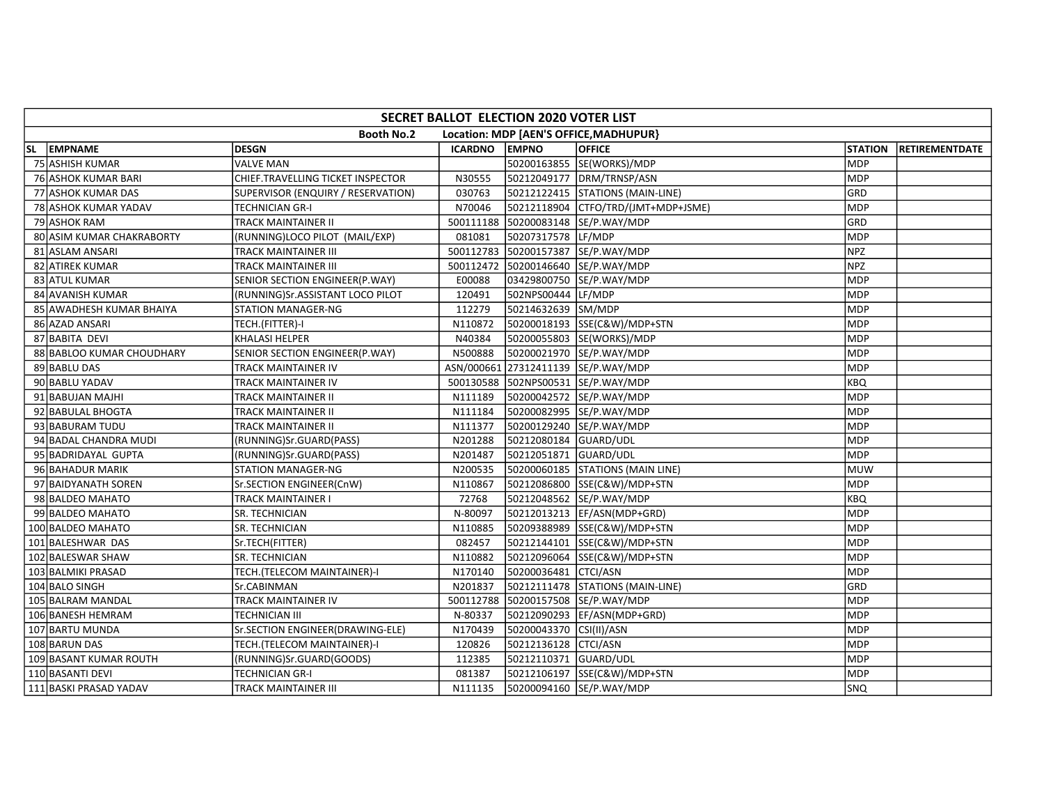|     | SECRET BALLOT ELECTION 2020 VOTER LIST |                                    |                |                         |                                        |                |                |  |  |  |  |
|-----|----------------------------------------|------------------------------------|----------------|-------------------------|----------------------------------------|----------------|----------------|--|--|--|--|
|     |                                        | <b>Booth No.2</b>                  |                |                         | Location: MDP [AEN'S OFFICE, MADHUPUR} |                |                |  |  |  |  |
| SL. | <b>EMPNAME</b>                         | <b>DESGN</b>                       | <b>ICARDNO</b> | <b>EMPNO</b>            | <b>OFFICE</b>                          | <b>STATION</b> | RETIREMENTDATE |  |  |  |  |
|     | 75 ASHISH KUMAR                        | <b>VALVE MAN</b>                   |                |                         | 50200163855 SE(WORKS)/MDP              | <b>MDP</b>     |                |  |  |  |  |
|     | <b>76 ASHOK KUMAR BARI</b>             | CHIEF.TRAVELLING TICKET INSPECTOR  | N30555         |                         | 50212049177 DRM/TRNSP/ASN              | <b>MDP</b>     |                |  |  |  |  |
|     | 77 ASHOK KUMAR DAS                     | SUPERVISOR (ENQUIRY / RESERVATION) | 030763         |                         | 50212122415 STATIONS (MAIN-LINE)       | GRD            |                |  |  |  |  |
|     | 78 ASHOK KUMAR YADAV                   | TECHNICIAN GR-I                    | N70046         |                         |                                        | MDP            |                |  |  |  |  |
|     | 79 ASHOK RAM                           | TRACK MAINTAINER II                |                |                         | 500111188 50200083148 SE/P.WAY/MDP     | GRD            |                |  |  |  |  |
|     | 80 ASIM KUMAR CHAKRABORTY              | (RUNNING)LOCO PILOT (MAIL/EXP)     | 081081         | 50207317578 LF/MDP      |                                        | <b>MDP</b>     |                |  |  |  |  |
|     | 81 ASLAM ANSARI                        | <b>TRACK MAINTAINER III</b>        |                |                         | 500112783 50200157387 SE/P.WAY/MDP     | <b>NPZ</b>     |                |  |  |  |  |
|     | 82 ATIREK KUMAR                        | TRACK MAINTAINER III               |                |                         | 500112472 50200146640 SE/P.WAY/MDP     | <b>NPZ</b>     |                |  |  |  |  |
|     | 83 ATUL KUMAR                          | SENIOR SECTION ENGINEER(P.WAY)     | E00088         |                         | 03429800750 SE/P.WAY/MDP               | <b>MDP</b>     |                |  |  |  |  |
|     | 84 AVANISH KUMAR                       | (RUNNING)Sr.ASSISTANT LOCO PILOT   | 120491         | 502NPS00444 LF/MDP      |                                        | <b>MDP</b>     |                |  |  |  |  |
|     | 85 AWADHESH KUMAR BHAIYA               | <b>STATION MANAGER-NG</b>          | 112279         | 50214632639 SM/MDP      |                                        | <b>MDP</b>     |                |  |  |  |  |
|     | 86 AZAD ANSARI                         | TECH.(FITTER)-I                    | N110872        |                         | 50200018193 SSE(C&W)/MDP+STN           | <b>MDP</b>     |                |  |  |  |  |
|     | 87 BABITA DEVI                         | <b>KHALASI HELPER</b>              | N40384         |                         | 50200055803 SE(WORKS)/MDP              | <b>MDP</b>     |                |  |  |  |  |
|     | 88 BABLOO KUMAR CHOUDHARY              | SENIOR SECTION ENGINEER(P.WAY)     | N500888        |                         | 50200021970 SE/P.WAY/MDP               | <b>MDP</b>     |                |  |  |  |  |
|     | 89 BABLU DAS                           | TRACK MAINTAINER IV                |                |                         | ASN/000661 27312411139 SE/P.WAY/MDP    | <b>MDP</b>     |                |  |  |  |  |
|     | 90 BABLU YADAV                         | TRACK MAINTAINER IV                |                |                         | 500130588 502NPS00531 SE/P.WAY/MDP     | KBQ            |                |  |  |  |  |
|     | 91 BABUJAN MAJHI                       | TRACK MAINTAINER II                | N111189        |                         | 50200042572 SE/P.WAY/MDP               | <b>MDP</b>     |                |  |  |  |  |
|     | 92 BABULAL BHOGTA                      | TRACK MAINTAINER II                | N111184        |                         | 50200082995 SE/P.WAY/MDP               | MDP            |                |  |  |  |  |
|     | 93 BABURAM TUDU                        | TRACK MAINTAINER II                | N111377        |                         | 50200129240 SE/P.WAY/MDP               | <b>MDP</b>     |                |  |  |  |  |
|     | 94 BADAL CHANDRA MUDI                  | (RUNNING)Sr.GUARD(PASS)            | N201288        | 50212080184 GUARD/UDL   |                                        | <b>MDP</b>     |                |  |  |  |  |
|     | 95 BADRIDAYAL GUPTA                    | (RUNNING)Sr.GUARD(PASS)            | N201487        | 50212051871             | GUARD/UDL                              | MDP            |                |  |  |  |  |
|     | 96 BAHADUR MARIK                       | STATION MANAGER-NG                 | N200535        |                         | 50200060185 STATIONS (MAIN LINE)       | <b>MUW</b>     |                |  |  |  |  |
|     | 97 BAIDYANATH SOREN                    | Sr.SECTION ENGINEER(CnW)           | N110867        |                         | 50212086800 SSE(C&W)/MDP+STN           | <b>MDP</b>     |                |  |  |  |  |
|     | 98 BALDEO MAHATO                       | TRACK MAINTAINER I                 | 72768          |                         | 50212048562 SE/P.WAY/MDP               | <b>KBQ</b>     |                |  |  |  |  |
|     | 99 BALDEO MAHATO                       | SR. TECHNICIAN                     | N-80097        |                         | 50212013213  EF/ASN(MDP+GRD)           | <b>MDP</b>     |                |  |  |  |  |
|     | 100 BALDEO MAHATO                      | <b>SR. TECHNICIAN</b>              | N110885        |                         | 50209388989 SSE(C&W)/MDP+STN           | <b>MDP</b>     |                |  |  |  |  |
|     | 101 BALESHWAR DAS                      | Sr.TECH(FITTER)                    | 082457         |                         | 50212144101 SSE(C&W)/MDP+STN           | <b>MDP</b>     |                |  |  |  |  |
|     | 102 BALESWAR SHAW                      | SR. TECHNICIAN                     | N110882        |                         | 50212096064 SSE(C&W)/MDP+STN           | MDP            |                |  |  |  |  |
|     | 103 BALMIKI PRASAD                     | TECH.(TELECOM MAINTAINER)-I        | N170140        | 50200036481 CTCI/ASN    |                                        | <b>MDP</b>     |                |  |  |  |  |
|     | 104 BALO SINGH                         | Sr.CABINMAN                        | N201837        |                         | 50212111478 STATIONS (MAIN-LINE)       | GRD            |                |  |  |  |  |
|     | 105 BALRAM MANDAL                      | TRACK MAINTAINER IV                |                |                         | 500112788 50200157508 SE/P.WAY/MDP     | <b>MDP</b>     |                |  |  |  |  |
|     | 106 BANESH HEMRAM                      | TECHNICIAN III                     | N-80337        |                         | 50212090293 EF/ASN(MDP+GRD)            | MDP            |                |  |  |  |  |
|     | 107 BARTU MUNDA                        | Sr.SECTION ENGINEER(DRAWING-ELE)   | N170439        | 50200043370 CSI(II)/ASN |                                        | <b>MDP</b>     |                |  |  |  |  |
|     | 108 BARUN DAS                          | TECH.(TELECOM MAINTAINER)-I        | 120826         | 50212136128 CTCI/ASN    |                                        | <b>MDP</b>     |                |  |  |  |  |
|     | 109 BASANT KUMAR ROUTH                 | (RUNNING)Sr.GUARD(GOODS)           | 112385         | 50212110371 GUARD/UDL   |                                        | MDP            |                |  |  |  |  |
|     | 110 BASANTI DEVI                       | TECHNICIAN GR-I                    | 081387         |                         | 50212106197 SSE(C&W)/MDP+STN           | <b>MDP</b>     |                |  |  |  |  |
|     | 111 BASKI PRASAD YADAV                 | TRACK MAINTAINER III               | N111135        |                         | 50200094160 SE/P.WAY/MDP               | <b>SNQ</b>     |                |  |  |  |  |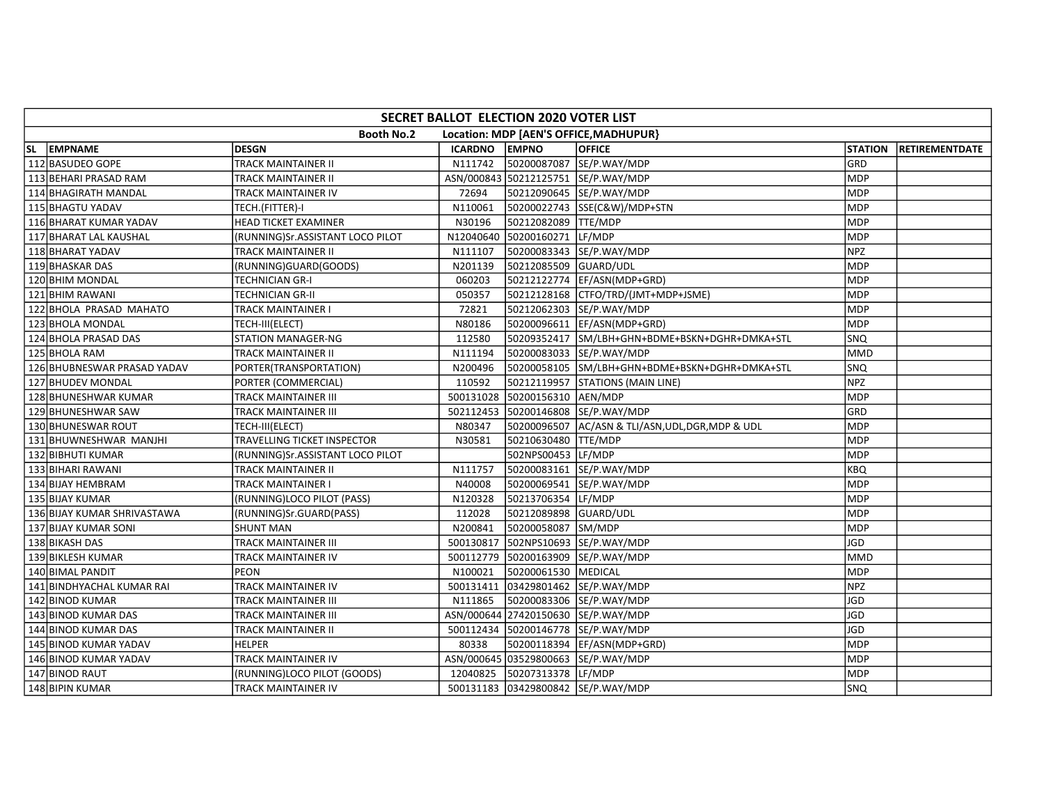| SECRET BALLOT ELECTION 2020 VOTER LIST |                                  |               |                               |                                                   |                |                       |  |  |  |  |
|----------------------------------------|----------------------------------|---------------|-------------------------------|---------------------------------------------------|----------------|-----------------------|--|--|--|--|
|                                        | <b>Booth No.2</b>                |               |                               | Location: MDP [AEN'S OFFICE, MADHUPUR]            |                |                       |  |  |  |  |
| SL EMPNAME                             | <b>DESGN</b>                     | ICARDNO EMPNO |                               | <b>OFFICE</b>                                     | <b>STATION</b> | <b>RETIREMENTDATE</b> |  |  |  |  |
| 112 BASUDEO GOPE                       | TRACK MAINTAINER II              | N111742       |                               | 50200087087 SE/P.WAY/MDP                          | GRD            |                       |  |  |  |  |
| 113 BEHARI PRASAD RAM                  | TRACK MAINTAINER II              |               |                               | ASN/000843 50212125751 SE/P.WAY/MDP               | <b>MDP</b>     |                       |  |  |  |  |
| 114 BHAGIRATH MANDAL                   | TRACK MAINTAINER IV              | 72694         |                               | 50212090645 SE/P.WAY/MDP                          | <b>MDP</b>     |                       |  |  |  |  |
| 115 BHAGTU YADAV                       | TECH.(FITTER)-I                  | N110061       |                               | 50200022743 SSE(C&W)/MDP+STN                      | <b>MDP</b>     |                       |  |  |  |  |
| 116 BHARAT KUMAR YADAV                 | <b>HEAD TICKET EXAMINER</b>      | N30196        | 50212082089 TTE/MDP           |                                                   | <b>MDP</b>     |                       |  |  |  |  |
| 117 BHARAT LAL KAUSHAL                 | (RUNNING)Sr.ASSISTANT LOCO PILOT |               | N12040640 50200160271 LF/MDP  |                                                   | <b>MDP</b>     |                       |  |  |  |  |
| 118 BHARAT YADAV                       | TRACK MAINTAINER II              | N111107       |                               | 50200083343 SE/P.WAY/MDP                          | <b>NPZ</b>     |                       |  |  |  |  |
| 119 BHASKAR DAS                        | (RUNNING)GUARD(GOODS)            | N201139       | 50212085509 GUARD/UDL         |                                                   | <b>MDP</b>     |                       |  |  |  |  |
| 120 BHIM MONDAL                        | TECHNICIAN GR-I                  | 060203        |                               | 50212122774 EF/ASN(MDP+GRD)                       | <b>MDP</b>     |                       |  |  |  |  |
| 121 BHIM RAWANI                        | TECHNICIAN GR-II                 | 050357        |                               | 50212128168 CTFO/TRD/(JMT+MDP+JSME)               | <b>MDP</b>     |                       |  |  |  |  |
| 122 BHOLA PRASAD MAHATO                | TRACK MAINTAINER I               | 72821         |                               | 50212062303 SE/P.WAY/MDP                          | <b>MDP</b>     |                       |  |  |  |  |
| 123 BHOLA MONDAL                       | TECH-III(ELECT)                  | N80186        |                               | 50200096611  EF/ASN(MDP+GRD)                      | <b>MDP</b>     |                       |  |  |  |  |
| 124 BHOLA PRASAD DAS                   | <b>STATION MANAGER-NG</b>        | 112580        |                               | 50209352417 SM/LBH+GHN+BDME+BSKN+DGHR+DMKA+STL    | SNQ            |                       |  |  |  |  |
| 125 BHOLA RAM                          | TRACK MAINTAINER II              | N111194       |                               | 50200083033 SE/P.WAY/MDP                          | <b>MMD</b>     |                       |  |  |  |  |
| 126 BHUBNESWAR PRASAD YADAV            | PORTER(TRANSPORTATION)           | N200496       |                               | 50200058105 SM/LBH+GHN+BDME+BSKN+DGHR+DMKA+STL    | SNQ            |                       |  |  |  |  |
| 127 BHUDEV MONDAL                      | PORTER (COMMERCIAL)              | 110592        |                               | 50212119957 STATIONS (MAIN LINE)                  | <b>NPZ</b>     |                       |  |  |  |  |
| 128 BHUNESHWAR KUMAR                   | TRACK MAINTAINER III             |               | 500131028 50200156310 AEN/MDP |                                                   | <b>MDP</b>     |                       |  |  |  |  |
| 129 BHUNESHWAR SAW                     | TRACK MAINTAINER III             |               |                               | 502112453 50200146808 SE/P.WAY/MDP                | GRD            |                       |  |  |  |  |
| 130 BHUNESWAR ROUT                     | TECH-III(ELECT)                  | N80347        |                               | 50200096507 AC/ASN & TLI/ASN, UDL, DGR, MDP & UDL | <b>MDP</b>     |                       |  |  |  |  |
| 131 BHUWNESHWAR MANJHI                 | TRAVELLING TICKET INSPECTOR      | N30581        | 50210630480 TTE/MDP           |                                                   | <b>MDP</b>     |                       |  |  |  |  |
| 132 BIBHUTI KUMAR                      | (RUNNING)Sr.ASSISTANT LOCO PILOT |               | 502NPS00453 LF/MDP            |                                                   | <b>MDP</b>     |                       |  |  |  |  |
| 133 BIHARI RAWANI                      | TRACK MAINTAINER II              | N111757       |                               | 50200083161 SE/P.WAY/MDP                          | <b>KBQ</b>     |                       |  |  |  |  |
| 134 BIJAY HEMBRAM                      | TRACK MAINTAINER I               | N40008        |                               | 50200069541 SE/P.WAY/MDP                          | <b>MDP</b>     |                       |  |  |  |  |
| 135 BIJAY KUMAR                        | (RUNNING)LOCO PILOT (PASS)       | N120328       | 50213706354 LF/MDP            |                                                   | <b>MDP</b>     |                       |  |  |  |  |
| 136 BIJAY KUMAR SHRIVASTAWA            | (RUNNING)Sr.GUARD(PASS)          | 112028        | 50212089898 GUARD/UDL         |                                                   | <b>MDP</b>     |                       |  |  |  |  |
| 137 BIJAY KUMAR SONI                   | <b>SHUNT MAN</b>                 | N200841       | 50200058087 SM/MDP            |                                                   | <b>MDP</b>     |                       |  |  |  |  |
| 138 BIKASH DAS                         | TRACK MAINTAINER III             |               |                               | 500130817 502NPS10693 SE/P.WAY/MDP                | <b>JGD</b>     |                       |  |  |  |  |
| 139 BIKLESH KUMAR                      | TRACK MAINTAINER IV              |               |                               | 500112779 50200163909 SE/P.WAY/MDP                | <b>MMD</b>     |                       |  |  |  |  |
| 140 BIMAL PANDIT                       | PEON                             | N100021       | 50200061530 MEDICAL           |                                                   | <b>MDP</b>     |                       |  |  |  |  |
| 141 BINDHYACHAL KUMAR RAI              | TRACK MAINTAINER IV              |               |                               | 500131411 03429801462 SE/P.WAY/MDP                | <b>NPZ</b>     |                       |  |  |  |  |
| 142 BINOD KUMAR                        | TRACK MAINTAINER III             | N111865       |                               | 50200083306 SE/P.WAY/MDP                          | <b>JGD</b>     |                       |  |  |  |  |
| 143 BINOD KUMAR DAS                    | TRACK MAINTAINER III             |               |                               | ASN/000644 27420150630 SE/P.WAY/MDP               | <b>JGD</b>     |                       |  |  |  |  |
| 144 BINOD KUMAR DAS                    | TRACK MAINTAINER II              |               |                               | 500112434 50200146778 SE/P.WAY/MDP                | <b>JGD</b>     |                       |  |  |  |  |
| 145 BINOD KUMAR YADAV                  | <b>HELPER</b>                    | 80338         |                               | 50200118394   EF/ASN(MDP+GRD)                     | <b>MDP</b>     |                       |  |  |  |  |
| 146 BINOD KUMAR YADAV                  | TRACK MAINTAINER IV              |               |                               | ASN/000645 03529800663 SE/P.WAY/MDP               | <b>MDP</b>     |                       |  |  |  |  |
| 147 BINOD RAUT                         | (RUNNING)LOCO PILOT (GOODS)      | 12040825      | 50207313378 LF/MDP            |                                                   | <b>MDP</b>     |                       |  |  |  |  |
| 148 BIPIN KUMAR                        | TRACK MAINTAINER IV              |               |                               | 500131183 03429800842 SE/P.WAY/MDP                | <b>SNQ</b>     |                       |  |  |  |  |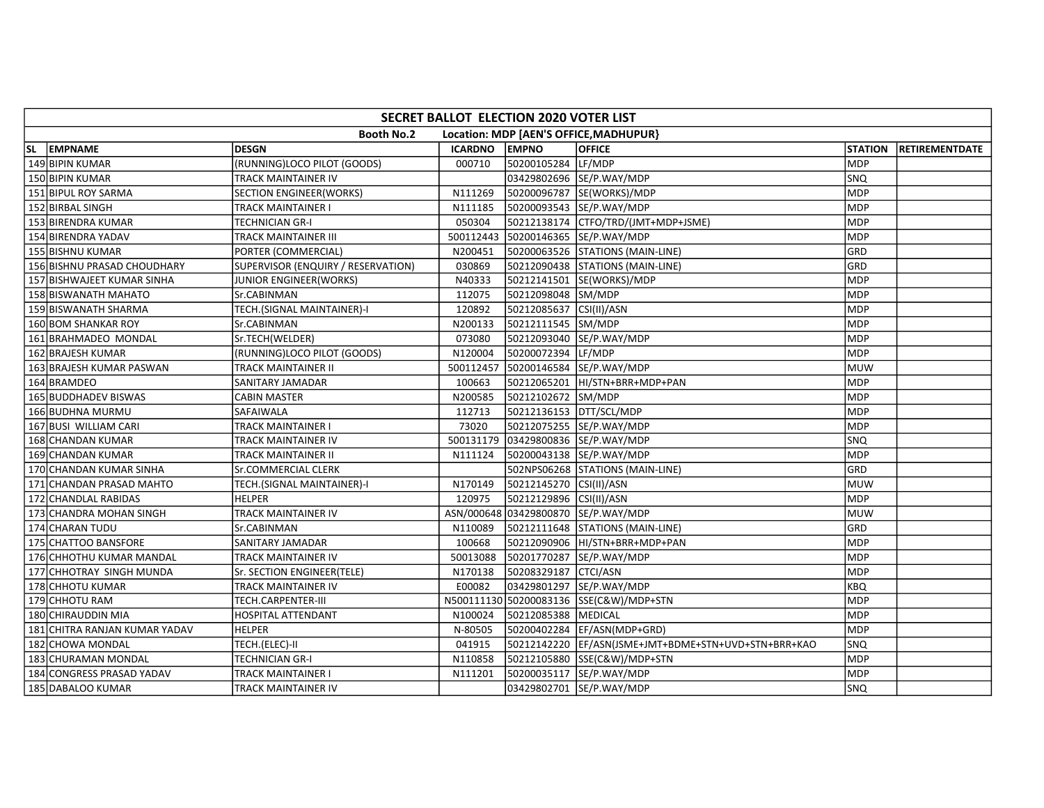| SECRET BALLOT ELECTION 2020 VOTER LIST |                                    |           |                         |                                         |                |                |  |  |  |  |  |
|----------------------------------------|------------------------------------|-----------|-------------------------|-----------------------------------------|----------------|----------------|--|--|--|--|--|
|                                        | <b>Booth No.2</b>                  |           |                         | Location: MDP [AEN'S OFFICE, MADHUPUR}  |                |                |  |  |  |  |  |
| SL EMPNAME                             | <b>DESGN</b>                       | ICARDNO   | <b>EMPNO</b>            | <b>OFFICE</b>                           | <b>STATION</b> | RETIREMENTDATE |  |  |  |  |  |
| 149 BIPIN KUMAR                        | (RUNNING)LOCO PILOT (GOODS)        | 000710    | 50200105284 LF/MDP      |                                         | <b>MDP</b>     |                |  |  |  |  |  |
| 150 BIPIN KUMAR                        | TRACK MAINTAINER IV                |           |                         | 03429802696 SE/P.WAY/MDP                | SNQ            |                |  |  |  |  |  |
| 151 BIPUL ROY SARMA                    | <b>SECTION ENGINEER(WORKS)</b>     | N111269   |                         | 50200096787 SE(WORKS)/MDP               | MDP            |                |  |  |  |  |  |
| 152 BIRBAL SINGH                       | TRACK MAINTAINER I                 | N111185   |                         | 50200093543 SE/P.WAY/MDP                | <b>MDP</b>     |                |  |  |  |  |  |
| 153 BIRENDRA KUMAR                     | <b>TECHNICIAN GR-I</b>             | 050304    |                         | 50212138174 CTFO/TRD/(JMT+MDP+JSME)     | MDP            |                |  |  |  |  |  |
| 154 BIRENDRA YADAV                     | TRACK MAINTAINER III               |           |                         | 500112443 50200146365 SE/P.WAY/MDP      | <b>MDP</b>     |                |  |  |  |  |  |
| 155 BISHNU KUMAR                       | PORTER (COMMERCIAL)                | N200451   |                         | 50200063526 STATIONS (MAIN-LINE)        | GRD            |                |  |  |  |  |  |
| 156 BISHNU PRASAD CHOUDHARY            | SUPERVISOR (ENQUIRY / RESERVATION) | 030869    |                         | 50212090438 STATIONS (MAIN-LINE)        | GRD            |                |  |  |  |  |  |
| 157 BISHWAJEET KUMAR SINHA             | JUNIOR ENGINEER(WORKS)             | N40333    |                         | 50212141501  SE(WORKS)/MDP              | <b>MDP</b>     |                |  |  |  |  |  |
| <b>158 BISWANATH MAHATO</b>            | Sr.CABINMAN                        | 112075    | 50212098048 SM/MDP      |                                         | <b>MDP</b>     |                |  |  |  |  |  |
| 159 BISWANATH SHARMA                   | TECH.(SIGNAL MAINTAINER)-I         | 120892    | 50212085637 CSI(II)/ASN |                                         | MDP            |                |  |  |  |  |  |
| 160 BOM SHANKAR ROY                    | Sr.CABINMAN                        | N200133   | 50212111545 SM/MDP      |                                         | <b>MDP</b>     |                |  |  |  |  |  |
| 161 BRAHMADEO MONDAL                   | Sr.TECH(WELDER)                    | 073080    |                         | 50212093040 SE/P.WAY/MDP                | <b>MDP</b>     |                |  |  |  |  |  |
| 162 BRAJESH KUMAR                      | (RUNNING)LOCO PILOT (GOODS)        | N120004   | 50200072394 LF/MDP      |                                         | <b>MDP</b>     |                |  |  |  |  |  |
| 163 BRAJESH KUMAR PASWAN               | TRACK MAINTAINER II                | 500112457 |                         | 50200146584 SE/P.WAY/MDP                | <b>MUW</b>     |                |  |  |  |  |  |
| 164 BRAMDEO                            | SANITARY JAMADAR                   | 100663    |                         | 50212065201 HI/STN+BRR+MDP+PAN          | <b>MDP</b>     |                |  |  |  |  |  |
| 165 BUDDHADEV BISWAS                   | <b>CABIN MASTER</b>                | N200585   | 50212102672 SM/MDP      |                                         | <b>MDP</b>     |                |  |  |  |  |  |
| 166 BUDHNA MURMU                       | SAFAIWALA                          | 112713    |                         | 50212136153 DTT/SCL/MDP                 | <b>MDP</b>     |                |  |  |  |  |  |
| 167 BUSI WILLIAM CARI                  | TRACK MAINTAINER I                 | 73020     |                         | 50212075255 SE/P.WAY/MDP                | <b>MDP</b>     |                |  |  |  |  |  |
| 168 CHANDAN KUMAR                      | TRACK MAINTAINER IV                |           |                         | 500131179 03429800836 SE/P.WAY/MDP      | <b>SNQ</b>     |                |  |  |  |  |  |
| <b>169 CHANDAN KUMAR</b>               | <b>TRACK MAINTAINER II</b>         | N111124   |                         | 50200043138 SE/P.WAY/MDP                | MDP            |                |  |  |  |  |  |
| 170 CHANDAN KUMAR SINHA                | Sr.COMMERCIAL CLERK                |           |                         | 502NPS06268 STATIONS (MAIN-LINE)        | GRD            |                |  |  |  |  |  |
| 171 CHANDAN PRASAD MAHTO               | TECH.(SIGNAL MAINTAINER)-I         | N170149   | 50212145270 CSI(II)/ASN |                                         | <b>MUW</b>     |                |  |  |  |  |  |
| 172 CHANDLAL RABIDAS                   | <b>HELPER</b>                      | 120975    | 50212129896 CSI(II)/ASN |                                         | MDP            |                |  |  |  |  |  |
| 173 CHANDRA MOHAN SINGH                | TRACK MAINTAINER IV                |           |                         | ASN/000648 03429800870 SE/P.WAY/MDP     | <b>MUW</b>     |                |  |  |  |  |  |
| 174 CHARAN TUDU                        | Sr.CABINMAN                        | N110089   |                         | 50212111648 STATIONS (MAIN-LINE)        | GRD            |                |  |  |  |  |  |
| 175 CHATTOO BANSFORE                   | SANITARY JAMADAR                   | 100668    |                         | 50212090906 HI/STN+BRR+MDP+PAN          | <b>MDP</b>     |                |  |  |  |  |  |
| 176 CHHOTHU KUMAR MANDAL               | TRACK MAINTAINER IV                | 50013088  |                         | 50201770287 SE/P.WAY/MDP                | MDP            |                |  |  |  |  |  |
| 177 CHHOTRAY SINGH MUNDA               | Sr. SECTION ENGINEER(TELE)         | N170138   | 50208329187 CTCI/ASN    |                                         | <b>MDP</b>     |                |  |  |  |  |  |
| 178 CHHOTU KUMAR                       | TRACK MAINTAINER IV                | E00082    |                         | 03429801297 SE/P.WAY/MDP                | KBQ            |                |  |  |  |  |  |
| 179 CHHOTU RAM                         | TECH.CARPENTER-III                 |           |                         | N500111130 50200083136 SSE(C&W)/MDP+STN | MDP            |                |  |  |  |  |  |
| 180 CHIRAUDDIN MIA                     | HOSPITAL ATTENDANT                 | N100024   | 50212085388 MEDICAL     |                                         | <b>MDP</b>     |                |  |  |  |  |  |
| 181 CHITRA RANJAN KUMAR YADAV          | <b>HELPER</b>                      | N-80505   |                         | 50200402284 EF/ASN(MDP+GRD)             | <b>MDP</b>     |                |  |  |  |  |  |
| 182 CHOWA MONDAL                       | TECH.(ELEC)-II                     | 041915    |                         |                                         | SNQ            |                |  |  |  |  |  |
| 183 CHURAMAN MONDAL                    | TECHNICIAN GR-I                    | N110858   |                         | 50212105880 SSE(C&W)/MDP+STN            | MDP            |                |  |  |  |  |  |
| 184 CONGRESS PRASAD YADAV              | TRACK MAINTAINER I                 | N111201   |                         | 50200035117 SE/P.WAY/MDP                | <b>MDP</b>     |                |  |  |  |  |  |
| 185 DABALOO KUMAR                      | TRACK MAINTAINER IV                |           |                         | 03429802701 SE/P.WAY/MDP                | SNO            |                |  |  |  |  |  |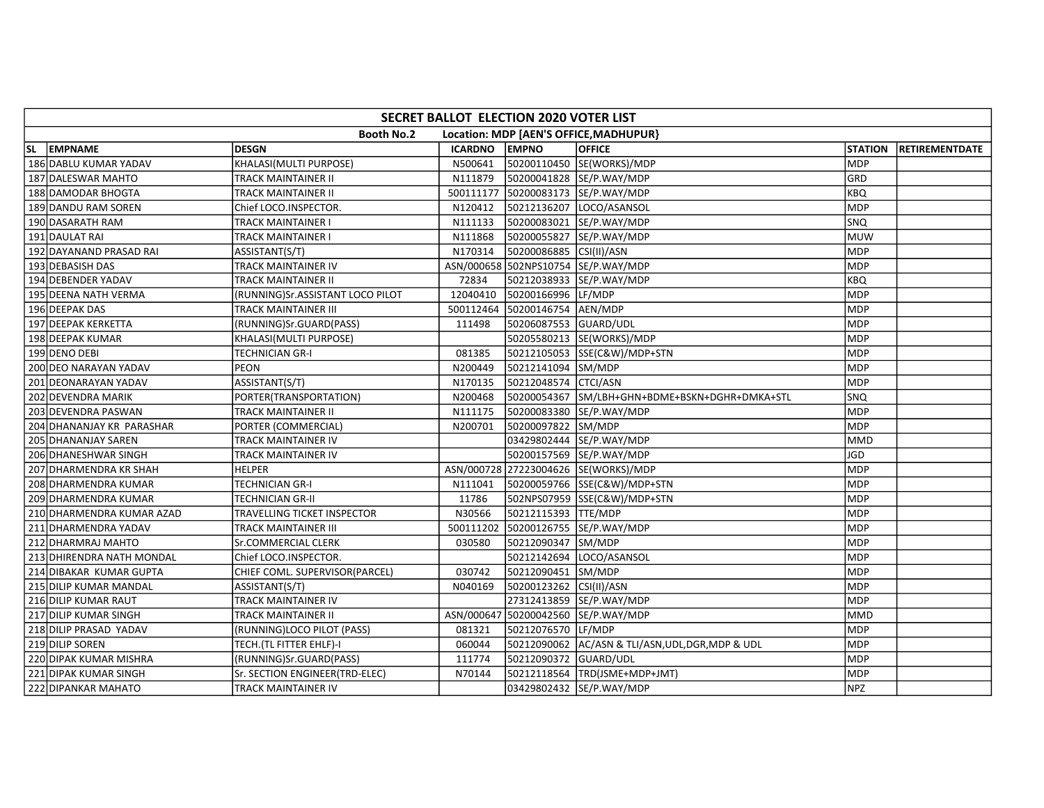| SECRET BALLOT ELECTION 2020 VOTER LIST |                                  |          |                               |                                                   |                |                       |  |  |  |  |
|----------------------------------------|----------------------------------|----------|-------------------------------|---------------------------------------------------|----------------|-----------------------|--|--|--|--|
|                                        | <b>Booth No.2</b>                |          |                               | Location: MDP [AEN'S OFFICE, MADHUPUR]            |                |                       |  |  |  |  |
| SL EMPNAME                             | <b>DESGN</b>                     | ICARDNO  | <b>EMPNO</b>                  | <b>OFFICE</b>                                     | <b>STATION</b> | <b>RETIREMENTDATE</b> |  |  |  |  |
| 186 DABLU KUMAR YADAV                  | KHALASI(MULTI PURPOSE)           | N500641  |                               | 50200110450 SE(WORKS)/MDP                         | <b>MDP</b>     |                       |  |  |  |  |
| 187 DALESWAR MAHTO                     | TRACK MAINTAINER II              | N111879  |                               | 50200041828 SE/P.WAY/MDP                          | GRD            |                       |  |  |  |  |
| 188 DAMODAR BHOGTA                     | TRACK MAINTAINER II              |          |                               | 500111177 50200083173 SE/P.WAY/MDP                | <b>KBQ</b>     |                       |  |  |  |  |
| 189 DANDU RAM SOREN                    | Chief LOCO.INSPECTOR.            | N120412  |                               | 50212136207 LOCO/ASANSOL                          | <b>MDP</b>     |                       |  |  |  |  |
| 190 DASARATH RAM                       | TRACK MAINTAINER I               | N111133  |                               | 50200083021 SE/P.WAY/MDP                          | <b>SNQ</b>     |                       |  |  |  |  |
| 191 DAULAT RAI                         | TRACK MAINTAINER I               | N111868  |                               | 50200055827 SE/P.WAY/MDP                          | <b>MUW</b>     |                       |  |  |  |  |
| 192 DAYANAND PRASAD RAI                | ASSISTANT(S/T)                   | N170314  | 50200086885 CSI(II)/ASN       |                                                   | <b>MDP</b>     |                       |  |  |  |  |
| 193 DEBASISH DAS                       | TRACK MAINTAINER IV              |          |                               | ASN/000658 502NPS10754 SE/P.WAY/MDP               | <b>MDP</b>     |                       |  |  |  |  |
| 194 DEBENDER YADAV                     | TRACK MAINTAINER II              | 72834    |                               | 50212038933 SE/P.WAY/MDP                          | <b>KBQ</b>     |                       |  |  |  |  |
| 195 DEENA NATH VERMA                   | (RUNNING)Sr.ASSISTANT LOCO PILOT | 12040410 | 50200166996 LF/MDP            |                                                   | <b>MDP</b>     |                       |  |  |  |  |
| 196 DEEPAK DAS                         | TRACK MAINTAINER III             |          | 500112464 50200146754 AEN/MDP |                                                   | <b>MDP</b>     |                       |  |  |  |  |
| 197 DEEPAK KERKETTA                    | (RUNNING)Sr.GUARD(PASS)          | 111498   | 50206087553 GUARD/UDL         |                                                   | <b>MDP</b>     |                       |  |  |  |  |
| 198 DEEPAK KUMAR                       | KHALASI(MULTI PURPOSE)           |          |                               | 50205580213 SE(WORKS)/MDP                         | <b>MDP</b>     |                       |  |  |  |  |
| 199 DENO DEBI                          | <b>TECHNICIAN GR-I</b>           | 081385   |                               | 50212105053 SSE(C&W)/MDP+STN                      | <b>MDP</b>     |                       |  |  |  |  |
| 200 DEO NARAYAN YADAV                  | <b>PEON</b>                      | N200449  | 50212141094 SM/MDP            |                                                   | <b>MDP</b>     |                       |  |  |  |  |
| 201 DEONARAYAN YADAV                   | ASSISTANT(S/T)                   | N170135  | 50212048574 CTCI/ASN          |                                                   | MDP            |                       |  |  |  |  |
| 202 DEVENDRA MARIK                     | PORTER(TRANSPORTATION)           | N200468  |                               | 50200054367 SM/LBH+GHN+BDME+BSKN+DGHR+DMKA+STL    | SNQ            |                       |  |  |  |  |
| 203 DEVENDRA PASWAN                    | TRACK MAINTAINER II              | N111175  |                               | 50200083380 SE/P.WAY/MDP                          | <b>MDP</b>     |                       |  |  |  |  |
| 204 DHANANJAY KR PARASHAR              | PORTER (COMMERCIAL)              | N200701  | 50200097822 SM/MDP            |                                                   | MDP            |                       |  |  |  |  |
| 205 DHANANJAY SAREN                    | TRACK MAINTAINER IV              |          |                               | 03429802444 SE/P.WAY/MDP                          | <b>MMD</b>     |                       |  |  |  |  |
| 206 DHANESHWAR SINGH                   | TRACK MAINTAINER IV              |          |                               | 50200157569 SE/P.WAY/MDP                          | <b>JGD</b>     |                       |  |  |  |  |
| 207 DHARMENDRA KR SHAH                 | <b>HELPER</b>                    |          |                               | ASN/000728 27223004626 SE(WORKS)/MDP              | <b>MDP</b>     |                       |  |  |  |  |
| 208 DHARMENDRA KUMAR                   | TECHNICIAN GR-I                  | N111041  |                               | 50200059766  SSE(C&W)/MDP+STN                     | <b>MDP</b>     |                       |  |  |  |  |
| 209 DHARMENDRA KUMAR                   | TECHNICIAN GR-II                 | 11786    |                               | 502NPS07959 SSE(C&W)/MDP+STN                      | <b>MDP</b>     |                       |  |  |  |  |
| 210 DHARMENDRA KUMAR AZAD              | TRAVELLING TICKET INSPECTOR      | N30566   | 50212115393 TTE/MDP           |                                                   | <b>MDP</b>     |                       |  |  |  |  |
| 211 DHARMENDRA YADAV                   | TRACK MAINTAINER III             |          |                               | 500111202 50200126755 SE/P.WAY/MDP                | <b>MDP</b>     |                       |  |  |  |  |
| 212 DHARMRAJ MAHTO                     | <b>Sr.COMMERCIAL CLERK</b>       | 030580   | 50212090347 SM/MDP            |                                                   | <b>MDP</b>     |                       |  |  |  |  |
| 213 DHIRENDRA NATH MONDAL              | Chief LOCO.INSPECTOR.            |          |                               | 50212142694 LOCO/ASANSOL                          | MDP            |                       |  |  |  |  |
| 214 DIBAKAR KUMAR GUPTA                | CHIEF COML. SUPERVISOR(PARCEL)   | 030742   | 50212090451 SM/MDP            |                                                   | <b>MDP</b>     |                       |  |  |  |  |
| 215 DILIP KUMAR MANDAL                 | ASSISTANT(S/T)                   | N040169  | 50200123262 CSI(II)/ASN       |                                                   | <b>MDP</b>     |                       |  |  |  |  |
| 216 DILIP KUMAR RAUT                   | TRACK MAINTAINER IV              |          |                               | 27312413859 SE/P.WAY/MDP                          | MDP            |                       |  |  |  |  |
| 217 DILIP KUMAR SINGH                  | <b>TRACK MAINTAINER II</b>       |          |                               | ASN/000647 50200042560 SE/P.WAY/MDP               | <b>MMD</b>     |                       |  |  |  |  |
| 218 DILIP PRASAD YADAV                 | (RUNNING)LOCO PILOT (PASS)       | 081321   | 50212076570 LF/MDP            |                                                   | <b>MDP</b>     |                       |  |  |  |  |
| 219 DILIP SOREN                        | TECH. (TL FITTER EHLF)-I         | 060044   |                               | 50212090062 AC/ASN & TLI/ASN, UDL, DGR, MDP & UDL | MDP            |                       |  |  |  |  |
| 220 DIPAK KUMAR MISHRA                 | (RUNNING)Sr.GUARD(PASS)          | 111774   | 50212090372 GUARD/UDL         |                                                   | <b>MDP</b>     |                       |  |  |  |  |
| 221 DIPAK KUMAR SINGH                  | Sr. SECTION ENGINEER(TRD-ELEC)   | N70144   |                               | 50212118564  TRD(JSME+MDP+JMT)                    | <b>MDP</b>     |                       |  |  |  |  |
| 222 DIPANKAR MAHATO                    | TRACK MAINTAINER IV              |          |                               | 03429802432 SE/P.WAY/MDP                          | <b>INPZ</b>    |                       |  |  |  |  |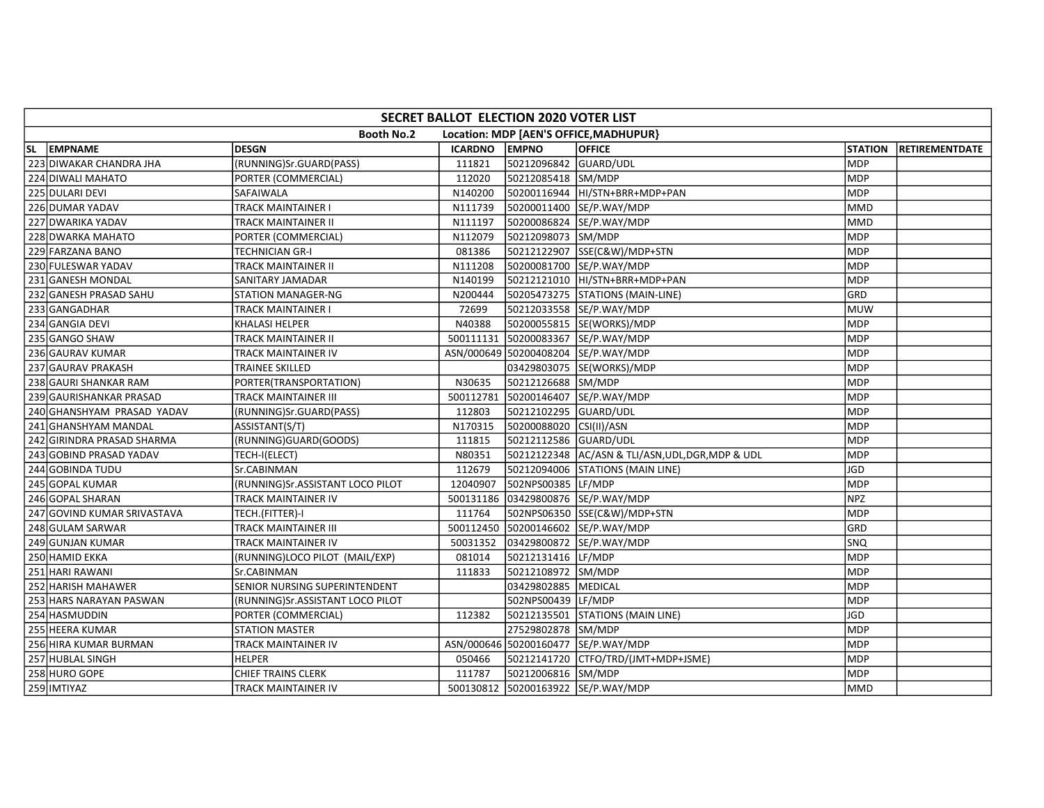| SECRET BALLOT ELECTION 2020 VOTER LIST |                                  |                |                         |                                                |                |                |  |  |  |  |
|----------------------------------------|----------------------------------|----------------|-------------------------|------------------------------------------------|----------------|----------------|--|--|--|--|
|                                        | <b>Booth No.2</b>                |                |                         | Location: MDP [AEN'S OFFICE, MADHUPUR}         |                |                |  |  |  |  |
| SL EMPNAME                             | <b>DESGN</b>                     | <b>ICARDNO</b> | <b>EMPNO</b>            | <b>OFFICE</b>                                  | <b>STATION</b> | RETIREMENTDATE |  |  |  |  |
| 223 DIWAKAR CHANDRA JHA                | (RUNNING)Sr.GUARD(PASS)          | 111821         | 50212096842 GUARD/UDL   |                                                | <b>MDP</b>     |                |  |  |  |  |
| 224 DIWALI MAHATO                      | PORTER (COMMERCIAL)              | 112020         | 50212085418  SM/MDP     |                                                | <b>MDP</b>     |                |  |  |  |  |
| 225 DULARI DEVI                        | SAFAIWALA                        | N140200        |                         | 50200116944  HI/STN+BRR+MDP+PAN                | MDP            |                |  |  |  |  |
| 226 DUMAR YADAV                        | TRACK MAINTAINER I               | N111739        |                         | 50200011400 SE/P.WAY/MDP                       | MMD            |                |  |  |  |  |
| 227 DWARIKA YADAV                      | TRACK MAINTAINER II              | N111197        |                         | 50200086824 SE/P.WAY/MDP                       | <b>MMD</b>     |                |  |  |  |  |
| 228 DWARKA MAHATO                      | PORTER (COMMERCIAL)              | N112079        | 50212098073 SM/MDP      |                                                | <b>MDP</b>     |                |  |  |  |  |
| 229 FARZANA BANO                       | <b>TECHNICIAN GR-I</b>           | 081386         |                         | 50212122907 SSE(C&W)/MDP+STN                   | <b>MDP</b>     |                |  |  |  |  |
| 230 FULESWAR YADAV                     | TRACK MAINTAINER II              | N111208        |                         | 50200081700 SE/P.WAY/MDP                       | MDP            |                |  |  |  |  |
| 231 GANESH MONDAL                      | SANITARY JAMADAR                 | N140199        |                         | 50212121010 HI/STN+BRR+MDP+PAN                 | <b>MDP</b>     |                |  |  |  |  |
| 232 GANESH PRASAD SAHU                 | STATION MANAGER-NG               | N200444        |                         | 50205473275 STATIONS (MAIN-LINE)               | GRD            |                |  |  |  |  |
| 233 GANGADHAR                          | TRACK MAINTAINER I               | 72699          |                         | 50212033558 SE/P.WAY/MDP                       | MUW            |                |  |  |  |  |
| 234 GANGIA DEVI                        | <b>KHALASI HELPER</b>            | N40388         |                         | 50200055815 SE(WORKS)/MDP                      | <b>MDP</b>     |                |  |  |  |  |
| 235 GANGO SHAW                         | TRACK MAINTAINER II              |                |                         | 500111131 50200083367 SE/P.WAY/MDP             | <b>MDP</b>     |                |  |  |  |  |
| 236 GAURAV KUMAR                       | TRACK MAINTAINER IV              |                |                         | ASN/000649 50200408204 SE/P.WAY/MDP            | <b>MDP</b>     |                |  |  |  |  |
| 237 GAURAV PRAKASH                     | TRAINEE SKILLED                  |                |                         | 03429803075 SE(WORKS)/MDP                      | <b>MDP</b>     |                |  |  |  |  |
| 238 GAURI SHANKAR RAM                  | PORTER(TRANSPORTATION)           | N30635         | 50212126688 SM/MDP      |                                                | <b>MDP</b>     |                |  |  |  |  |
| 239 GAURISHANKAR PRASAD                | TRACK MAINTAINER III             |                |                         | 500112781 50200146407 SE/P.WAY/MDP             | <b>MDP</b>     |                |  |  |  |  |
| 240 GHANSHYAM PRASAD YADAV             | (RUNNING)Sr.GUARD(PASS)          | 112803         | 50212102295 GUARD/UDL   |                                                | <b>MDP</b>     |                |  |  |  |  |
| 241 GHANSHYAM MANDAL                   | ASSISTANT(S/T)                   | N170315        | 50200088020 CSI(II)/ASN |                                                | <b>MDP</b>     |                |  |  |  |  |
| 242 GIRINDRA PRASAD SHARMA             | (RUNNING)GUARD(GOODS)            | 111815         | 50212112586 GUARD/UDL   |                                                | MDP            |                |  |  |  |  |
| 243 GOBIND PRASAD YADAV                | TECH-I(ELECT)                    | N80351         |                         | 50212122348 AC/ASN & TLI/ASN,UDL,DGR,MDP & UDL | MDP            |                |  |  |  |  |
| 244 GOBINDA TUDU                       | Sr.CABINMAN                      | 112679         |                         | 50212094006 STATIONS (MAIN LINE)               | <b>JGD</b>     |                |  |  |  |  |
| 245 GOPAL KUMAR                        | (RUNNING)Sr.ASSISTANT LOCO PILOT | 12040907       | 502NPS00385 LE/MDP      |                                                | MDP            |                |  |  |  |  |
| 246 GOPAL SHARAN                       | TRACK MAINTAINER IV              |                |                         | 500131186 03429800876 SE/P.WAY/MDP             | <b>NPZ</b>     |                |  |  |  |  |
| 247 GOVIND KUMAR SRIVASTAVA            | TECH.(FITTER)-I                  | 111764         |                         | 502NPS06350 SSE(C&W)/MDP+STN                   | <b>MDP</b>     |                |  |  |  |  |
| 248 GULAM SARWAR                       | TRACK MAINTAINER III             |                |                         | 500112450 50200146602 SE/P.WAY/MDP             | GRD            |                |  |  |  |  |
| 249 GUNJAN KUMAR                       | TRACK MAINTAINER IV              | 50031352       |                         | 03429800872 SE/P.WAY/MDP                       | SNQ            |                |  |  |  |  |
| 250 HAMID EKKA                         | (RUNNING)LOCO PILOT (MAIL/EXP)   | 081014         | 50212131416 LF/MDP      |                                                | MDP            |                |  |  |  |  |
| 251 HARI RAWANI                        | Sr.CABINMAN                      | 111833         | 50212108972 SM/MDP      |                                                | <b>MDP</b>     |                |  |  |  |  |
| 252 HARISH MAHAWER                     | SENIOR NURSING SUPERINTENDENT    |                | 03429802885   MEDICAL   |                                                | <b>MDP</b>     |                |  |  |  |  |
| 253 HARS NARAYAN PASWAN                | (RUNNING)Sr.ASSISTANT LOCO PILOT |                | 502NPS00439 LF/MDP      |                                                | MDP            |                |  |  |  |  |
| 254 HASMUDDIN                          | PORTER (COMMERCIAL)              | 112382         |                         | 50212135501 STATIONS (MAIN LINE)               | JGD            |                |  |  |  |  |
| 255 HEERA KUMAR                        | <b>STATION MASTER</b>            |                | 27529802878 SM/MDP      |                                                | <b>MDP</b>     |                |  |  |  |  |
| 256 HIRA KUMAR BURMAN                  | TRACK MAINTAINER IV              |                |                         | ASN/000646 50200160477 SE/P.WAY/MDP            | <b>MDP</b>     |                |  |  |  |  |
| 257 HUBLAL SINGH                       | <b>HELPER</b>                    | 050466         |                         | 50212141720 CTFO/TRD/(JMT+MDP+JSME)            | MDP            |                |  |  |  |  |
| 258 HURO GOPE                          | <b>CHIEF TRAINS CLERK</b>        | 111787         | 50212006816 SM/MDP      |                                                | <b>MDP</b>     |                |  |  |  |  |
| 259 IMTIYAZ                            | TRACK MAINTAINER IV              |                |                         | 500130812 50200163922 SE/P.WAY/MDP             | <b>MMD</b>     |                |  |  |  |  |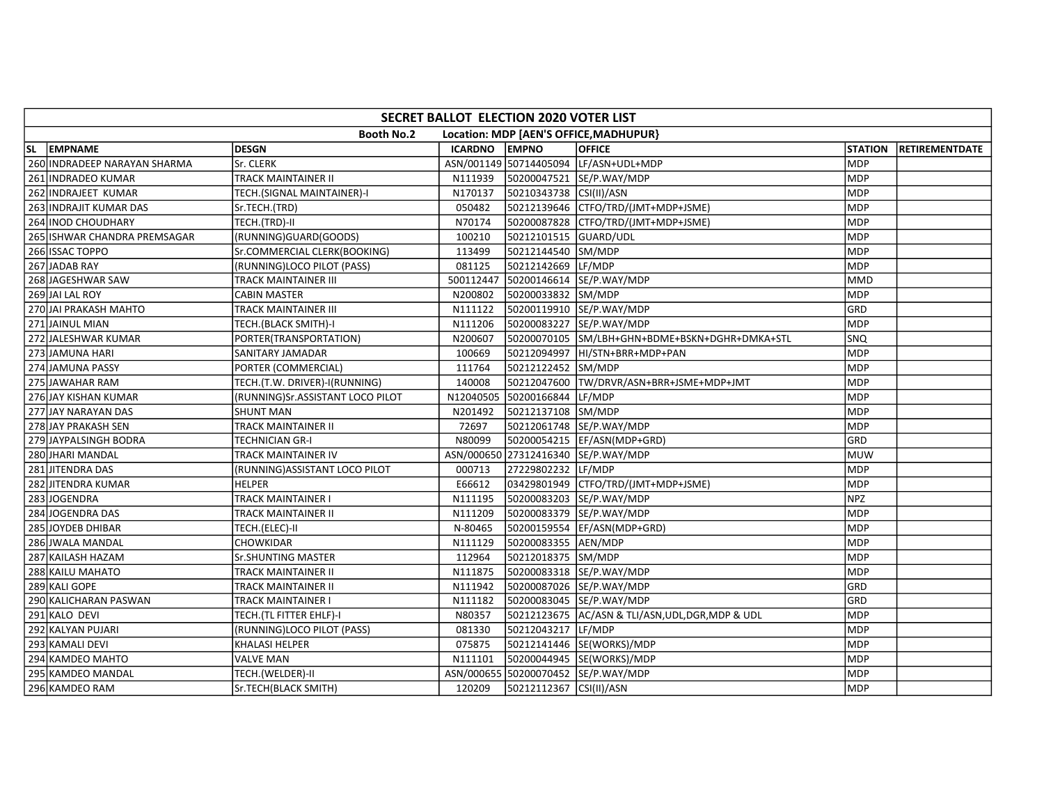| SECRET BALLOT ELECTION 2020 VOTER LIST                      |                                  |         |                              |                                                   |                |                |  |  |  |  |  |
|-------------------------------------------------------------|----------------------------------|---------|------------------------------|---------------------------------------------------|----------------|----------------|--|--|--|--|--|
| <b>Booth No.2</b><br>Location: MDP [AEN'S OFFICE, MADHUPUR} |                                  |         |                              |                                                   |                |                |  |  |  |  |  |
| SL EMPNAME                                                  | <b>DESGN</b>                     | ICARDNO | <b>EMPNO</b>                 | <b>OFFICE</b>                                     | <b>STATION</b> | RETIREMENTDATE |  |  |  |  |  |
| 260 INDRADEEP NARAYAN SHARMA                                | Sr. CLERK                        |         | ASN/001149 50714405094       | LF/ASN+UDL+MDP                                    | <b>MDP</b>     |                |  |  |  |  |  |
| 261 INDRADEO KUMAR                                          | TRACK MAINTAINER II              | N111939 |                              | 50200047521 SE/P.WAY/MDP                          | <b>MDP</b>     |                |  |  |  |  |  |
| 262 INDRAJEET KUMAR                                         | TECH.(SIGNAL MAINTAINER)-I       | N170137 | 50210343738 CSI(II)/ASN      |                                                   | MDP            |                |  |  |  |  |  |
| 263 INDRAJIT KUMAR DAS                                      | Sr.TECH.(TRD)                    | 050482  |                              | 50212139646 CTFO/TRD/(JMT+MDP+JSME)               | MDP            |                |  |  |  |  |  |
| 264 INOD CHOUDHARY                                          | TECH.(TRD)-II                    | N70174  |                              | 50200087828 CTFO/TRD/(JMT+MDP+JSME)               | MDP            |                |  |  |  |  |  |
| 265 ISHWAR CHANDRA PREMSAGAR                                | (RUNNING)GUARD(GOODS)            | 100210  | 50212101515 GUARD/UDL        |                                                   | <b>MDP</b>     |                |  |  |  |  |  |
| 266 ISSAC TOPPO                                             | Sr.COMMERCIAL CLERK(BOOKING)     | 113499  | 50212144540 SM/MDP           |                                                   | <b>MDP</b>     |                |  |  |  |  |  |
| 267 JADAB RAY                                               | (RUNNING)LOCO PILOT (PASS)       | 081125  | 50212142669 LF/MDP           |                                                   | MDP            |                |  |  |  |  |  |
| 268 JAGESHWAR SAW                                           | TRACK MAINTAINER III             |         |                              | 500112447 50200146614 SE/P.WAY/MDP                | <b>MMD</b>     |                |  |  |  |  |  |
| 269 JAI LAL ROY                                             | CABIN MASTER                     | N200802 | 50200033832 SM/MDP           |                                                   | <b>MDP</b>     |                |  |  |  |  |  |
| 270 JAI PRAKASH MAHTO                                       | TRACK MAINTAINER III             | N111122 |                              | 50200119910 SE/P.WAY/MDP                          | GRD            |                |  |  |  |  |  |
| 271 JAINUL MIAN                                             | TECH.(BLACK SMITH)-I             | N111206 |                              | 50200083227 SE/P.WAY/MDP                          | <b>MDP</b>     |                |  |  |  |  |  |
| 272 JALESHWAR KUMAR                                         | PORTER(TRANSPORTATION)           | N200607 |                              | 50200070105 SM/LBH+GHN+BDME+BSKN+DGHR+DMKA+STL    | <b>SNQ</b>     |                |  |  |  |  |  |
| 273 JAMUNA HARI                                             | SANITARY JAMADAR                 | 100669  |                              | 50212094997 HI/STN+BRR+MDP+PAN                    | <b>MDP</b>     |                |  |  |  |  |  |
| 274 JAMUNA PASSY                                            | PORTER (COMMERCIAL)              | 111764  | 50212122452 SM/MDP           |                                                   | MDP            |                |  |  |  |  |  |
| 275 JAWAHAR RAM                                             | TECH.(T.W. DRIVER)-I(RUNNING)    | 140008  |                              | 50212047600 TW/DRVR/ASN+BRR+JSME+MDP+JMT          | <b>MDP</b>     |                |  |  |  |  |  |
| 276 JAY KISHAN KUMAR                                        | (RUNNING)Sr.ASSISTANT LOCO PILOT |         | N12040505 50200166844 LF/MDP |                                                   | <b>MDP</b>     |                |  |  |  |  |  |
| 277 JAY NARAYAN DAS                                         | <b>SHUNT MAN</b>                 | N201492 | 50212137108 SM/MDP           |                                                   | <b>MDP</b>     |                |  |  |  |  |  |
| 278 JAY PRAKASH SEN                                         | TRACK MAINTAINER II              | 72697   |                              | 50212061748 SE/P.WAY/MDP                          | <b>MDP</b>     |                |  |  |  |  |  |
| 279 JAYPALSINGH BODRA                                       | TECHNICIAN GR-I                  | N80099  |                              | 50200054215  EF/ASN(MDP+GRD)                      | GRD            |                |  |  |  |  |  |
| 280 JHARI MANDAL                                            | TRACK MAINTAINER IV              |         |                              | ASN/000650 27312416340 SE/P.WAY/MDP               | <b>MUW</b>     |                |  |  |  |  |  |
| 281 JITENDRA DAS                                            | (RUNNING) ASSISTANT LOCO PILOT   | 000713  | 27229802232 LF/MDP           |                                                   | <b>MDP</b>     |                |  |  |  |  |  |
| 282 JITENDRA KUMAR                                          | <b>HELPER</b>                    | E66612  |                              |                                                   | MDP            |                |  |  |  |  |  |
| 283JOGENDRA                                                 | TRACK MAINTAINER I               | N111195 |                              | 50200083203 SE/P.WAY/MDP                          | <b>NPZ</b>     |                |  |  |  |  |  |
| 284 JOGENDRA DAS                                            | TRACK MAINTAINER II              | N111209 |                              | 50200083379 SE/P.WAY/MDP                          | <b>MDP</b>     |                |  |  |  |  |  |
| 285 JOYDEB DHIBAR                                           | TECH.(ELEC)-II                   | N-80465 |                              | 50200159554  EF/ASN(MDP+GRD)                      | <b>MDP</b>     |                |  |  |  |  |  |
| 286 JWALA MANDAL                                            | CHOWKIDAR                        | N111129 | 50200083355 AEN/MDP          |                                                   | <b>MDP</b>     |                |  |  |  |  |  |
| 287 KAILASH HAZAM                                           | <b>Sr.SHUNTING MASTER</b>        | 112964  | 50212018375 SM/MDP           |                                                   | MDP            |                |  |  |  |  |  |
| 288 KAILU MAHATO                                            | TRACK MAINTAINER II              | N111875 |                              | 50200083318 SE/P.WAY/MDP                          | <b>MDP</b>     |                |  |  |  |  |  |
| 289 KALI GOPE                                               | TRACK MAINTAINER II              | N111942 |                              | 50200087026 SE/P.WAY/MDP                          | GRD            |                |  |  |  |  |  |
| 290 KALICHARAN PASWAN                                       | TRACK MAINTAINER I               | N111182 |                              | 50200083045 SE/P.WAY/MDP                          | GRD            |                |  |  |  |  |  |
| 291 KALO DEVI                                               | TECH.(TL FITTER EHLF)-I          | N80357  |                              | 50212123675 AC/ASN & TLI/ASN, UDL, DGR, MDP & UDL | <b>MDP</b>     |                |  |  |  |  |  |
| 292 KALYAN PUJARI                                           | (RUNNING)LOCO PILOT (PASS)       | 081330  | 50212043217 LF/MDP           |                                                   | <b>MDP</b>     |                |  |  |  |  |  |
| 293 KAMALI DEVI                                             | <b>KHALASI HELPER</b>            | 075875  |                              | 50212141446 SE(WORKS)/MDP                         | <b>MDP</b>     |                |  |  |  |  |  |
| 294 KAMDEO MAHTO                                            | <b>VALVE MAN</b>                 | N111101 |                              | 50200044945 SE(WORKS)/MDP                         | MDP            |                |  |  |  |  |  |
| 295 KAMDEO MANDAL                                           | TECH.(WELDER)-II                 |         |                              | ASN/000655 50200070452 SE/P.WAY/MDP               | <b>MDP</b>     |                |  |  |  |  |  |
| 296 KAMDEO RAM                                              | Sr.TECH(BLACK SMITH)             | 120209  | 50212112367 CSI(II)/ASN      |                                                   | MDP            |                |  |  |  |  |  |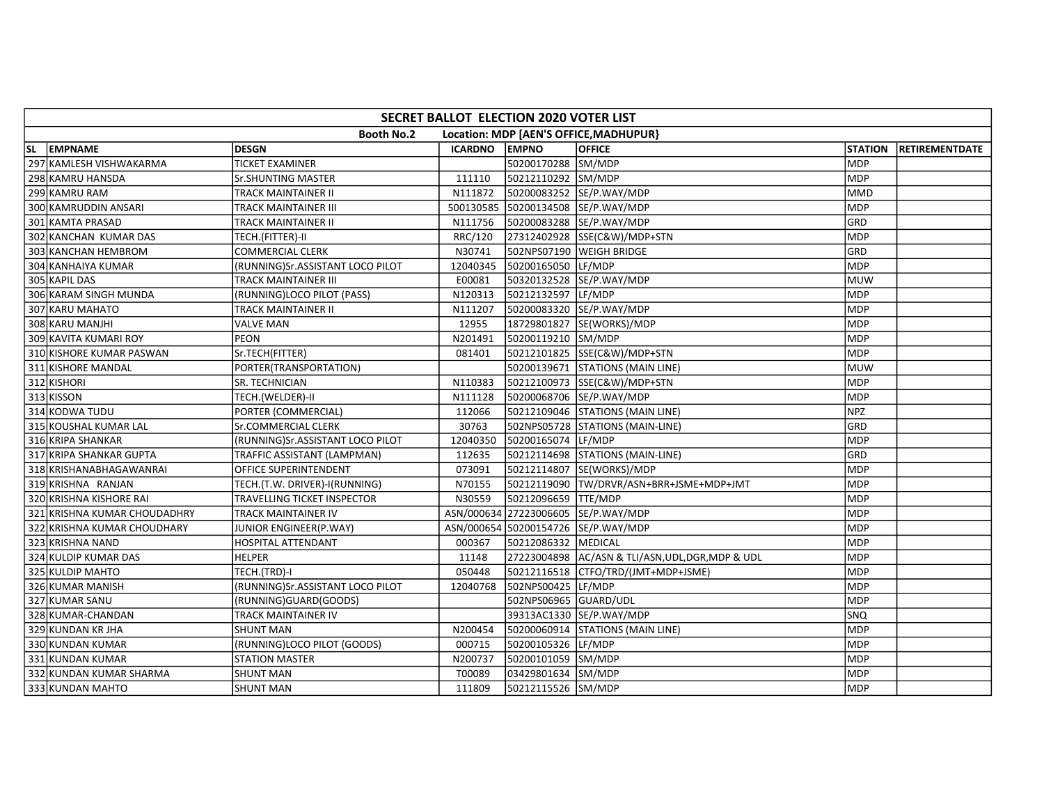| SECRET BALLOT ELECTION 2020 VOTER LIST |                                  |                |                       |                                                   |                |                |  |  |  |  |  |
|----------------------------------------|----------------------------------|----------------|-----------------------|---------------------------------------------------|----------------|----------------|--|--|--|--|--|
|                                        | <b>Booth No.2</b>                |                |                       | Location: MDP [AEN'S OFFICE, MADHUPUR}            |                |                |  |  |  |  |  |
| SL EMPNAME                             | <b>DESGN</b>                     | <b>ICARDNO</b> | <b>EMPNO</b>          | <b>OFFICE</b>                                     | <b>STATION</b> | RETIREMENTDATE |  |  |  |  |  |
| 297 KAMLESH VISHWAKARMA                | <b>TICKET EXAMINER</b>           |                | 50200170288 SM/MDP    |                                                   | <b>MDP</b>     |                |  |  |  |  |  |
| 298 KAMRU HANSDA                       | Sr.SHUNTING MASTER               | 111110         | 50212110292 SM/MDP    |                                                   | <b>MDP</b>     |                |  |  |  |  |  |
| 299 KAMRU RAM                          | TRACK MAINTAINER II              | N111872        |                       | 50200083252 SE/P.WAY/MDP                          | MMD            |                |  |  |  |  |  |
| 300 KAMRUDDIN ANSARI                   | TRACK MAINTAINER III             |                |                       | 500130585 50200134508 SE/P.WAY/MDP                | MDP            |                |  |  |  |  |  |
| 301 KAMTA PRASAD                       | TRACK MAINTAINER II              | N111756        |                       | 50200083288 SE/P.WAY/MDP                          | GRD            |                |  |  |  |  |  |
| 302 KANCHAN KUMAR DAS                  | TECH.(FITTER)-II                 | RRC/120        |                       | 27312402928 SSE(C&W)/MDP+STN                      | MDP            |                |  |  |  |  |  |
| 303 KANCHAN HEMBROM                    | <b>COMMERCIAL CLERK</b>          | N30741         |                       | 502NPS07190 WEIGH BRIDGE                          | GRD            |                |  |  |  |  |  |
| 304 KANHAIYA KUMAR                     | (RUNNING)Sr.ASSISTANT LOCO PILOT | 12040345       | 50200165050 LF/MDP    |                                                   | <b>MDP</b>     |                |  |  |  |  |  |
| 305 KAPIL DAS                          | TRACK MAINTAINER III             | E00081         |                       |                                                   | <b>MUW</b>     |                |  |  |  |  |  |
| 306 KARAM SINGH MUNDA                  | (RUNNING)LOCO PILOT (PASS)       | N120313        | 50212132597 LF/MDP    |                                                   | MDP            |                |  |  |  |  |  |
| 307 KARU MAHATO                        | TRACK MAINTAINER II              | N111207        |                       | 50200083320 SE/P.WAY/MDP                          | MDP            |                |  |  |  |  |  |
| 308 KARU MANJHI                        | <b>VALVE MAN</b>                 | 12955          |                       | 18729801827 SE(WORKS)/MDP                         | <b>MDP</b>     |                |  |  |  |  |  |
| 309 KAVITA KUMARI ROY                  | PEON                             | N201491        | 50200119210 SM/MDP    |                                                   | <b>MDP</b>     |                |  |  |  |  |  |
| 310 KISHORE KUMAR PASWAN               | Sr.TECH(FITTER)                  | 081401         |                       | 50212101825 SSE(C&W)/MDP+STN                      | MDP            |                |  |  |  |  |  |
| 311 KISHORE MANDAL                     | PORTER(TRANSPORTATION)           |                |                       | 50200139671 STATIONS (MAIN LINE)                  | <b>MUW</b>     |                |  |  |  |  |  |
| 312 KISHORI                            | SR. TECHNICIAN                   | N110383        |                       | 50212100973 SSE(C&W)/MDP+STN                      | MDP            |                |  |  |  |  |  |
| 313 KISSON                             | TECH.(WELDER)-II                 | N111128        |                       | 50200068706 SE/P.WAY/MDP                          | <b>MDP</b>     |                |  |  |  |  |  |
| 314 KODWA TUDU                         | PORTER (COMMERCIAL)              | 112066         |                       | 50212109046 STATIONS (MAIN LINE)                  | <b>NPZ</b>     |                |  |  |  |  |  |
| 315 KOUSHAL KUMAR LAL                  | Sr.COMMERCIAL CLERK              | 30763          |                       | 502NPS05728 STATIONS (MAIN-LINE)                  | GRD            |                |  |  |  |  |  |
| 316 KRIPA SHANKAR                      | (RUNNING)Sr.ASSISTANT LOCO PILOT | 12040350       | 50200165074 LF/MDP    |                                                   | <b>MDP</b>     |                |  |  |  |  |  |
| 317 KRIPA SHANKAR GUPTA                | TRAFFIC ASSISTANT (LAMPMAN)      | 112635         |                       | 50212114698 STATIONS (MAIN-LINE)                  | GRD            |                |  |  |  |  |  |
| 318 KRISHANABHAGAWANRAI                | OFFICE SUPERINTENDENT            | 073091         |                       | 50212114807 SE(WORKS)/MDP                         | <b>MDP</b>     |                |  |  |  |  |  |
| 319 KRISHNA RANJAN                     | TECH.(T.W. DRIVER)-I(RUNNING)    | N70155         |                       | 50212119090 TW/DRVR/ASN+BRR+JSME+MDP+JMT          | <b>MDP</b>     |                |  |  |  |  |  |
| 320 KRISHNA KISHORE RAI                | TRAVELLING TICKET INSPECTOR      | N30559         | 50212096659 TTE/MDP   |                                                   | MDP            |                |  |  |  |  |  |
| 321 KRISHNA KUMAR CHOUDADHRY           | TRACK MAINTAINER IV              |                |                       | ASN/000634 27223006605 SE/P.WAY/MDP               | <b>MDP</b>     |                |  |  |  |  |  |
| 322 KRISHNA KUMAR CHOUDHARY            | JUNIOR ENGINEER(P.WAY)           |                |                       | ASN/000654 50200154726 SE/P.WAY/MDP               | <b>MDP</b>     |                |  |  |  |  |  |
| 323 KRISHNA NAND                       | <b>HOSPITAL ATTENDANT</b>        | 000367         | 50212086332 MEDICAL   |                                                   | <b>MDP</b>     |                |  |  |  |  |  |
| 324 KULDIP KUMAR DAS                   | <b>HELPER</b>                    | 11148          |                       | 27223004898 AC/ASN & TLI/ASN, UDL, DGR, MDP & UDL | MDP            |                |  |  |  |  |  |
| 325 KULDIP MAHTO                       | TECH.(TRD)-I                     | 050448         |                       |                                                   | MDP            |                |  |  |  |  |  |
| 326 KUMAR MANISH                       | (RUNNING)Sr.ASSISTANT LOCO PILOT | 12040768       | 502NPS00425 LF/MDP    |                                                   | MDP            |                |  |  |  |  |  |
| 327 KUMAR SANU                         | (RUNNING)GUARD(GOODS)            |                | 502NPS06965 GUARD/UDL |                                                   | MDP            |                |  |  |  |  |  |
| 328 KUMAR-CHANDAN                      | <b>TRACK MAINTAINER IV</b>       |                |                       | 39313AC1330 SE/P.WAY/MDP                          | SNO            |                |  |  |  |  |  |
| 329 KUNDAN KR JHA                      | <b>SHUNT MAN</b>                 | N200454        |                       | 50200060914 STATIONS (MAIN LINE)                  | <b>MDP</b>     |                |  |  |  |  |  |
| 330 KUNDAN KUMAR                       | (RUNNING)LOCO PILOT (GOODS)      | 000715         | 50200105326 LF/MDP    |                                                   | MDP            |                |  |  |  |  |  |
| 331 KUNDAN KUMAR                       | <b>STATION MASTER</b>            | N200737        | 50200101059 SM/MDP    |                                                   | MDP            |                |  |  |  |  |  |
| 332 KUNDAN KUMAR SHARMA                | SHUNT MAN                        | T00089         | 03429801634 SM/MDP    |                                                   | <b>MDP</b>     |                |  |  |  |  |  |
| 333 KUNDAN MAHTO                       | <b>SHUNT MAN</b>                 | 111809         | 50212115526 SM/MDP    |                                                   | <b>MDP</b>     |                |  |  |  |  |  |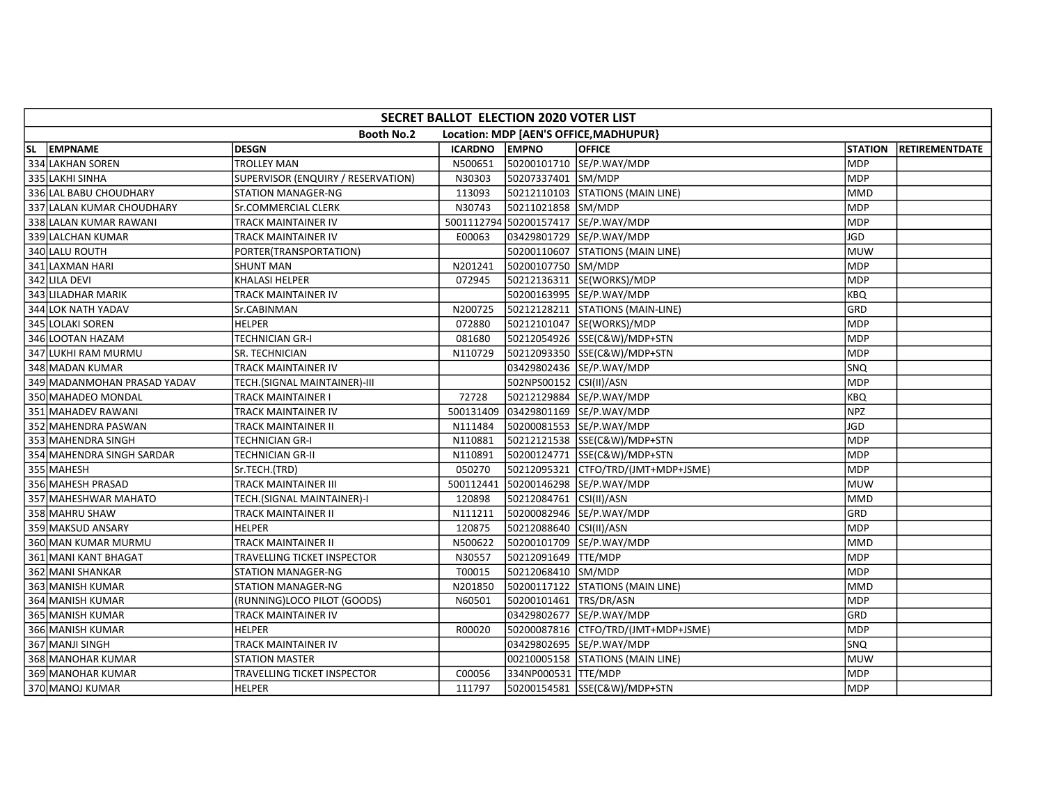| SECRET BALLOT ELECTION 2020 VOTER LIST |                                    |         |                         |                                        |                |                       |  |  |  |  |
|----------------------------------------|------------------------------------|---------|-------------------------|----------------------------------------|----------------|-----------------------|--|--|--|--|
|                                        | <b>Booth No.2</b>                  |         |                         | Location: MDP [AEN'S OFFICE, MADHUPUR} |                |                       |  |  |  |  |
| SL EMPNAME                             | <b>DESGN</b>                       | ICARDNO | <b>EMPNO</b>            | <b>OFFICE</b>                          | <b>STATION</b> | <b>RETIREMENTDATE</b> |  |  |  |  |
| 334 LAKHAN SOREN                       | <b>TROLLEY MAN</b>                 | N500651 |                         | 50200101710 SE/P.WAY/MDP               | <b>MDP</b>     |                       |  |  |  |  |
| 335 LAKHI SINHA                        | SUPERVISOR (ENQUIRY / RESERVATION) | N30303  | 50207337401 SM/MDP      |                                        | <b>MDP</b>     |                       |  |  |  |  |
| 336 LAL BABU CHOUDHARY                 | STATION MANAGER-NG                 | 113093  |                         | 50212110103 STATIONS (MAIN LINE)       | <b>MMD</b>     |                       |  |  |  |  |
| 337 LALAN KUMAR CHOUDHARY              | <b>Sr.COMMERCIAL CLERK</b>         | N30743  | 50211021858 SM/MDP      |                                        | <b>MDP</b>     |                       |  |  |  |  |
| 338 LALAN KUMAR RAWANI                 | TRACK MAINTAINER IV                |         |                         | 5001112794 50200157417 SE/P.WAY/MDP    | <b>MDP</b>     |                       |  |  |  |  |
| 339 LALCHAN KUMAR                      | TRACK MAINTAINER IV                | E00063  |                         | 03429801729 SE/P.WAY/MDP               | <b>JGD</b>     |                       |  |  |  |  |
| 340 LALU ROUTH                         | PORTER(TRANSPORTATION)             |         |                         | 50200110607 STATIONS (MAIN LINE)       | <b>MUW</b>     |                       |  |  |  |  |
| 341 LAXMAN HARI                        | <b>SHUNT MAN</b>                   | N201241 | 50200107750 SM/MDP      |                                        | MDP            |                       |  |  |  |  |
| 342 LILA DEVI                          | KHALASI HELPER                     | 072945  |                         | 50212136311 SE(WORKS)/MDP              | <b>MDP</b>     |                       |  |  |  |  |
| 343 LILADHAR MARIK                     | TRACK MAINTAINER IV                |         |                         | 50200163995 SE/P.WAY/MDP               | KBQ            |                       |  |  |  |  |
| 344 LOK NATH YADAV                     | Sr.CABINMAN                        | N200725 |                         | 50212128211 STATIONS (MAIN-LINE)       | GRD            |                       |  |  |  |  |
| 345 LOLAKI SOREN                       | <b>HELPER</b>                      | 072880  |                         | 50212101047 SE(WORKS)/MDP              | <b>MDP</b>     |                       |  |  |  |  |
| 346 LOOTAN HAZAM                       | <b>TECHNICIAN GR-I</b>             | 081680  |                         | 50212054926 SSE(C&W)/MDP+STN           | MDP            |                       |  |  |  |  |
| 347 LUKHI RAM MURMU                    | SR. TECHNICIAN                     | N110729 |                         | 50212093350 SSE(C&W)/MDP+STN           | MDP            |                       |  |  |  |  |
| 348 MADAN KUMAR                        | TRACK MAINTAINER IV                |         |                         | 03429802436 SE/P.WAY/MDP               | SNQ            |                       |  |  |  |  |
| 349 MADANMOHAN PRASAD YADAV            | TECH.(SIGNAL MAINTAINER)-III       |         | 502NPS00152 CSI(II)/ASN |                                        | <b>MDP</b>     |                       |  |  |  |  |
| 350 MAHADEO MONDAL                     | TRACK MAINTAINER I                 | 72728   |                         | 50212129884 SE/P.WAY/MDP               | <b>KBO</b>     |                       |  |  |  |  |
| 351 MAHADEV RAWANI                     | TRACK MAINTAINER IV                |         |                         | 500131409 03429801169 SE/P.WAY/MDP     | <b>NPZ</b>     |                       |  |  |  |  |
| 352 MAHENDRA PASWAN                    | TRACK MAINTAINER II                | N111484 |                         | 50200081553 SE/P.WAY/MDP               | <b>JGD</b>     |                       |  |  |  |  |
| 353 MAHENDRA SINGH                     | TECHNICIAN GR-I                    | N110881 |                         | 50212121538 SSE(C&W)/MDP+STN           | <b>MDP</b>     |                       |  |  |  |  |
| 354 MAHENDRA SINGH SARDAR              | TECHNICIAN GR-II                   | N110891 |                         | 50200124771 SSE(C&W)/MDP+STN           | MDP            |                       |  |  |  |  |
| 355 MAHESH                             | Sr.TECH.(TRD)                      | 050270  |                         | 50212095321  CTFO/TRD/(JMT+MDP+JSME)   | <b>MDP</b>     |                       |  |  |  |  |
| 356 MAHESH PRASAD                      | TRACK MAINTAINER III               |         |                         | 500112441 50200146298 SE/P.WAY/MDP     | MUW            |                       |  |  |  |  |
| 357 MAHESHWAR MAHATO                   | TECH.(SIGNAL MAINTAINER)-I         | 120898  | 50212084761 CSI(II)/ASN |                                        | MMD            |                       |  |  |  |  |
| 358 MAHRU SHAW                         | TRACK MAINTAINER II                | N111211 |                         | 50200082946 SE/P.WAY/MDP               | GRD            |                       |  |  |  |  |
| 359 MAKSUD ANSARY                      | <b>HELPER</b>                      | 120875  | 50212088640 CSI(II)/ASN |                                        | <b>MDP</b>     |                       |  |  |  |  |
| 360 MAN KUMAR MURMU                    | TRACK MAINTAINER II                | N500622 |                         | 50200101709 SE/P.WAY/MDP               | <b>MMD</b>     |                       |  |  |  |  |
| 361 MANI KANT BHAGAT                   | TRAVELLING TICKET INSPECTOR        | N30557  | 50212091649 TTE/MDP     |                                        | MDP            |                       |  |  |  |  |
| 362 MANI SHANKAR                       | STATION MANAGER-NG                 | T00015  | 50212068410 SM/MDP      |                                        | <b>MDP</b>     |                       |  |  |  |  |
| 363 MANISH KUMAR                       | STATION MANAGER-NG                 | N201850 |                         | 50200117122 STATIONS (MAIN LINE)       | <b>MMD</b>     |                       |  |  |  |  |
| 364 MANISH KUMAR                       | (RUNNING)LOCO PILOT (GOODS)        | N60501  | 50200101461 TRS/DR/ASN  |                                        | <b>MDP</b>     |                       |  |  |  |  |
| 365 MANISH KUMAR                       | TRACK MAINTAINER IV                |         |                         | 03429802677 SE/P.WAY/MDP               | GRD            |                       |  |  |  |  |
| 366 MANISH KUMAR                       | <b>HELPER</b>                      | R00020  |                         | 50200087816 CTFO/TRD/(JMT+MDP+JSME)    | MDP            |                       |  |  |  |  |
| 367 MANJI SINGH                        | TRACK MAINTAINER IV                |         |                         | 03429802695 SE/P.WAY/MDP               | <b>SNQ</b>     |                       |  |  |  |  |
| 368 MANOHAR KUMAR                      | <b>STATION MASTER</b>              |         |                         | 00210005158 STATIONS (MAIN LINE)       | <b>MUW</b>     |                       |  |  |  |  |
| 369 MANOHAR KUMAR                      | TRAVELLING TICKET INSPECTOR        | C00056  | 334NP000531 TTE/MDP     |                                        | <b>MDP</b>     |                       |  |  |  |  |
| 370 MANOJ KUMAR                        | HELPER                             | 111797  |                         | 50200154581 SSE(C&W)/MDP+STN           | MDP            |                       |  |  |  |  |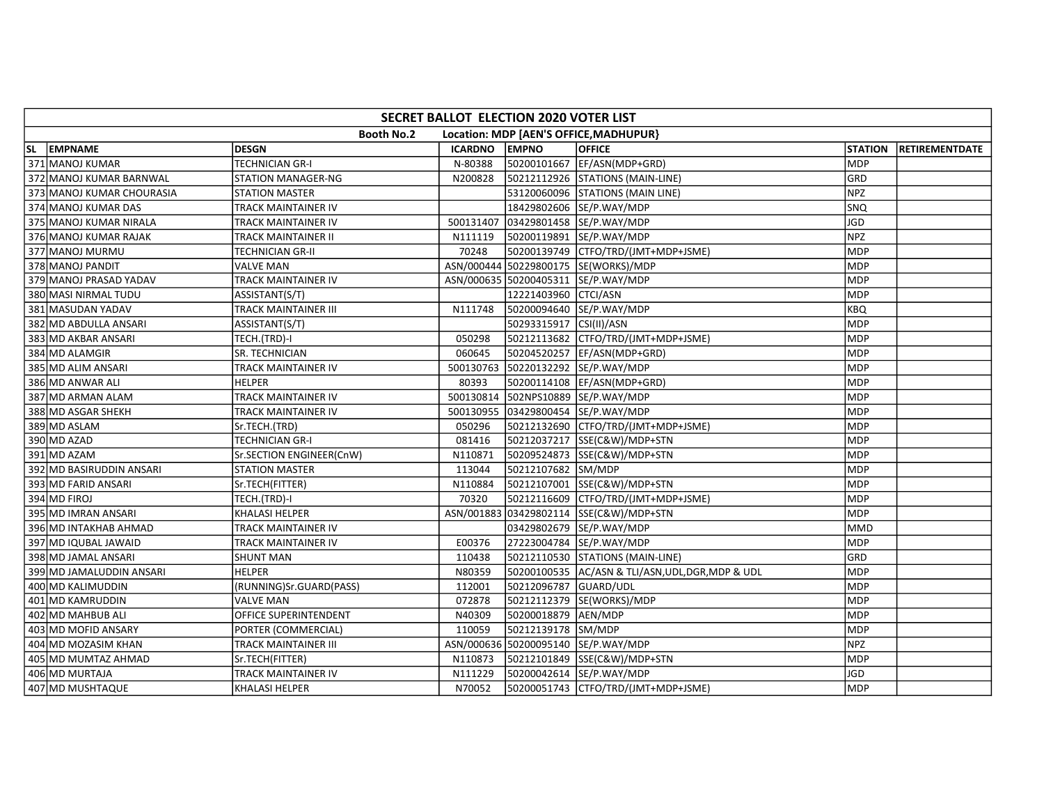| SECRET BALLOT ELECTION 2020 VOTER LIST |                             |           |                         |                                                 |                |                |  |  |  |  |
|----------------------------------------|-----------------------------|-----------|-------------------------|-------------------------------------------------|----------------|----------------|--|--|--|--|
|                                        | <b>Booth No.2</b>           |           |                         | Location: MDP [AEN'S OFFICE, MADHUPUR}          |                |                |  |  |  |  |
| SL EMPNAME                             | <b>DESGN</b>                | ICARDNO   | <b>EMPNO</b>            | <b>OFFICE</b>                                   | <b>STATION</b> | RETIREMENTDATE |  |  |  |  |
| 371 MANOJ KUMAR                        | <b>TECHNICIAN GR-I</b>      | N-80388   |                         | 50200101667 EF/ASN(MDP+GRD)                     | <b>MDP</b>     |                |  |  |  |  |
| 372 MANOJ KUMAR BARNWAL                | STATION MANAGER-NG          | N200828   |                         | 50212112926 STATIONS (MAIN-LINE)                | GRD            |                |  |  |  |  |
| 373 MANOJ KUMAR CHOURASIA              | STATION MASTER              |           |                         | 53120060096 STATIONS (MAIN LINE)                | <b>NPZ</b>     |                |  |  |  |  |
| 374 MANOJ KUMAR DAS                    | TRACK MAINTAINER IV         |           |                         | 18429802606 SE/P.WAY/MDP                        | <b>SNQ</b>     |                |  |  |  |  |
| 375 MANOJ KUMAR NIRALA                 | TRACK MAINTAINER IV         | 500131407 |                         | 03429801458 SE/P.WAY/MDP                        | JGD            |                |  |  |  |  |
| 376 MANOJ KUMAR RAJAK                  | TRACK MAINTAINER II         | N111119   |                         | 50200119891 SE/P.WAY/MDP                        | <b>NPZ</b>     |                |  |  |  |  |
| 377 MANOJ MURMU                        | TECHNICIAN GR-II            | 70248     |                         |                                                 | <b>MDP</b>     |                |  |  |  |  |
| 378 MANOJ PANDIT                       | <b>VALVE MAN</b>            |           |                         | ASN/000444 50229800175 SE(WORKS)/MDP            | MDP            |                |  |  |  |  |
| 379 MANOJ PRASAD YADAV                 | TRACK MAINTAINER IV         |           |                         | ASN/000635 50200405311 SE/P.WAY/MDP             | MDP            |                |  |  |  |  |
| 380 MASI NIRMAL TUDU                   | ASSISTANT(S/T)              |           | 12221403960 CTCI/ASN    |                                                 | <b>MDP</b>     |                |  |  |  |  |
| 381 MASUDAN YADAV                      | TRACK MAINTAINER III        | N111748   |                         | 50200094640 SE/P.WAY/MDP                        | <b>KBQ</b>     |                |  |  |  |  |
| 382 MD ABDULLA ANSARI                  | ASSISTANT(S/T)              |           | 50293315917 CSI(II)/ASN |                                                 | <b>MDP</b>     |                |  |  |  |  |
| 383 MD AKBAR ANSARI                    | TECH.(TRD)-I                | 050298    |                         | 50212113682 CTFO/TRD/(JMT+MDP+JSME)             | <b>MDP</b>     |                |  |  |  |  |
| 384 MD ALAMGIR                         | SR. TECHNICIAN              | 060645    |                         | 50204520257 EF/ASN(MDP+GRD)                     | <b>MDP</b>     |                |  |  |  |  |
| 385 MD ALIM ANSARI                     | TRACK MAINTAINER IV         |           |                         | 500130763 50220132292 SE/P.WAY/MDP              | MDP            |                |  |  |  |  |
| 386 MD ANWAR ALI                       | HELPER                      | 80393     |                         | 50200114108 EF/ASN(MDP+GRD)                     | <b>MDP</b>     |                |  |  |  |  |
| 387 MD ARMAN ALAM                      | TRACK MAINTAINER IV         |           |                         | 500130814 502NPS10889 SE/P.WAY/MDP              | <b>MDP</b>     |                |  |  |  |  |
| 388 MD ASGAR SHEKH                     | TRACK MAINTAINER IV         |           |                         | 500130955 03429800454 SE/P.WAY/MDP              | <b>MDP</b>     |                |  |  |  |  |
| 389 MD ASLAM                           | Sr.TECH.(TRD)               | 050296    |                         | 50212132690 CTFO/TRD/(JMT+MDP+JSME)             | <b>MDP</b>     |                |  |  |  |  |
| 390 MD AZAD                            | <b>TECHNICIAN GR-I</b>      | 081416    |                         | 50212037217 SSE(C&W)/MDP+STN                    | <b>MDP</b>     |                |  |  |  |  |
| 391 MD AZAM                            | Sr.SECTION ENGINEER(CnW)    | N110871   |                         | 50209524873 SSE(C&W)/MDP+STN                    | MDP            |                |  |  |  |  |
| 392 MD BASIRUDDIN ANSARI               | <b>STATION MASTER</b>       | 113044    | 50212107682 SM/MDP      |                                                 | <b>MDP</b>     |                |  |  |  |  |
| 393 MD FARID ANSARI                    | Sr.TECH(FITTER)             | N110884   |                         | 50212107001 SSE(C&W)/MDP+STN                    | MDP            |                |  |  |  |  |
| 394 MD FIROJ                           | TECH.(TRD)-I                | 70320     |                         | 50212116609 CTFO/TRD/(JMT+MDP+JSME)             | <b>MDP</b>     |                |  |  |  |  |
| 395 MD IMRAN ANSARI                    | KHALASI HELPER              |           |                         | ASN/001883 03429802114 SSE(C&W)/MDP+STN         | MDP            |                |  |  |  |  |
| 396 MD INTAKHAB AHMAD                  | TRACK MAINTAINER IV         |           |                         | 03429802679 SE/P.WAY/MDP                        | <b>MMD</b>     |                |  |  |  |  |
| 397 MD IQUBAL JAWAID                   | TRACK MAINTAINER IV         | E00376    |                         | 27223004784 SE/P.WAY/MDP                        | <b>MDP</b>     |                |  |  |  |  |
| 398 MD JAMAL ANSARI                    | <b>SHUNT MAN</b>            | 110438    |                         | 50212110530 STATIONS (MAIN-LINE)                | GRD            |                |  |  |  |  |
| 399 MD JAMALUDDIN ANSARI               | <b>HELPER</b>               | N80359    |                         | 50200100535  AC/ASN & TLI/ASN,UDL,DGR,MDP & UDL | <b>MDP</b>     |                |  |  |  |  |
| 400 MD KALIMUDDIN                      | (RUNNING)Sr.GUARD(PASS)     | 112001    | 50212096787 GUARD/UDL   |                                                 | MDP            |                |  |  |  |  |
| 401 MD KAMRUDDIN                       | <b>VALVE MAN</b>            | 072878    |                         | 50212112379 SE(WORKS)/MDP                       | MDP            |                |  |  |  |  |
| 402 MD MAHBUB ALI                      | OFFICE SUPERINTENDENT       | N40309    | 50200018879 AEN/MDP     |                                                 | <b>MDP</b>     |                |  |  |  |  |
| 403 MD MOFID ANSARY                    | PORTER (COMMERCIAL)         | 110059    | 50212139178 SM/MDP      |                                                 | <b>MDP</b>     |                |  |  |  |  |
| 404 MD MOZASIM KHAN                    | <b>TRACK MAINTAINER III</b> |           |                         | ASN/000636 50200095140 SE/P.WAY/MDP             | <b>NPZ</b>     |                |  |  |  |  |
| 405 MD MUMTAZ AHMAD                    | Sr.TECH(FITTER)             | N110873   |                         | 50212101849 SSE(C&W)/MDP+STN                    | MDP            |                |  |  |  |  |
| 406 MD MURTAJA                         | TRACK MAINTAINER IV         | N111229   |                         | 50200042614 SE/P.WAY/MDP                        | JGD            |                |  |  |  |  |
| 407 MD MUSHTAQUE                       | <b>KHALASI HELPER</b>       | N70052    |                         | 50200051743   CTFO/TRD/(JMT+MDP+JSME)           | MDP            |                |  |  |  |  |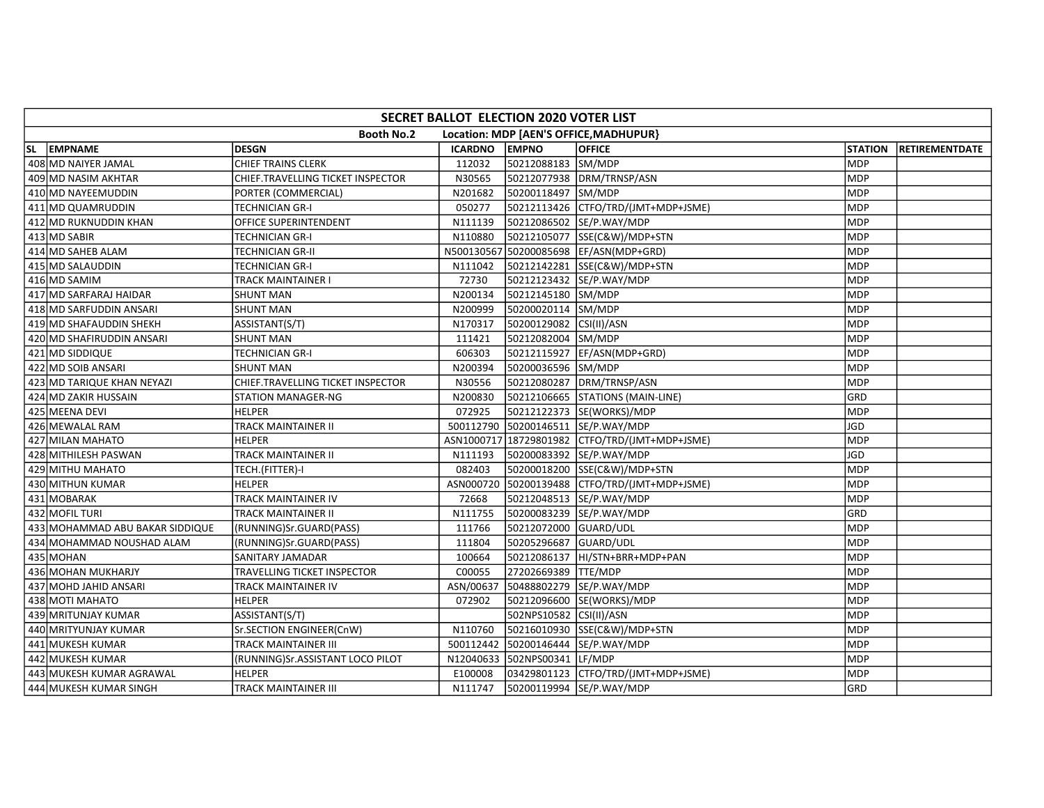| SECRET BALLOT ELECTION 2020 VOTER LIST |                                   |           |                              |                                                    |                |                       |  |  |  |  |  |
|----------------------------------------|-----------------------------------|-----------|------------------------------|----------------------------------------------------|----------------|-----------------------|--|--|--|--|--|
|                                        | <b>Booth No.2</b>                 |           |                              | Location: MDP [AEN'S OFFICE, MADHUPUR]             |                |                       |  |  |  |  |  |
| SL EMPNAME                             | <b>DESGN</b>                      | ICARDNO   | <b>EMPNO</b>                 | <b>OFFICE</b>                                      | <b>STATION</b> | <b>RETIREMENTDATE</b> |  |  |  |  |  |
| 408 MD NAIYER JAMAL                    | <b>CHIEF TRAINS CLERK</b>         | 112032    | 50212088183 SM/MDP           |                                                    | <b>MDP</b>     |                       |  |  |  |  |  |
| 409 MD NASIM AKHTAR                    | CHIEF.TRAVELLING TICKET INSPECTOR | N30565    |                              | 50212077938 DRM/TRNSP/ASN                          | <b>MDP</b>     |                       |  |  |  |  |  |
| 410 MD NAYEEMUDDIN                     | PORTER (COMMERCIAL)               | N201682   | 50200118497 SM/MDP           |                                                    | <b>MDP</b>     |                       |  |  |  |  |  |
| 411 MD QUAMRUDDIN                      | <b>TECHNICIAN GR-I</b>            | 050277    |                              | 50212113426 CTFO/TRD/(JMT+MDP+JSME)                | <b>MDP</b>     |                       |  |  |  |  |  |
| 412 MD RUKNUDDIN KHAN                  | OFFICE SUPERINTENDENT             | N111139   |                              | 50212086502 SE/P.WAY/MDP                           | <b>MDP</b>     |                       |  |  |  |  |  |
| 413 MD SABIR                           | TECHNICIAN GR-I                   | N110880   |                              | 50212105077 SSE(C&W)/MDP+STN                       | <b>MDP</b>     |                       |  |  |  |  |  |
| 414 MD SAHEB ALAM                      | <b>TECHNICIAN GR-II</b>           |           |                              | N500130567 50200085698 EF/ASN(MDP+GRD)             | <b>MDP</b>     |                       |  |  |  |  |  |
| 415 MD SALAUDDIN                       | TECHNICIAN GR-I                   | N111042   |                              | 50212142281 SSE(C&W)/MDP+STN                       | <b>MDP</b>     |                       |  |  |  |  |  |
| 416 MD SAMIM                           | TRACK MAINTAINER I                | 72730     |                              | 50212123432 SE/P.WAY/MDP                           | <b>MDP</b>     |                       |  |  |  |  |  |
| 417 MD SARFARAJ HAIDAR                 | <b>SHUNT MAN</b>                  | N200134   | 50212145180 SM/MDP           |                                                    | <b>MDP</b>     |                       |  |  |  |  |  |
| 418 MD SARFUDDIN ANSARI                | <b>SHUNT MAN</b>                  | N200999   | 50200020114 SM/MDP           |                                                    | <b>MDP</b>     |                       |  |  |  |  |  |
| 419 MD SHAFAUDDIN SHEKH                | ASSISTANT(S/T)                    | N170317   | 50200129082 CSI(II)/ASN      |                                                    | <b>MDP</b>     |                       |  |  |  |  |  |
| 420 MD SHAFIRUDDIN ANSARI              | <b>SHUNT MAN</b>                  | 111421    | 50212082004 SM/MDP           |                                                    | <b>MDP</b>     |                       |  |  |  |  |  |
| 421 MD SIDDIQUE                        | <b>TECHNICIAN GR-I</b>            | 606303    |                              | 50212115927 EF/ASN(MDP+GRD)                        | <b>MDP</b>     |                       |  |  |  |  |  |
| 422 MD SOIB ANSARI                     | <b>SHUNT MAN</b>                  | N200394   | 50200036596 SM/MDP           |                                                    | <b>MDP</b>     |                       |  |  |  |  |  |
| 423 MD TARIQUE KHAN NEYAZI             | CHIEF.TRAVELLING TICKET INSPECTOR | N30556    |                              | 50212080287 DRM/TRNSP/ASN                          | <b>MDP</b>     |                       |  |  |  |  |  |
| 424 MD ZAKIR HUSSAIN                   | <b>STATION MANAGER-NG</b>         | N200830   |                              | 50212106665 STATIONS (MAIN-LINE)                   | GRD            |                       |  |  |  |  |  |
| 425 MEENA DEVI                         | <b>HELPER</b>                     | 072925    |                              | 50212122373 SE(WORKS)/MDP                          | <b>MDP</b>     |                       |  |  |  |  |  |
| 426 MEWALAL RAM                        | TRACK MAINTAINER II               |           |                              | 500112790 50200146511 SE/P.WAY/MDP                 | JGD            |                       |  |  |  |  |  |
| 427 MILAN MAHATO                       | <b>HELPER</b>                     |           |                              | ASN1000717   18729801982   CTFO/TRD/(JMT+MDP+JSME) | <b>MDP</b>     |                       |  |  |  |  |  |
| 428 MITHILESH PASWAN                   | <b>TRACK MAINTAINER II</b>        | N111193   |                              | 50200083392 SE/P.WAY/MDP                           | <b>JGD</b>     |                       |  |  |  |  |  |
| 429 MITHU MAHATO                       | TECH.(FITTER)-I                   | 082403    |                              | 50200018200 SSE(C&W)/MDP+STN                       | <b>MDP</b>     |                       |  |  |  |  |  |
| 430 MITHUN KUMAR                       | <b>HELPER</b>                     |           |                              | ASN000720 50200139488 CTFO/TRD/(JMT+MDP+JSME)      | <b>MDP</b>     |                       |  |  |  |  |  |
| 431 MOBARAK                            | TRACK MAINTAINER IV               | 72668     |                              | 50212048513 SE/P.WAY/MDP                           | <b>MDP</b>     |                       |  |  |  |  |  |
| 432 MOFIL TURI                         | TRACK MAINTAINER II               | N111755   |                              | 50200083239 SE/P.WAY/MDP                           | GRD            |                       |  |  |  |  |  |
| 433 MOHAMMAD ABU BAKAR SIDDIQUE        | (RUNNING)Sr.GUARD(PASS)           | 111766    | 50212072000 GUARD/UDL        |                                                    | <b>MDP</b>     |                       |  |  |  |  |  |
| 434 MOHAMMAD NOUSHAD ALAM              | (RUNNING)Sr.GUARD(PASS)           | 111804    | 50205296687 GUARD/UDL        |                                                    | <b>MDP</b>     |                       |  |  |  |  |  |
| 435 MOHAN                              | SANITARY JAMADAR                  | 100664    |                              | 50212086137 HI/STN+BRR+MDP+PAN                     | MDP            |                       |  |  |  |  |  |
| 436 MOHAN MUKHARJY                     | TRAVELLING TICKET INSPECTOR       | C00055    | 27202669389 TTE/MDP          |                                                    | <b>MDP</b>     |                       |  |  |  |  |  |
| 437 MOHD JAHID ANSARI                  | TRACK MAINTAINER IV               | ASN/00637 |                              | 50488802279 SE/P.WAY/MDP                           | <b>MDP</b>     |                       |  |  |  |  |  |
| 438 MOTI MAHATO                        | <b>HELPER</b>                     | 072902    |                              | 50212096600 SE(WORKS)/MDP                          | MDP            |                       |  |  |  |  |  |
| 439 MRITUNJAY KUMAR                    | ASSISTANT(S/T)                    |           | 502NPS10582 CSI(II)/ASN      |                                                    | MDP            |                       |  |  |  |  |  |
| 440 MRITYUNJAY KUMAR                   | Sr.SECTION ENGINEER(CnW)          | N110760   |                              | 50216010930 SSE(C&W)/MDP+STN                       | <b>MDP</b>     |                       |  |  |  |  |  |
| 441 MUKESH KUMAR                       | <b>TRACK MAINTAINER III</b>       |           |                              | 500112442 50200146444 SE/P.WAY/MDP                 | MDP            |                       |  |  |  |  |  |
| 442 MUKESH KUMAR                       | (RUNNING)Sr.ASSISTANT LOCO PILOT  |           | N12040633 502NPS00341 LF/MDP |                                                    | <b>MDP</b>     |                       |  |  |  |  |  |
| 443 MUKESH KUMAR AGRAWAL               | <b>HELPER</b>                     | E100008   |                              | 03429801123 CTFO/TRD/(JMT+MDP+JSME)                | <b>MDP</b>     |                       |  |  |  |  |  |
| 444 MUKESH KUMAR SINGH                 | TRACK MAINTAINER III              | N111747   |                              | 50200119994 SE/P.WAY/MDP                           | GRD            |                       |  |  |  |  |  |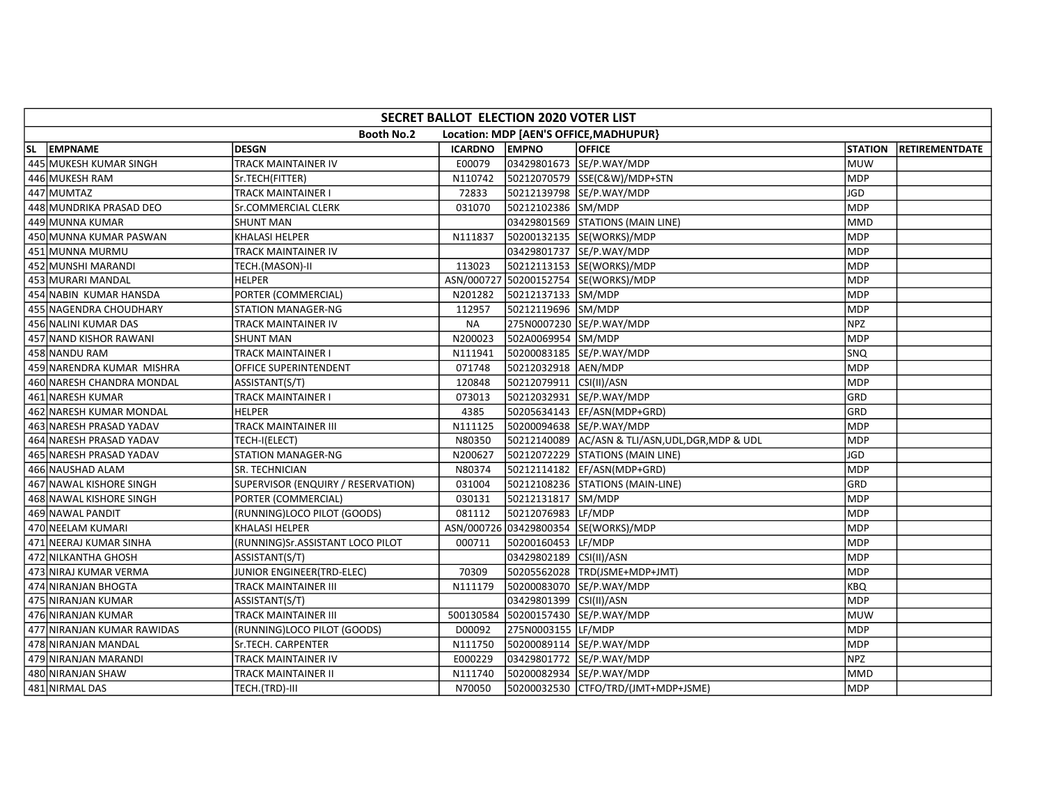| SECRET BALLOT ELECTION 2020 VOTER LIST |                                    |           |                         |                                                 |                |                       |  |  |  |  |
|----------------------------------------|------------------------------------|-----------|-------------------------|-------------------------------------------------|----------------|-----------------------|--|--|--|--|
|                                        | <b>Booth No.2</b>                  |           |                         | Location: MDP [AEN'S OFFICE, MADHUPUR}          |                |                       |  |  |  |  |
| SL EMPNAME                             | <b>DESGN</b>                       | ICARDNO   | <b>EMPNO</b>            | <b>OFFICE</b>                                   | <b>STATION</b> | <b>RETIREMENTDATE</b> |  |  |  |  |
| 445 MUKESH KUMAR SINGH                 | TRACK MAINTAINER IV                | E00079    |                         | 03429801673 SE/P.WAY/MDP                        | <b>MUW</b>     |                       |  |  |  |  |
| 446 MUKESH RAM                         | Sr.TECH(FITTER)                    | N110742   |                         | 50212070579 SSE(C&W)/MDP+STN                    | <b>MDP</b>     |                       |  |  |  |  |
| 447 MUMTAZ                             | TRACK MAINTAINER I                 | 72833     |                         | 50212139798 SE/P.WAY/MDP                        | JGD            |                       |  |  |  |  |
| 448 MUNDRIKA PRASAD DEO                | Sr.COMMERCIAL CLERK                | 031070    | 50212102386 SM/MDP      |                                                 | MDP            |                       |  |  |  |  |
| 449 MUNNA KUMAR                        | <b>SHUNT MAN</b>                   |           |                         | 03429801569 STATIONS (MAIN LINE)                | <b>MMD</b>     |                       |  |  |  |  |
| 450 MUNNA KUMAR PASWAN                 | <b>KHALASI HELPER</b>              | N111837   |                         | 50200132135 SE(WORKS)/MDP                       | <b>MDP</b>     |                       |  |  |  |  |
| 451 MUNNA MURMU                        | <b>TRACK MAINTAINER IV</b>         |           |                         | 03429801737 SE/P.WAY/MDP                        | <b>MDP</b>     |                       |  |  |  |  |
| 452 MUNSHI MARANDI                     | TECH.(MASON)-II                    | 113023    |                         | 50212113153 SE(WORKS)/MDP                       | <b>MDP</b>     |                       |  |  |  |  |
| 453 MURARI MANDAL                      | <b>HELPER</b>                      |           |                         | ASN/000727 50200152754 SE(WORKS)/MDP            | <b>MDP</b>     |                       |  |  |  |  |
| 454 NABIN KUMAR HANSDA                 | PORTER (COMMERCIAL)                | N201282   | 50212137133 SM/MDP      |                                                 | <b>MDP</b>     |                       |  |  |  |  |
| 455 NAGENDRA CHOUDHARY                 | <b>STATION MANAGER-NG</b>          | 112957    | 50212119696 SM/MDP      |                                                 | MDP            |                       |  |  |  |  |
| 456 NALINI KUMAR DAS                   | TRACK MAINTAINER IV                | <b>NA</b> |                         | 275N0007230 SE/P.WAY/MDP                        | <b>NPZ</b>     |                       |  |  |  |  |
| 457 NAND KISHOR RAWANI                 | <b>SHUNT MAN</b>                   | N200023   | 502A0069954 SM/MDP      |                                                 | <b>MDP</b>     |                       |  |  |  |  |
| 458 NANDU RAM                          | TRACK MAINTAINER I                 | N111941   |                         | 50200083185 SE/P.WAY/MDP                        | <b>SNQ</b>     |                       |  |  |  |  |
| 459 NARENDRA KUMAR MISHRA              | <b>OFFICE SUPERINTENDENT</b>       | 071748    | 50212032918 AEN/MDP     |                                                 | <b>MDP</b>     |                       |  |  |  |  |
| 460 NARESH CHANDRA MONDAL              | ASSISTANT(S/T)                     | 120848    | 50212079911 CSI(II)/ASN |                                                 | <b>MDP</b>     |                       |  |  |  |  |
| 461 NARESH KUMAR                       | <b>TRACK MAINTAINER I</b>          | 073013    |                         | 50212032931 SE/P.WAY/MDP                        | GRD            |                       |  |  |  |  |
| 462 NARESH KUMAR MONDAL                | <b>HELPER</b>                      | 4385      |                         | 50205634143  EF/ASN(MDP+GRD)                    | GRD            |                       |  |  |  |  |
| 463 NARESH PRASAD YADAV                | TRACK MAINTAINER III               | N111125   |                         | 50200094638 SE/P.WAY/MDP                        | <b>MDP</b>     |                       |  |  |  |  |
| 464 NARESH PRASAD YADAV                | TECH-I(ELECT)                      | N80350    |                         | 50212140089  AC/ASN & TLI/ASN,UDL,DGR,MDP & UDL | <b>MDP</b>     |                       |  |  |  |  |
| 465 NARESH PRASAD YADAV                | <b>STATION MANAGER-NG</b>          | N200627   |                         | 50212072229 STATIONS (MAIN LINE)                | <b>JGD</b>     |                       |  |  |  |  |
| 466 NAUSHAD ALAM                       | SR. TECHNICIAN                     | N80374    |                         | 50212114182 EF/ASN(MDP+GRD)                     | <b>MDP</b>     |                       |  |  |  |  |
| 467 NAWAL KISHORE SINGH                | SUPERVISOR (ENQUIRY / RESERVATION) | 031004    |                         | 50212108236 STATIONS (MAIN-LINE)                | GRD            |                       |  |  |  |  |
| 468 NAWAL KISHORE SINGH                | PORTER (COMMERCIAL)                | 030131    | 50212131817 SM/MDP      |                                                 | <b>MDP</b>     |                       |  |  |  |  |
| 469 NAWAL PANDIT                       | (RUNNING)LOCO PILOT (GOODS)        | 081112    | 50212076983 LF/MDP      |                                                 | <b>MDP</b>     |                       |  |  |  |  |
| 470 NEELAM KUMARI                      | <b>KHALASI HELPER</b>              |           |                         | ASN/000726 03429800354 SE(WORKS)/MDP            | <b>MDP</b>     |                       |  |  |  |  |
| 471 NEERAJ KUMAR SINHA                 | (RUNNING)Sr.ASSISTANT LOCO PILOT   | 000711    | 50200160453 LF/MDP      |                                                 | <b>MDP</b>     |                       |  |  |  |  |
| 472 NILKANTHA GHOSH                    | ASSISTANT(S/T)                     |           | 03429802189 CSI(II)/ASN |                                                 | MDP            |                       |  |  |  |  |
| 473 NIRAJ KUMAR VERMA                  | JUNIOR ENGINEER(TRD-ELEC)          | 70309     |                         | 50205562028 TRD(JSME+MDP+JMT)                   | <b>MDP</b>     |                       |  |  |  |  |
| 474 NIRANJAN BHOGTA                    | TRACK MAINTAINER III               | N111179   |                         | 50200083070 SE/P.WAY/MDP                        | <b>KBQ</b>     |                       |  |  |  |  |
| 475 NIRANJAN KUMAR                     | ASSISTANT(S/T)                     |           | 03429801399 CSI(II)/ASN |                                                 | <b>MDP</b>     |                       |  |  |  |  |
| 476 NIRANJAN KUMAR                     | <b>TRACK MAINTAINER III</b>        |           |                         | 500130584 50200157430 SE/P.WAY/MDP              | MUW            |                       |  |  |  |  |
| 477 NIRANJAN KUMAR RAWIDAS             | (RUNNING)LOCO PILOT (GOODS)        | D00092    | 275N0003155 LF/MDP      |                                                 | <b>MDP</b>     |                       |  |  |  |  |
| 478 NIRANJAN MANDAL                    | Sr.TECH. CARPENTER                 | N111750   |                         | 50200089114 SE/P.WAY/MDP                        | <b>MDP</b>     |                       |  |  |  |  |
| 479 NIRANJAN MARANDI                   | <b>TRACK MAINTAINER IV</b>         | E000229   |                         | 03429801772 SE/P.WAY/MDP                        | NPZ            |                       |  |  |  |  |
| 480 NIRANJAN SHAW                      | TRACK MAINTAINER II                | N111740   |                         | 50200082934 SE/P.WAY/MDP                        | <b>MMD</b>     |                       |  |  |  |  |
| 481 NIRMAL DAS                         | TECH.(TRD)-III                     | N70050    |                         | 50200032530 CTFO/TRD/(JMT+MDP+JSME)             | <b>MDP</b>     |                       |  |  |  |  |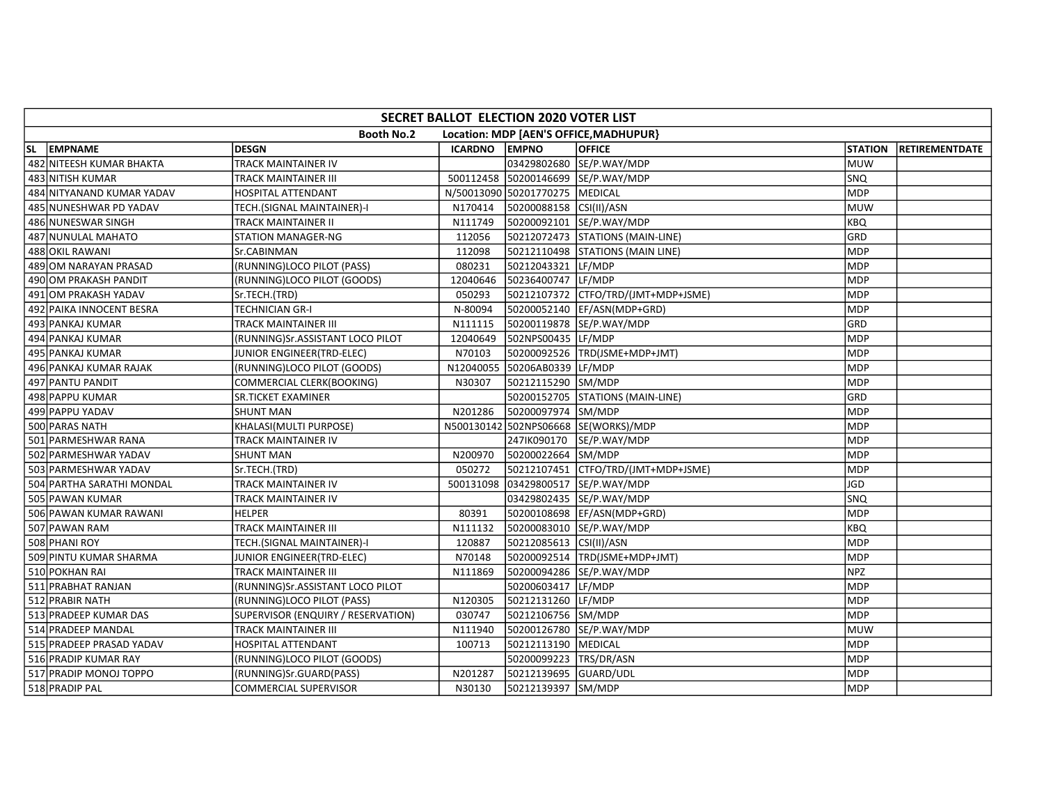| SECRET BALLOT ELECTION 2020 VOTER LIST |                                    |               |                                |                                        |                |                       |  |  |  |  |
|----------------------------------------|------------------------------------|---------------|--------------------------------|----------------------------------------|----------------|-----------------------|--|--|--|--|
|                                        | <b>Booth No.2</b>                  |               |                                | Location: MDP [AEN'S OFFICE, MADHUPUR} |                |                       |  |  |  |  |
| SL EMPNAME                             | <b>DESGN</b>                       | ICARDNO EMPNO |                                | <b>OFFICE</b>                          | <b>STATION</b> | <b>RETIREMENTDATE</b> |  |  |  |  |
| 482 NITEESH KUMAR BHAKTA               | TRACK MAINTAINER IV                |               |                                | 03429802680 SE/P.WAY/MDP               | <b>MUW</b>     |                       |  |  |  |  |
| 483 NITISH KUMAR                       | TRACK MAINTAINER III               |               |                                | 500112458 50200146699 SE/P.WAY/MDP     | <b>SNQ</b>     |                       |  |  |  |  |
| 484 NITYANAND KUMAR YADAV              | HOSPITAL ATTENDANT                 |               | N/50013090 50201770275 MEDICAL |                                        | <b>MDP</b>     |                       |  |  |  |  |
| 485 NUNESHWAR PD YADAV                 | TECH.(SIGNAL MAINTAINER)-I         | N170414       | 50200088158 CSI(II)/ASN        |                                        | MUW            |                       |  |  |  |  |
| 486 NUNESWAR SINGH                     | TRACK MAINTAINER II                | N111749       |                                | 50200092101 SE/P.WAY/MDP               | KBQ            |                       |  |  |  |  |
| 487 NUNULAL MAHATO                     | STATION MANAGER-NG                 | 112056        |                                | 50212072473 STATIONS (MAIN-LINE)       | GRD            |                       |  |  |  |  |
| 488 OKIL RAWANI                        | Sr.CABINMAN                        | 112098        |                                | 50212110498 STATIONS (MAIN LINE)       | <b>MDP</b>     |                       |  |  |  |  |
| 489 OM NARAYAN PRASAD                  | (RUNNING)LOCO PILOT (PASS)         | 080231        | 50212043321 LF/MDP             |                                        | <b>MDP</b>     |                       |  |  |  |  |
| 490 OM PRAKASH PANDIT                  | (RUNNING)LOCO PILOT (GOODS)        | 12040646      | 50236400747 LF/MDP             |                                        | <b>MDP</b>     |                       |  |  |  |  |
| 491 OM PRAKASH YADAV                   | Sr.TECH.(TRD)                      | 050293        |                                |                                        | <b>MDP</b>     |                       |  |  |  |  |
| 492 PAIKA INNOCENT BESRA               | TECHNICIAN GR-I                    | N-80094       |                                | 50200052140  EF/ASN(MDP+GRD)           | MDP            |                       |  |  |  |  |
| 493 PANKAJ KUMAR                       | TRACK MAINTAINER III               | N111115       |                                | 50200119878 SE/P.WAY/MDP               | GRD            |                       |  |  |  |  |
| 494 PANKAJ KUMAR                       | (RUNNING)Sr.ASSISTANT LOCO PILOT   | 12040649      | 502NPS00435 LF/MDP             |                                        | <b>MDP</b>     |                       |  |  |  |  |
| 495 PANKAJ KUMAR                       | JUNIOR ENGINEER(TRD-ELEC)          | N70103        |                                | 50200092526 TRD(JSME+MDP+JMT)          | <b>MDP</b>     |                       |  |  |  |  |
| 496 PANKAJ KUMAR RAJAK                 | (RUNNING)LOCO PILOT (GOODS)        |               | N12040055 50206AB0339 LF/MDP   |                                        | <b>MDP</b>     |                       |  |  |  |  |
| 497 PANTU PANDIT                       | COMMERCIAL CLERK(BOOKING)          | N30307        | 50212115290 SM/MDP             |                                        | <b>MDP</b>     |                       |  |  |  |  |
| 498 PAPPU KUMAR                        | SR.TICKET EXAMINER                 |               |                                | 50200152705 STATIONS (MAIN-LINE)       | GRD            |                       |  |  |  |  |
| 499 PAPPU YADAV                        | <b>SHUNT MAN</b>                   | N201286       | 50200097974 SM/MDP             |                                        | <b>MDP</b>     |                       |  |  |  |  |
| 500 PARAS NATH                         | KHALASI(MULTI PURPOSE)             |               |                                | N500130142 502NPS06668 SE(WORKS)/MDP   | <b>MDP</b>     |                       |  |  |  |  |
| 501 PARMESHWAR RANA                    | TRACK MAINTAINER IV                |               | 247IK090170                    | SE/P.WAY/MDP                           | <b>MDP</b>     |                       |  |  |  |  |
| 502 PARMESHWAR YADAV                   | <b>SHUNT MAN</b>                   | N200970       | 50200022664 SM/MDP             |                                        | MDP            |                       |  |  |  |  |
| 503 PARMESHWAR YADAV                   | Sr.TECH.(TRD)                      | 050272        |                                |                                        | <b>MDP</b>     |                       |  |  |  |  |
| 504 PARTHA SARATHI MONDAL              | TRACK MAINTAINER IV                | 500131098     |                                | 03429800517 SE/P.WAY/MDP               | JGD            |                       |  |  |  |  |
| 505 PAWAN KUMAR                        | TRACK MAINTAINER IV                |               |                                | 03429802435 SE/P.WAY/MDP               | SNQ            |                       |  |  |  |  |
| 506 PAWAN KUMAR RAWANI                 | <b>HELPER</b>                      | 80391         |                                | 50200108698  EF/ASN(MDP+GRD)           | <b>MDP</b>     |                       |  |  |  |  |
| 507 PAWAN RAM                          | <b>TRACK MAINTAINER III</b>        | N111132       |                                | 50200083010 SE/P.WAY/MDP               | KBQ            |                       |  |  |  |  |
| 508 PHANI ROY                          | TECH.(SIGNAL MAINTAINER)-I         | 120887        | 50212085613 CSI(II)/ASN        |                                        | <b>MDP</b>     |                       |  |  |  |  |
| 509 PINTU KUMAR SHARMA                 | JUNIOR ENGINEER(TRD-ELEC)          | N70148        |                                | 50200092514 TRD(JSME+MDP+JMT)          | MDP            |                       |  |  |  |  |
| 510 POKHAN RAI                         | TRACK MAINTAINER III               | N111869       |                                | 50200094286 SE/P.WAY/MDP               | <b>NPZ</b>     |                       |  |  |  |  |
| 511 PRABHAT RANJAN                     | (RUNNING)Sr.ASSISTANT LOCO PILOT   |               | 50200603417 LF/MDP             |                                        | <b>MDP</b>     |                       |  |  |  |  |
| 512 PRABIR NATH                        | (RUNNING)LOCO PILOT (PASS)         | N120305       | 50212131260 LF/MDP             |                                        | <b>MDP</b>     |                       |  |  |  |  |
| 513 PRADEEP KUMAR DAS                  | SUPERVISOR (ENQUIRY / RESERVATION) | 030747        | 50212106756 SM/MDP             |                                        | <b>MDP</b>     |                       |  |  |  |  |
| 514 PRADEEP MANDAL                     | TRACK MAINTAINER III               | N111940       |                                | 50200126780 SE/P.WAY/MDP               | <b>MUW</b>     |                       |  |  |  |  |
| 515 PRADEEP PRASAD YADAV               | HOSPITAL ATTENDANT                 | 100713        | 50212113190                    | <b>MEDICAL</b>                         | <b>MDP</b>     |                       |  |  |  |  |
| 516 PRADIP KUMAR RAY                   | (RUNNING)LOCO PILOT (GOODS)        |               | 50200099223                    | TRS/DR/ASN                             | MDP            |                       |  |  |  |  |
| 517 PRADIP MONOJ TOPPO                 | (RUNNING)Sr.GUARD(PASS)            | N201287       |                                |                                        | <b>MDP</b>     |                       |  |  |  |  |
| 518 PRADIP PAL                         | <b>COMMERCIAL SUPERVISOR</b>       | N30130        | 50212139397 SM/MDP             |                                        | <b>MDP</b>     |                       |  |  |  |  |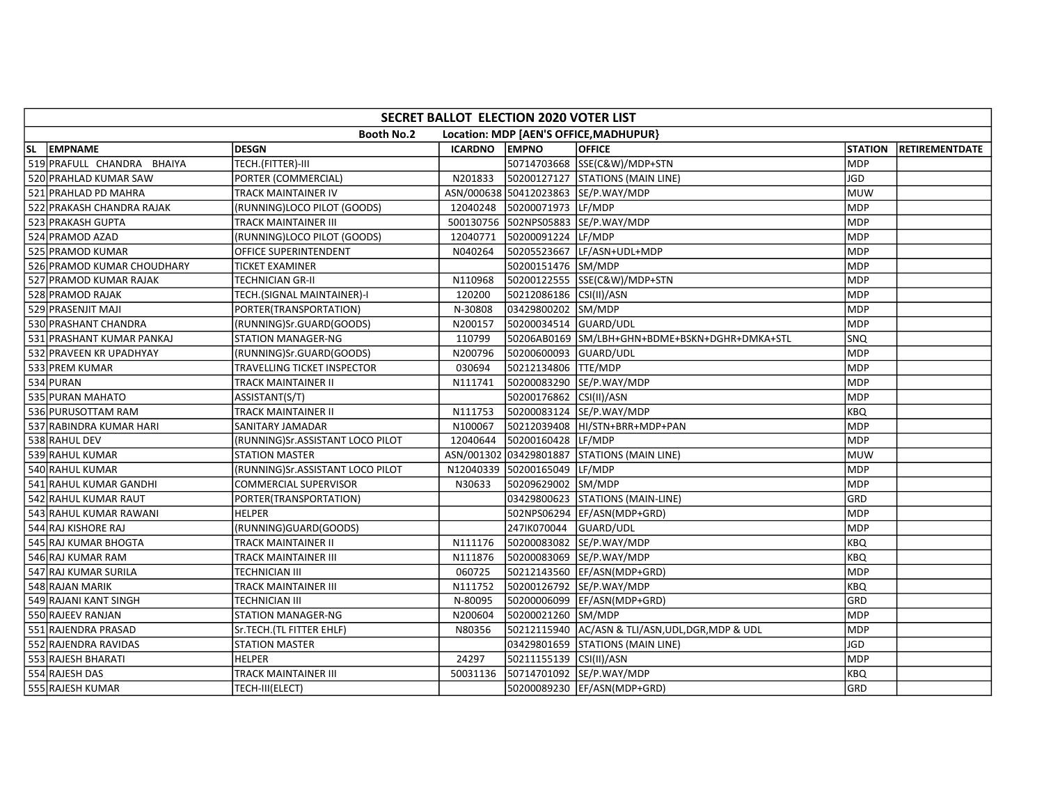| SECRET BALLOT ELECTION 2020 VOTER LIST |                                  |          |                         |                                                |                |                       |  |  |  |
|----------------------------------------|----------------------------------|----------|-------------------------|------------------------------------------------|----------------|-----------------------|--|--|--|
|                                        | <b>Booth No.2</b>                |          |                         | Location: MDP [AEN'S OFFICE, MADHUPUR}         |                |                       |  |  |  |
| SL EMPNAME                             | <b>DESGN</b>                     | ICARDNO  | <b>EMPNO</b>            | <b>OFFICE</b>                                  | <b>STATION</b> | <b>RETIREMENTDATE</b> |  |  |  |
| 519 PRAFULL CHANDRA BHAIYA             | TECH.(FITTER)-III                |          |                         | 50714703668 SSE(C&W)/MDP+STN                   | <b>MDP</b>     |                       |  |  |  |
| 520 PRAHLAD KUMAR SAW                  | PORTER (COMMERCIAL)              | N201833  |                         | 50200127127 STATIONS (MAIN LINE)               | <b>JGD</b>     |                       |  |  |  |
| 521 PRAHLAD PD MAHRA                   | TRACK MAINTAINER IV              |          |                         | ASN/000638 50412023863 SE/P.WAY/MDP            | <b>MUW</b>     |                       |  |  |  |
| 522 PRAKASH CHANDRA RAJAK              | (RUNNING)LOCO PILOT (GOODS)      | 12040248 | 50200071973 LF/MDP      |                                                | <b>MDP</b>     |                       |  |  |  |
| 523 PRAKASH GUPTA                      | TRACK MAINTAINER III             |          |                         | 500130756 502NPS05883 SE/P.WAY/MDP             | <b>MDP</b>     |                       |  |  |  |
| 524 PRAMOD AZAD                        | (RUNNING)LOCO PILOT (GOODS)      | 12040771 | 50200091224 LF/MDP      |                                                | <b>MDP</b>     |                       |  |  |  |
| 525 PRAMOD KUMAR                       | OFFICE SUPERINTENDENT            | N040264  |                         | 50205523667 LF/ASN+UDL+MDP                     | <b>MDP</b>     |                       |  |  |  |
| 526 PRAMOD KUMAR CHOUDHARY             | TICKET EXAMINER                  |          | 50200151476 SM/MDP      |                                                | <b>MDP</b>     |                       |  |  |  |
| 527 PRAMOD KUMAR RAJAK                 | TECHNICIAN GR-II                 | N110968  |                         | 50200122555 SSE(C&W)/MDP+STN                   | <b>MDP</b>     |                       |  |  |  |
| 528 PRAMOD RAJAK                       | TECH. (SIGNAL MAINTAINER)-I      | 120200   | 50212086186 CSI(II)/ASN |                                                | <b>MDP</b>     |                       |  |  |  |
| 529 PRASENJIT MAJI                     | PORTER(TRANSPORTATION)           | N-30808  | 03429800202 SM/MDP      |                                                | <b>MDP</b>     |                       |  |  |  |
| 530 PRASHANT CHANDRA                   | (RUNNING)Sr.GUARD(GOODS)         | N200157  | 50200034514 GUARD/UDL   |                                                | <b>MDP</b>     |                       |  |  |  |
| 531 PRASHANT KUMAR PANKAJ              | <b>STATION MANAGER-NG</b>        | 110799   |                         |                                                | SNQ            |                       |  |  |  |
| 532 PRAVEEN KR UPADHYAY                | (RUNNING)Sr.GUARD(GOODS)         | N200796  | 50200600093 GUARD/UDL   |                                                | MDP            |                       |  |  |  |
| 533 PREM KUMAR                         | TRAVELLING TICKET INSPECTOR      | 030694   | 50212134806   TTE/MDP   |                                                | <b>MDP</b>     |                       |  |  |  |
| 534 PURAN                              | TRACK MAINTAINER II              | N111741  |                         | 50200083290 SE/P.WAY/MDP                       | <b>MDP</b>     |                       |  |  |  |
| 535 PURAN MAHATO                       | ASSISTANT(S/T)                   |          | 50200176862 CSI(II)/ASN |                                                | <b>MDP</b>     |                       |  |  |  |
| 536 PURUSOTTAM RAM                     | TRACK MAINTAINER II              | N111753  |                         | 50200083124 SE/P.WAY/MDP                       | <b>KBQ</b>     |                       |  |  |  |
| 537 RABINDRA KUMAR HARI                | SANITARY JAMADAR                 | N100067  |                         | 50212039408 HI/STN+BRR+MDP+PAN                 | <b>MDP</b>     |                       |  |  |  |
| 538 RAHUL DEV                          | (RUNNING)Sr.ASSISTANT LOCO PILOT | 12040644 | 50200160428 LF/MDP      |                                                | <b>MDP</b>     |                       |  |  |  |
| 539 RAHUL KUMAR                        | <b>STATION MASTER</b>            |          | ASN/001302 03429801887  | <b>STATIONS (MAIN LINE)</b>                    | <b>MUW</b>     |                       |  |  |  |
| 540 RAHUL KUMAR                        | (RUNNING)Sr.ASSISTANT LOCO PILOT |          | N12040339 50200165049   | LF/MDP                                         | <b>MDP</b>     |                       |  |  |  |
| 541 RAHUL KUMAR GANDHI                 | COMMERCIAL SUPERVISOR            | N30633   | 50209629002 SM/MDP      |                                                | <b>MDP</b>     |                       |  |  |  |
| 542 RAHUL KUMAR RAUT                   | PORTER(TRANSPORTATION)           |          |                         | 03429800623 STATIONS (MAIN-LINE)               | lgrd           |                       |  |  |  |
| 543 RAHUL KUMAR RAWANI                 | <b>HELPER</b>                    |          |                         | 502NPS06294 EF/ASN(MDP+GRD)                    | <b>MDP</b>     |                       |  |  |  |
| 544 RAJ KISHORE RAJ                    | (RUNNING)GUARD(GOODS)            |          | 247IK070044 GUARD/UDL   |                                                | <b>MDP</b>     |                       |  |  |  |
| 545 RAJ KUMAR BHOGTA                   | TRACK MAINTAINER II              | N111176  |                         | 50200083082 SE/P.WAY/MDP                       | <b>KBQ</b>     |                       |  |  |  |
| 546 RAJ KUMAR RAM                      | TRACK MAINTAINER III             | N111876  |                         | 50200083069 SE/P.WAY/MDP                       | <b>KBQ</b>     |                       |  |  |  |
| 547 RAJ KUMAR SURILA                   | TECHNICIAN III                   | 060725   |                         | 50212143560   EF/ASN (MDP+GRD)                 | <b>MDP</b>     |                       |  |  |  |
| 548 RAJAN MARIK                        | TRACK MAINTAINER III             | N111752  |                         | 50200126792 SE/P.WAY/MDP                       | <b>KBQ</b>     |                       |  |  |  |
| 549 RAJANI KANT SINGH                  | <b>TECHNICIAN III</b>            | N-80095  |                         | 50200006099  EF/ASN(MDP+GRD)                   | GRD            |                       |  |  |  |
| 550 RAJEEV RANJAN                      | <b>STATION MANAGER-NG</b>        | N200604  | 50200021260 SM/MDP      |                                                | <b>MDP</b>     |                       |  |  |  |
| 551 RAJENDRA PRASAD                    | Sr.TECH.(TL FITTER EHLF)         | N80356   |                         | 50212115940 AC/ASN & TLI/ASN,UDL,DGR,MDP & UDL | <b>MDP</b>     |                       |  |  |  |
| 552 RAJENDRA RAVIDAS                   | <b>STATION MASTER</b>            |          |                         | 03429801659 STATIONS (MAIN LINE)               | JGD            |                       |  |  |  |
| 553 RAJESH BHARATI                     | <b>HELPER</b>                    | 24297    | 50211155139 CSI(II)/ASN |                                                | <b>MDP</b>     |                       |  |  |  |
| 554 RAJESH DAS                         | TRACK MAINTAINER III             | 50031136 |                         | 50714701092 SE/P.WAY/MDP                       | <b>KBQ</b>     |                       |  |  |  |
| 555 RAJESH KUMAR                       | TECH-III(ELECT)                  |          |                         | 50200089230   EF/ASN(MDP+GRD)                  | GRD            |                       |  |  |  |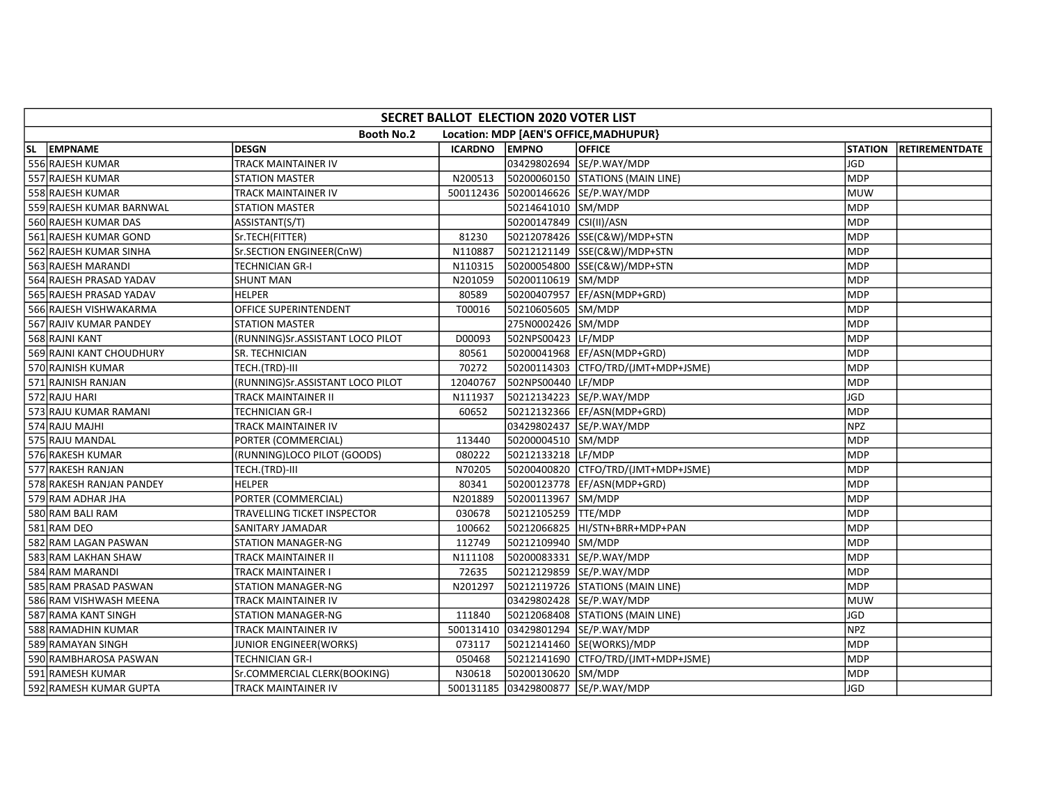| SECRET BALLOT ELECTION 2020 VOTER LIST |                                  |          |                         |                                        |                |                |  |  |  |  |
|----------------------------------------|----------------------------------|----------|-------------------------|----------------------------------------|----------------|----------------|--|--|--|--|
|                                        | <b>Booth No.2</b>                |          |                         | Location: MDP [AEN'S OFFICE, MADHUPUR} |                |                |  |  |  |  |
| SL EMPNAME                             | <b>DESGN</b>                     | ICARDNO  | <b>EMPNO</b>            | <b>OFFICE</b>                          | <b>STATION</b> | RETIREMENTDATE |  |  |  |  |
| 556 RAJESH KUMAR                       | TRACK MAINTAINER IV              |          |                         | 03429802694 SE/P.WAY/MDP               | <b>JGD</b>     |                |  |  |  |  |
| 557 RAJESH KUMAR                       | STATION MASTER                   | N200513  |                         | 50200060150 STATIONS (MAIN LINE)       | <b>MDP</b>     |                |  |  |  |  |
| 558 RAJESH KUMAR                       | TRACK MAINTAINER IV              |          |                         | 500112436 50200146626 SE/P.WAY/MDP     | <b>MUW</b>     |                |  |  |  |  |
| 559 RAJESH KUMAR BARNWAL               | <b>STATION MASTER</b>            |          | 50214641010 SM/MDP      |                                        | <b>MDP</b>     |                |  |  |  |  |
| 560 RAJESH KUMAR DAS                   | ASSISTANT(S/T)                   |          | 50200147849 CSI(II)/ASN |                                        | <b>MDP</b>     |                |  |  |  |  |
| 561 RAJESH KUMAR GOND                  | Sr.TECH(FITTER)                  | 81230    |                         | 50212078426 SSE(C&W)/MDP+STN           | <b>MDP</b>     |                |  |  |  |  |
| 562 RAJESH KUMAR SINHA                 | Sr.SECTION ENGINEER(CnW)         | N110887  |                         | 50212121149 SSE(C&W)/MDP+STN           | <b>MDP</b>     |                |  |  |  |  |
| 563 RAJESH MARANDI                     | TECHNICIAN GR-I                  | N110315  |                         | 50200054800 SSE(C&W)/MDP+STN           | <b>MDP</b>     |                |  |  |  |  |
| 564 RAJESH PRASAD YADAV                | <b>SHUNT MAN</b>                 | N201059  | 50200110619 SM/MDP      |                                        | <b>MDP</b>     |                |  |  |  |  |
| 565 RAJESH PRASAD YADAV                | <b>HELPER</b>                    | 80589    |                         | 50200407957 EF/ASN(MDP+GRD)            | <b>MDP</b>     |                |  |  |  |  |
| 566 RAJESH VISHWAKARMA                 | OFFICE SUPERINTENDENT            | T00016   | 50210605605 SM/MDP      |                                        | MDP            |                |  |  |  |  |
| 567 RAJIV KUMAR PANDEY                 | <b>STATION MASTER</b>            |          | 275N0002426 SM/MDP      |                                        | <b>MDP</b>     |                |  |  |  |  |
| 568 RAJNI KANT                         | (RUNNING)Sr.ASSISTANT LOCO PILOT | D00093   | 502NPS00423 LF/MDP      |                                        | <b>MDP</b>     |                |  |  |  |  |
| 569 RAJNI KANT CHOUDHURY               | <b>SR. TECHNICIAN</b>            | 80561    |                         | 50200041968 EF/ASN(MDP+GRD)            | <b>MDP</b>     |                |  |  |  |  |
| 570 RAJNISH KUMAR                      | TECH.(TRD)-III                   | 70272    |                         |                                        | <b>MDP</b>     |                |  |  |  |  |
| 571 RAJNISH RANJAN                     | (RUNNING)Sr.ASSISTANT LOCO PILOT | 12040767 | 502NPS00440 LF/MDP      |                                        | <b>MDP</b>     |                |  |  |  |  |
| 572 RAJU HARI                          | TRACK MAINTAINER II              | N111937  |                         | 50212134223 SE/P.WAY/MDP               | JGD            |                |  |  |  |  |
| 573 RAJU KUMAR RAMANI                  | <b>TECHNICIAN GR-I</b>           | 60652    |                         | 50212132366 EF/ASN(MDP+GRD)            | MDP            |                |  |  |  |  |
| 574 RAJU MAJHI                         | TRACK MAINTAINER IV              |          |                         | 03429802437 SE/P.WAY/MDP               | <b>NPZ</b>     |                |  |  |  |  |
| 575 RAJU MANDAL                        | PORTER (COMMERCIAL)              | 113440   | 50200004510 SM/MDP      |                                        | <b>MDP</b>     |                |  |  |  |  |
| 576 RAKESH KUMAR                       | (RUNNING)LOCO PILOT (GOODS)      | 080222   | 50212133218 LF/MDP      |                                        | <b>MDP</b>     |                |  |  |  |  |
| 577 RAKESH RANJAN                      | TECH.(TRD)-III                   | N70205   |                         | 50200400820 CTFO/TRD/(JMT+MDP+JSME)    | <b>MDP</b>     |                |  |  |  |  |
| 578 RAKESH RANJAN PANDEY               | <b>HELPER</b>                    | 80341    | 50200123778             | EF/ASN(MDP+GRD)                        | <b>MDP</b>     |                |  |  |  |  |
| 579 RAM ADHAR JHA                      | PORTER (COMMERCIAL)              | N201889  | 50200113967 SM/MDP      |                                        | <b>MDP</b>     |                |  |  |  |  |
| 580 RAM BALI RAM                       | TRAVELLING TICKET INSPECTOR      | 030678   | 50212105259 TTE/MDP     |                                        | <b>MDP</b>     |                |  |  |  |  |
| 581 RAM DEO                            | SANITARY JAMADAR                 | 100662   |                         | 50212066825 HI/STN+BRR+MDP+PAN         | <b>MDP</b>     |                |  |  |  |  |
| 582 RAM LAGAN PASWAN                   | STATION MANAGER-NG               | 112749   | 50212109940 SM/MDP      |                                        | <b>MDP</b>     |                |  |  |  |  |
| 583 RAM LAKHAN SHAW                    | TRACK MAINTAINER II              | N111108  |                         | 50200083331 SE/P.WAY/MDP               | MDP            |                |  |  |  |  |
| 584 RAM MARANDI                        | TRACK MAINTAINER I               | 72635    |                         | 50212129859 SE/P.WAY/MDP               | <b>MDP</b>     |                |  |  |  |  |
| 585 RAM PRASAD PASWAN                  | STATION MANAGER-NG               | N201297  |                         | 50212119726 STATIONS (MAIN LINE)       | <b>MDP</b>     |                |  |  |  |  |
| 586 RAM VISHWASH MEENA                 | TRACK MAINTAINER IV              |          |                         | 03429802428 SE/P.WAY/MDP               | <b>MUW</b>     |                |  |  |  |  |
| 587 RAMA KANT SINGH                    | STATION MANAGER-NG               | 111840   |                         | 50212068408 STATIONS (MAIN LINE)       | JGD            |                |  |  |  |  |
| 588 RAMADHIN KUMAR                     | TRACK MAINTAINER IV              |          |                         | 500131410 03429801294 SE/P.WAY/MDP     | <b>NPZ</b>     |                |  |  |  |  |
| 589 RAMAYAN SINGH                      | JUNIOR ENGINEER(WORKS)           | 073117   |                         | 50212141460 SE(WORKS)/MDP              | <b>MDP</b>     |                |  |  |  |  |
| 590 RAMBHAROSA PASWAN                  | <b>TECHNICIAN GR-I</b>           | 050468   |                         | 50212141690 CTFO/TRD/(JMT+MDP+JSME)    | MDP            |                |  |  |  |  |
| 591 RAMESH KUMAR                       | Sr.COMMERCIAL CLERK(BOOKING)     | N30618   | 50200130620 SM/MDP      |                                        | <b>MDP</b>     |                |  |  |  |  |
| 592 RAMESH KUMAR GUPTA                 | TRACK MAINTAINER IV              |          |                         | 500131185 03429800877 SE/P.WAY/MDP     | JGD            |                |  |  |  |  |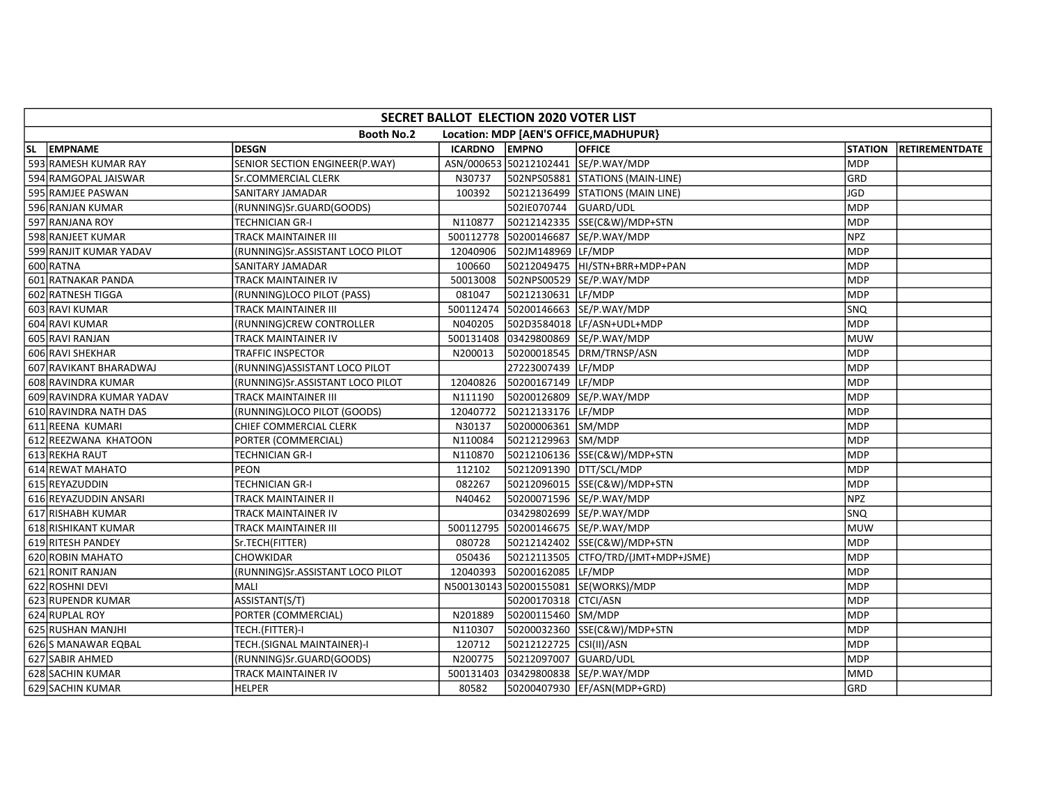| SECRET BALLOT ELECTION 2020 VOTER LIST |                                  |               |                         |                                        |                |                       |  |  |  |
|----------------------------------------|----------------------------------|---------------|-------------------------|----------------------------------------|----------------|-----------------------|--|--|--|
|                                        | <b>Booth No.2</b>                |               |                         | Location: MDP [AEN'S OFFICE, MADHUPUR] |                |                       |  |  |  |
| SL EMPNAME                             | <b>DESGN</b>                     | ICARDNO EMPNO |                         | <b>OFFICE</b>                          | <b>STATION</b> | <b>RETIREMENTDATE</b> |  |  |  |
| 593 RAMESH KUMAR RAY                   | SENIOR SECTION ENGINEER(P.WAY)   |               |                         | ASN/000653 50212102441 SE/P.WAY/MDP    | <b>MDP</b>     |                       |  |  |  |
| 594 RAMGOPAL JAISWAR                   | Sr.COMMERCIAL CLERK              | N30737        |                         | 502NPS05881 STATIONS (MAIN-LINE)       | GRD            |                       |  |  |  |
| 595 RAMJEE PASWAN                      | SANITARY JAMADAR                 | 100392        |                         | 50212136499 STATIONS (MAIN LINE)       | <b>JGD</b>     |                       |  |  |  |
| 596 RANJAN KUMAR                       | (RUNNING)Sr.GUARD(GOODS)         |               | 502IE070744 GUARD/UDL   |                                        | <b>MDP</b>     |                       |  |  |  |
| 597 RANJANA ROY                        | <b>TECHNICIAN GR-I</b>           | N110877       |                         | 50212142335 SSE(C&W)/MDP+STN           | <b>MDP</b>     |                       |  |  |  |
| 598 RANJEET KUMAR                      | <b>TRACK MAINTAINER III</b>      |               |                         | 500112778 50200146687 SE/P.WAY/MDP     | <b>NPZ</b>     |                       |  |  |  |
| 599 RANJIT KUMAR YADAV                 | (RUNNING)Sr.ASSISTANT LOCO PILOT | 12040906      | 502JM148969 LF/MDP      |                                        | <b>MDP</b>     |                       |  |  |  |
| 600 RATNA                              | SANITARY JAMADAR                 | 100660        |                         | 50212049475 HI/STN+BRR+MDP+PAN         | <b>MDP</b>     |                       |  |  |  |
| 601 RATNAKAR PANDA                     | TRACK MAINTAINER IV              | 50013008      |                         | 502NPS00529 SE/P.WAY/MDP               | <b>MDP</b>     |                       |  |  |  |
| 602 RATNESH TIGGA                      | (RUNNING)LOCO PILOT (PASS)       | 081047        | 50212130631 LF/MDP      |                                        | <b>MDP</b>     |                       |  |  |  |
| 603 RAVI KUMAR                         | <b>TRACK MAINTAINER III</b>      |               |                         | 500112474 50200146663 SE/P.WAY/MDP     | <b>SNQ</b>     |                       |  |  |  |
| 604 RAVI KUMAR                         | (RUNNING)CREW CONTROLLER         | N040205       |                         | 502D3584018 LF/ASN+UDL+MDP             | <b>MDP</b>     |                       |  |  |  |
| 605 RAVI RANJAN                        | <b>TRACK MAINTAINER IV</b>       |               |                         | 500131408 03429800869 SE/P.WAY/MDP     | <b>MUW</b>     |                       |  |  |  |
| 606 RAVI SHEKHAR                       | <b>TRAFFIC INSPECTOR</b>         | N200013       |                         | 50200018545 DRM/TRNSP/ASN              | <b>MDP</b>     |                       |  |  |  |
| 607 RAVIKANT BHARADWAJ                 | (RUNNING) ASSISTANT LOCO PILOT   |               | 27223007439 LF/MDP      |                                        | <b>MDP</b>     |                       |  |  |  |
| 608 RAVINDRA KUMAR                     | (RUNNING)Sr.ASSISTANT LOCO PILOT | 12040826      | 50200167149 LF/MDP      |                                        | <b>MDP</b>     |                       |  |  |  |
| 609 RAVINDRA KUMAR YADAV               | <b>TRACK MAINTAINER III</b>      | N111190       |                         | 50200126809 SE/P.WAY/MDP               | <b>MDP</b>     |                       |  |  |  |
| 610 RAVINDRA NATH DAS                  | (RUNNING)LOCO PILOT (GOODS)      | 12040772      | 50212133176 LF/MDP      |                                        | <b>MDP</b>     |                       |  |  |  |
| 611 REENA KUMARI                       | CHIEF COMMERCIAL CLERK           | N30137        | 50200006361 SM/MDP      |                                        | <b>MDP</b>     |                       |  |  |  |
| 612 REEZWANA KHATOON                   | PORTER (COMMERCIAL)              | N110084       | 50212129963 SM/MDP      |                                        | <b>MDP</b>     |                       |  |  |  |
| 613 REKHA RAUT                         | <b>TECHNICIAN GR-I</b>           | N110870       |                         | 50212106136 SSE(C&W)/MDP+STN           | MDP            |                       |  |  |  |
| 614 REWAT MAHATO                       | PEON                             | 112102        | 50212091390 DTT/SCL/MDP |                                        | <b>MDP</b>     |                       |  |  |  |
| 615 REYAZUDDIN                         | <b>TECHNICIAN GR-I</b>           | 082267        |                         | 50212096015 SSE(C&W)/MDP+STN           | <b>MDP</b>     |                       |  |  |  |
| 616 REYAZUDDIN ANSARI                  | TRACK MAINTAINER II              | N40462        |                         | 50200071596 SE/P.WAY/MDP               | <b>NPZ</b>     |                       |  |  |  |
| 617 RISHABH KUMAR                      | TRACK MAINTAINER IV              |               |                         | 03429802699 SE/P.WAY/MDP               | <b>SNQ</b>     |                       |  |  |  |
| 618 RISHIKANT KUMAR                    | <b>TRACK MAINTAINER III</b>      |               |                         | 500112795 50200146675 SE/P.WAY/MDP     | <b>MUW</b>     |                       |  |  |  |
| 619 RITESH PANDEY                      | Sr.TECH(FITTER)                  | 080728        |                         | 50212142402 SSE(C&W)/MDP+STN           | MDP            |                       |  |  |  |
| 620 ROBIN MAHATO                       | <b>CHOWKIDAR</b>                 | 050436        |                         | 50212113505 CTFO/TRD/(JMT+MDP+JSME)    | MDP            |                       |  |  |  |
| 621 RONIT RANJAN                       | (RUNNING)Sr.ASSISTANT LOCO PILOT | 12040393      | 50200162085 LF/MDP      |                                        | <b>MDP</b>     |                       |  |  |  |
| 622 ROSHNI DEVI                        | MALI                             |               |                         | N500130143 50200155081 SE(WORKS)/MDP   | <b>MDP</b>     |                       |  |  |  |
| 623 RUPENDR KUMAR                      | ASSISTANT(S/T)                   |               | 50200170318 CTCI/ASN    |                                        | <b>MDP</b>     |                       |  |  |  |
| 624 RUPLAL ROY                         | PORTER (COMMERCIAL)              | N201889       | 50200115460 SM/MDP      |                                        | <b>MDP</b>     |                       |  |  |  |
| 625 RUSHAN MANJHI                      | TECH.(FITTER)-I                  | N110307       |                         | 50200032360 SSE(C&W)/MDP+STN           | <b>MDP</b>     |                       |  |  |  |
| 626 S MANAWAR EQBAL                    | TECH.(SIGNAL MAINTAINER)-I       | 120712        | 50212122725 CSI(II)/ASN |                                        | MDP            |                       |  |  |  |
| 627 SABIR AHMED                        | (RUNNING)Sr.GUARD(GOODS)         | N200775       | 50212097007 GUARD/UDL   |                                        | <b>MDP</b>     |                       |  |  |  |
| 628 SACHIN KUMAR                       | TRACK MAINTAINER IV              |               |                         | 500131403 03429800838 SE/P.WAY/MDP     | <b>MMD</b>     |                       |  |  |  |
| 629 SACHIN KUMAR                       | <b>HELPER</b>                    | 80582         |                         | 50200407930 EF/ASN(MDP+GRD)            | GRD            |                       |  |  |  |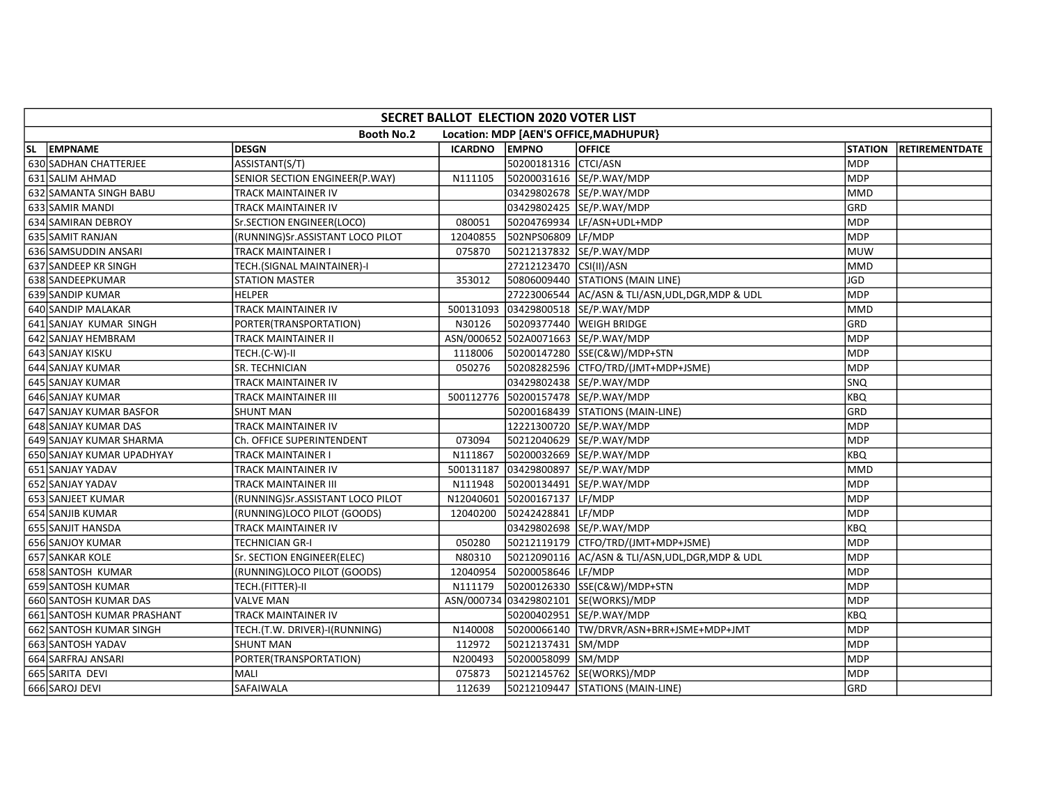| SECRET BALLOT ELECTION 2020 VOTER LIST |                                  |                |                         |                                                   |                |                |  |  |  |
|----------------------------------------|----------------------------------|----------------|-------------------------|---------------------------------------------------|----------------|----------------|--|--|--|
|                                        | <b>Booth No.2</b>                |                |                         | Location: MDP [AEN'S OFFICE, MADHUPUR}            |                |                |  |  |  |
| SL EMPNAME                             | <b>DESGN</b>                     | <b>ICARDNO</b> | <b>EMPNO</b>            | <b>OFFICE</b>                                     | <b>STATION</b> | RETIREMENTDATE |  |  |  |
| 630 SADHAN CHATTERJEE                  | ASSISTANT(S/T)                   |                | 50200181316 CTCI/ASN    |                                                   | <b>MDP</b>     |                |  |  |  |
| 631 SALIM AHMAD                        | SENIOR SECTION ENGINEER(P.WAY)   | N111105        |                         | 50200031616 SE/P.WAY/MDP                          | <b>MDP</b>     |                |  |  |  |
| 632 SAMANTA SINGH BABU                 | TRACK MAINTAINER IV              |                |                         | 03429802678 SE/P.WAY/MDP                          | <b>MMD</b>     |                |  |  |  |
| 633 SAMIR MANDI                        | TRACK MAINTAINER IV              |                |                         | 03429802425 SE/P.WAY/MDP                          | GRD            |                |  |  |  |
| 634 SAMIRAN DEBROY                     | Sr.SECTION ENGINEER(LOCO)        | 080051         |                         | 50204769934 LF/ASN+UDL+MDP                        | <b>MDP</b>     |                |  |  |  |
| 635 SAMIT RANJAN                       | (RUNNING)Sr.ASSISTANT LOCO PILOT | 12040855       | 502NPS06809             | LF/MDP                                            | <b>MDP</b>     |                |  |  |  |
| 636 SAMSUDDIN ANSARI                   | TRACK MAINTAINER I               | 075870         |                         | 50212137832 SE/P.WAY/MDP                          | MUW            |                |  |  |  |
| 637 SANDEEP KR SINGH                   | TECH.(SIGNAL MAINTAINER)-I       |                | 27212123470 CSI(II)/ASN |                                                   | <b>MMD</b>     |                |  |  |  |
| 638 SANDEEPKUMAR                       | <b>STATION MASTER</b>            | 353012         |                         | 50806009440 STATIONS (MAIN LINE)                  | JGD            |                |  |  |  |
| 639 SANDIP KUMAR                       | <b>HELPER</b>                    |                |                         | 27223006544 AC/ASN & TLI/ASN, UDL, DGR, MDP & UDL | MDP            |                |  |  |  |
| 640 SANDIP MALAKAR                     | <b>TRACK MAINTAINER IV</b>       | 500131093      |                         | 03429800518 SE/P.WAY/MDP                          | MMD            |                |  |  |  |
| 641 SANJAY KUMAR SINGH                 | PORTER(TRANSPORTATION)           | N30126         |                         | 50209377440 WEIGH BRIDGE                          | GRD            |                |  |  |  |
| 642 SANJAY HEMBRAM                     | TRACK MAINTAINER II              |                |                         | ASN/000652 502A0071663 SE/P.WAY/MDP               | MDP            |                |  |  |  |
| 643 SANJAY KISKU                       | TECH.(C-W)-II                    | 1118006        |                         | 50200147280 SSE(C&W)/MDP+STN                      | <b>MDP</b>     |                |  |  |  |
| 644 SANJAY KUMAR                       | SR. TECHNICIAN                   | 050276         |                         | 50208282596 CTFO/TRD/(JMT+MDP+JSME)               | <b>MDP</b>     |                |  |  |  |
| 645 SANJAY KUMAR                       | TRACK MAINTAINER IV              |                |                         | 03429802438 SE/P.WAY/MDP                          | SNQ            |                |  |  |  |
| 646 SANJAY KUMAR                       | TRACK MAINTAINER III             |                |                         | 500112776 50200157478 SE/P.WAY/MDP                | KBO            |                |  |  |  |
| 647 SANJAY KUMAR BASFOR                | <b>SHUNT MAN</b>                 |                |                         | 50200168439 STATIONS (MAIN-LINE)                  | GRD            |                |  |  |  |
| 648 SANJAY KUMAR DAS                   | TRACK MAINTAINER IV              |                |                         | 12221300720 SE/P.WAY/MDP                          | <b>MDP</b>     |                |  |  |  |
| 649 SANJAY KUMAR SHARMA                | Ch. OFFICE SUPERINTENDENT        | 073094         |                         | 50212040629 SE/P.WAY/MDP                          | <b>MDP</b>     |                |  |  |  |
| 650 SANJAY KUMAR UPADHYAY              | TRACK MAINTAINER I               | N111867        |                         | 50200032669 SE/P.WAY/MDP                          | KBQ            |                |  |  |  |
| 651 SANJAY YADAV                       | TRACK MAINTAINER IV              |                |                         | 500131187 03429800897 SE/P.WAY/MDP                | <b>MMD</b>     |                |  |  |  |
| 652 SANJAY YADAV                       | TRACK MAINTAINER III             | N111948        |                         | 50200134491 SE/P.WAY/MDP                          | <b>MDP</b>     |                |  |  |  |
| 653 SANJEET KUMAR                      | (RUNNING)Sr.ASSISTANT LOCO PILOT |                | N12040601 50200167137   | LF/MDP                                            | <b>MDP</b>     |                |  |  |  |
| 654 SANJIB KUMAR                       | (RUNNING)LOCO PILOT (GOODS)      | 12040200       | 50242428841             | LF/MDP                                            | <b>MDP</b>     |                |  |  |  |
| 655 SANJIT HANSDA                      | TRACK MAINTAINER IV              |                |                         | 03429802698 SE/P.WAY/MDP                          | KBQ            |                |  |  |  |
| 656 SANJOY KUMAR                       | <b>TECHNICIAN GR-I</b>           | 050280         |                         | 50212119179 CTFO/TRD/(JMT+MDP+JSME)               | MDP            |                |  |  |  |
| 657 SANKAR KOLE                        | Sr. SECTION ENGINEER(ELEC)       | N80310         |                         | 50212090116 AC/ASN & TLI/ASN, UDL, DGR, MDP & UDL | MDP            |                |  |  |  |
| 658 SANTOSH KUMAR                      | (RUNNING)LOCO PILOT (GOODS)      | 12040954       | 50200058646 LF/MDP      |                                                   | MDP            |                |  |  |  |
| 659 SANTOSH KUMAR                      | TECH.(FITTER)-II                 | N111179        |                         | 50200126330 SSE(C&W)/MDP+STN                      | MDP            |                |  |  |  |
| 660 SANTOSH KUMAR DAS                  | <b>VALVE MAN</b>                 |                |                         | ASN/000734 03429802101 SE(WORKS)/MDP              | <b>MDP</b>     |                |  |  |  |
| 661 SANTOSH KUMAR PRASHANT             | TRACK MAINTAINER IV              |                |                         | 50200402951 SE/P.WAY/MDP                          | KBQ            |                |  |  |  |
| 662 SANTOSH KUMAR SINGH                | TECH.(T.W. DRIVER)-I(RUNNING)    | N140008        |                         | 50200066140 TW/DRVR/ASN+BRR+JSME+MDP+JMT          | <b>MDP</b>     |                |  |  |  |
| 663 SANTOSH YADAV                      | <b>SHUNT MAN</b>                 | 112972         | 50212137431 SM/MDP      |                                                   | MDP            |                |  |  |  |
| 664 SARFRAJ ANSARI                     | PORTER(TRANSPORTATION)           | N200493        | 50200058099 SM/MDP      |                                                   | <b>MDP</b>     |                |  |  |  |
| 665 SARITA DEVI                        | MALI                             | 075873         |                         | 50212145762 SE(WORKS)/MDP                         | MDP            |                |  |  |  |
| 666 SAROJ DEVI                         | SAFAIWALA                        | 112639         |                         | 50212109447 STATIONS (MAIN-LINE)                  | GRD            |                |  |  |  |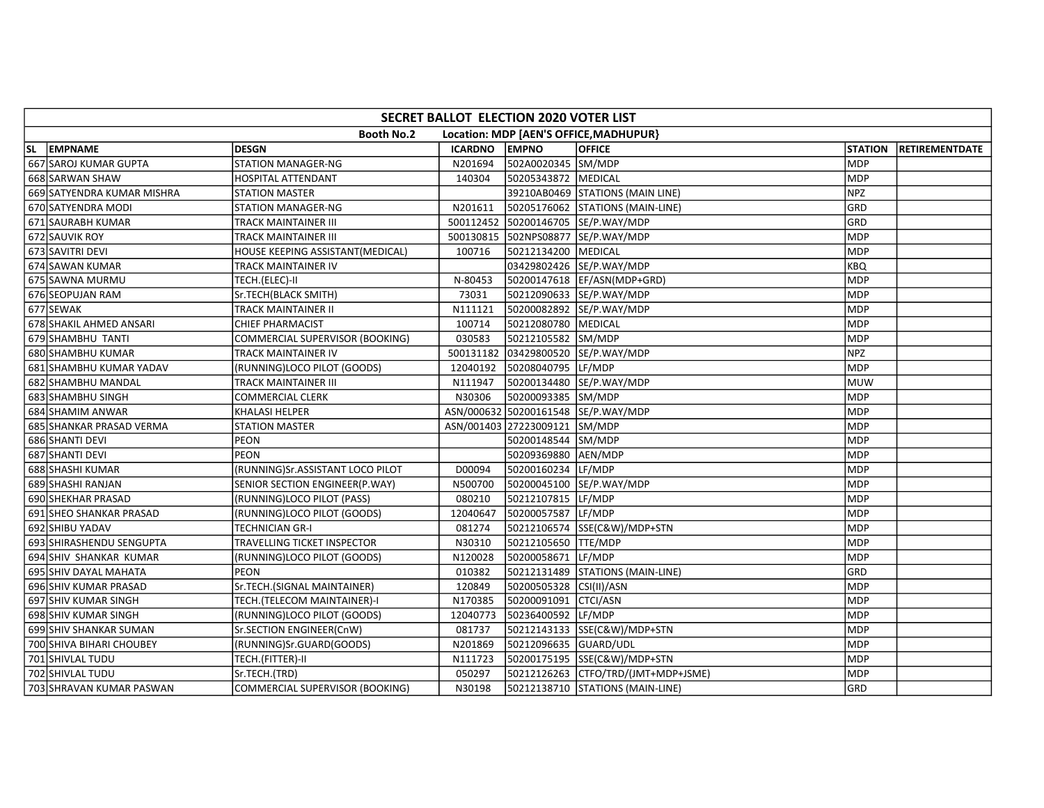| SECRET BALLOT ELECTION 2020 VOTER LIST |                                  |                |                               |                                        |                |                |  |  |  |  |
|----------------------------------------|----------------------------------|----------------|-------------------------------|----------------------------------------|----------------|----------------|--|--|--|--|
|                                        | <b>Booth No.2</b>                |                |                               | Location: MDP [AEN'S OFFICE, MADHUPUR} |                |                |  |  |  |  |
| SL EMPNAME                             | <b>DESGN</b>                     | <b>ICARDNO</b> | <b>EMPNO</b>                  | OFFICE                                 | <b>STATION</b> | RETIREMENTDATE |  |  |  |  |
| 667 SAROJ KUMAR GUPTA                  | <b>STATION MANAGER-NG</b>        | N201694        | 502A0020345 SM/MDP            |                                        | <b>MDP</b>     |                |  |  |  |  |
| 668 SARWAN SHAW                        | HOSPITAL ATTENDANT               | 140304         | 50205343872 MEDICAL           |                                        | <b>MDP</b>     |                |  |  |  |  |
| 669 SATYENDRA KUMAR MISHRA             | STATION MASTER                   |                |                               | 39210AB0469 STATIONS (MAIN LINE)       | <b>NPZ</b>     |                |  |  |  |  |
| 670 SATYENDRA MODI                     | <b>STATION MANAGER-NG</b>        | N201611        |                               | 50205176062 STATIONS (MAIN-LINE)       | GRD            |                |  |  |  |  |
| 671 SAURABH KUMAR                      | TRACK MAINTAINER III             |                |                               | 500112452 50200146705 SE/P.WAY/MDP     | GRD            |                |  |  |  |  |
| 672 SAUVIK ROY                         | TRACK MAINTAINER III             |                |                               | 500130815 502NPS08877 SE/P.WAY/MDP     | <b>MDP</b>     |                |  |  |  |  |
| 673 SAVITRI DEVI                       | HOUSE KEEPING ASSISTANT(MEDICAL) | 100716         | 50212134200 MEDICAL           |                                        | <b>MDP</b>     |                |  |  |  |  |
| 674 SAWAN KUMAR                        | TRACK MAINTAINER IV              |                |                               | 03429802426 SE/P.WAY/MDP               | <b>KBQ</b>     |                |  |  |  |  |
| 675 SAWNA MURMU                        | TECH.(ELEC)-II                   | N-80453        |                               | 50200147618 EF/ASN(MDP+GRD)            | <b>MDP</b>     |                |  |  |  |  |
| 676 SEOPUJAN RAM                       | Sr.TECH(BLACK SMITH)             | 73031          |                               | 50212090633 SE/P.WAY/MDP               | <b>MDP</b>     |                |  |  |  |  |
| 677 SEWAK                              | TRACK MAINTAINER II              | N111121        |                               | 50200082892 SE/P.WAY/MDP               | MDP            |                |  |  |  |  |
| 678 SHAKIL AHMED ANSARI                | CHIEF PHARMACIST                 | 100714         | 50212080780 MEDICAL           |                                        | <b>MDP</b>     |                |  |  |  |  |
| 679 SHAMBHU TANTI                      | COMMERCIAL SUPERVISOR (BOOKING)  | 030583         | 50212105582 SM/MDP            |                                        | MDP            |                |  |  |  |  |
| 680 SHAMBHU KUMAR                      | TRACK MAINTAINER IV              |                |                               | 500131182 03429800520 SE/P.WAY/MDP     | <b>NPZ</b>     |                |  |  |  |  |
| 681 SHAMBHU KUMAR YADAV                | (RUNNING)LOCO PILOT (GOODS)      | 12040192       | 50208040795 LF/MDP            |                                        | MDP            |                |  |  |  |  |
| 682 SHAMBHU MANDAL                     | TRACK MAINTAINER III             | N111947        |                               | 50200134480 SE/P.WAY/MDP               | <b>MUW</b>     |                |  |  |  |  |
| 683 SHAMBHU SINGH                      | <b>COMMERCIAL CLERK</b>          | N30306         | 50200093385 SM/MDP            |                                        | <b>MDP</b>     |                |  |  |  |  |
| 684 SHAMIM ANWAR                       | KHALASI HELPER                   |                |                               | ASN/000632 50200161548 SE/P.WAY/MDP    | <b>MDP</b>     |                |  |  |  |  |
| 685 SHANKAR PRASAD VERMA               | <b>STATION MASTER</b>            |                | ASN/001403 27223009121 SM/MDP |                                        | <b>MDP</b>     |                |  |  |  |  |
| 686 SHANTI DEVI                        | <b>PEON</b>                      |                | 50200148544 SM/MDP            |                                        | <b>MDP</b>     |                |  |  |  |  |
| 687 SHANTI DEVI                        | PEON                             |                | 50209369880                   | AEN/MDP                                | <b>MDP</b>     |                |  |  |  |  |
| 688 SHASHI KUMAR                       | (RUNNING)Sr.ASSISTANT LOCO PILOT | D00094         | 50200160234 LF/MDP            |                                        | <b>MDP</b>     |                |  |  |  |  |
| 689 SHASHI RANJAN                      | SENIOR SECTION ENGINEER(P.WAY)   | N500700        | 50200045100                   | SE/P.WAY/MDP                           | <b>MDP</b>     |                |  |  |  |  |
| 690 SHEKHAR PRASAD                     | (RUNNING)LOCO PILOT (PASS)       | 080210         | 50212107815 LF/MDP            |                                        | <b>MDP</b>     |                |  |  |  |  |
| 691 SHEO SHANKAR PRASAD                | (RUNNING)LOCO PILOT (GOODS)      | 12040647       | 50200057587                   | LF/MDP                                 | <b>MDP</b>     |                |  |  |  |  |
| 692 SHIBU YADAV                        | TECHNICIAN GR-I                  | 081274         |                               | 50212106574 SSE(C&W)/MDP+STN           | <b>MDP</b>     |                |  |  |  |  |
| 693 SHIRASHENDU SENGUPTA               | TRAVELLING TICKET INSPECTOR      | N30310         | 50212105650 TTE/MDP           |                                        | <b>MDP</b>     |                |  |  |  |  |
| 694 SHIV SHANKAR KUMAR                 | (RUNNING)LOCO PILOT (GOODS)      | N120028        | 50200058671 LF/MDP            |                                        | MDP            |                |  |  |  |  |
| 695 SHIV DAYAL MAHATA                  | <b>PEON</b>                      | 010382         |                               | 50212131489 STATIONS (MAIN-LINE)       | GRD            |                |  |  |  |  |
| 696 SHIV KUMAR PRASAD                  | Sr.TECH.(SIGNAL MAINTAINER)      | 120849         | 50200505328                   | CSI(II)/ASN                            | <b>MDP</b>     |                |  |  |  |  |
| 697 SHIV KUMAR SINGH                   | TECH.(TELECOM MAINTAINER)-I      | N170385        | 50200091091 CTCI/ASN          |                                        | MDP            |                |  |  |  |  |
| 698 SHIV KUMAR SINGH                   | (RUNNING)LOCO PILOT (GOODS)      | 12040773       | 50236400592 LF/MDP            |                                        | <b>MDP</b>     |                |  |  |  |  |
| 699 SHIV SHANKAR SUMAN                 | Sr.SECTION ENGINEER(CnW)         | 081737         |                               | 50212143133 SSE(C&W)/MDP+STN           | <b>MDP</b>     |                |  |  |  |  |
| 700 SHIVA BIHARI CHOUBEY               | (RUNNING)Sr.GUARD(GOODS)         | N201869        | 50212096635 GUARD/UDL         |                                        | MDP            |                |  |  |  |  |
| 701 SHIVLAL TUDU                       | TECH.(FITTER)-II                 | N111723        |                               | 50200175195 SSE(C&W)/MDP+STN           | MDP            |                |  |  |  |  |
| 702 SHIVLAL TUDU                       | Sr.TECH.(TRD)                    | 050297         |                               | 50212126263 CTFO/TRD/(JMT+MDP+JSME)    | <b>MDP</b>     |                |  |  |  |  |
| 703 SHRAVAN KUMAR PASWAN               | COMMERCIAL SUPERVISOR (BOOKING)  | N30198         |                               | 50212138710 STATIONS (MAIN-LINE)       | GRD            |                |  |  |  |  |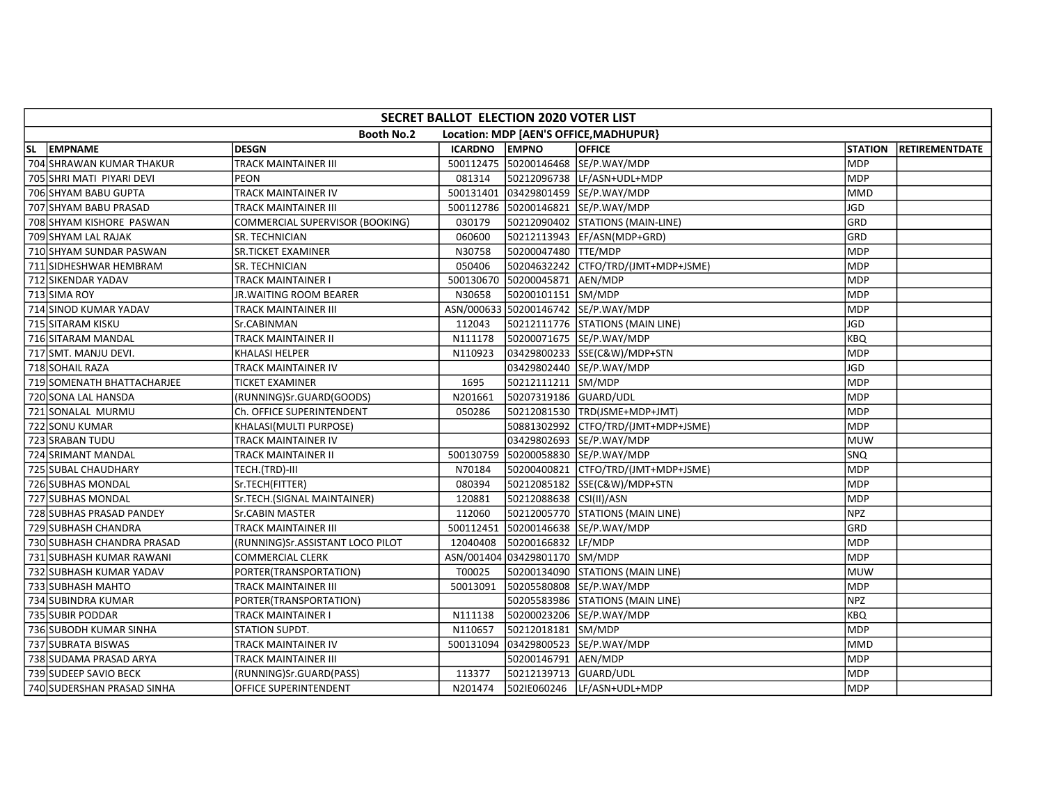| SECRET BALLOT ELECTION 2020 VOTER LIST |                                  |               |                               |                                        |            |                       |  |  |  |  |
|----------------------------------------|----------------------------------|---------------|-------------------------------|----------------------------------------|------------|-----------------------|--|--|--|--|
|                                        | <b>Booth No.2</b>                |               |                               | Location: MDP [AEN'S OFFICE, MADHUPUR} |            |                       |  |  |  |  |
| SL EMPNAME                             | <b>DESGN</b>                     | ICARDNO EMPNO |                               | <b>OFFICE</b>                          | STATION    | <b>RETIREMENTDATE</b> |  |  |  |  |
| 704 SHRAWAN KUMAR THAKUR               | TRACK MAINTAINER III             |               |                               | 500112475 50200146468 SE/P.WAY/MDP     | <b>MDP</b> |                       |  |  |  |  |
| 705 SHRI MATI PIYARI DEVI              | <b>PEON</b>                      | 081314        |                               | 50212096738 LF/ASN+UDL+MDP             | <b>MDP</b> |                       |  |  |  |  |
| 706 SHYAM BABU GUPTA                   | TRACK MAINTAINER IV              |               |                               | 500131401 03429801459 SE/P.WAY/MDP     | <b>MMD</b> |                       |  |  |  |  |
| 707 SHYAM BABU PRASAD                  | TRACK MAINTAINER III             |               |                               | 500112786 50200146821 SE/P.WAY/MDP     | JGD        |                       |  |  |  |  |
| 708 SHYAM KISHORE PASWAN               | COMMERCIAL SUPERVISOR (BOOKING)  | 030179        |                               | 50212090402 STATIONS (MAIN-LINE)       | GRD        |                       |  |  |  |  |
| 709 SHYAM LAL RAJAK                    | SR. TECHNICIAN                   | 060600        |                               | 50212113943 EF/ASN(MDP+GRD)            | GRD        |                       |  |  |  |  |
| 710 SHYAM SUNDAR PASWAN                | <b>SR.TICKET EXAMINER</b>        | N30758        | 50200047480 TTE/MDP           |                                        | <b>MDP</b> |                       |  |  |  |  |
| 711 SIDHESHWAR HEMBRAM                 | SR. TECHNICIAN                   | 050406        |                               |                                        | <b>MDP</b> |                       |  |  |  |  |
| 712 SIKENDAR YADAV                     | TRACK MAINTAINER I               |               | 500130670 50200045871 AEN/MDP |                                        | <b>MDP</b> |                       |  |  |  |  |
| 713 SIMA ROY                           | JR.WAITING ROOM BEARER           | N30658        | 50200101151 SM/MDP            |                                        | <b>MDP</b> |                       |  |  |  |  |
| 714 SINOD KUMAR YADAV                  | TRACK MAINTAINER III             |               |                               | ASN/000633 50200146742 SE/P.WAY/MDP    | <b>MDP</b> |                       |  |  |  |  |
| 715 SITARAM KISKU                      | Sr.CABINMAN                      | 112043        |                               | 50212111776 STATIONS (MAIN LINE)       | <b>JGD</b> |                       |  |  |  |  |
| 716 SITARAM MANDAL                     | <b>TRACK MAINTAINER II</b>       | N111178       |                               | 50200071675 SE/P.WAY/MDP               | <b>KBQ</b> |                       |  |  |  |  |
| 717 SMT. MANJU DEVI.                   | KHALASI HELPER                   | N110923       |                               | 03429800233 SSE(C&W)/MDP+STN           | <b>MDP</b> |                       |  |  |  |  |
| 718 SOHAIL RAZA                        | TRACK MAINTAINER IV              |               |                               | 03429802440 SE/P.WAY/MDP               | <b>JGD</b> |                       |  |  |  |  |
| 719 SOMENATH BHATTACHARJEE             | TICKET EXAMINER                  | 1695          | 50212111211 SM/MDP            |                                        | <b>MDP</b> |                       |  |  |  |  |
| 720 SONA LAL HANSDA                    | (RUNNING)Sr.GUARD(GOODS)         | N201661       | 50207319186 GUARD/UDL         |                                        | <b>MDP</b> |                       |  |  |  |  |
| 721 SONALAL MURMU                      | Ch. OFFICE SUPERINTENDENT        | 050286        |                               | 50212081530 TRD(JSME+MDP+JMT)          | MDP        |                       |  |  |  |  |
| 722 SONU KUMAR                         | KHALASI(MULTI PURPOSE)           |               |                               | 50881302992 CTFO/TRD/(JMT+MDP+JSME)    | <b>MDP</b> |                       |  |  |  |  |
| 723 SRABAN TUDU                        | TRACK MAINTAINER IV              |               |                               | 03429802693 SE/P.WAY/MDP               | MUW        |                       |  |  |  |  |
| 724 SRIMANT MANDAL                     | TRACK MAINTAINER II              | 500130759     |                               | 50200058830 SE/P.WAY/MDP               | SNQ        |                       |  |  |  |  |
| 725 SUBAL CHAUDHARY                    | TECH.(TRD)-III                   | N70184        |                               | 50200400821 CTFO/TRD/(JMT+MDP+JSME)    | <b>MDP</b> |                       |  |  |  |  |
| 726 SUBHAS MONDAL                      | Sr.TECH(FITTER)                  | 080394        |                               | 50212085182 SSE(C&W)/MDP+STN           | <b>MDP</b> |                       |  |  |  |  |
| 727 SUBHAS MONDAL                      | Sr.TECH.(SIGNAL MAINTAINER)      | 120881        | 50212088638 CSI(II)/ASN       |                                        | <b>MDP</b> |                       |  |  |  |  |
| 728 SUBHAS PRASAD PANDEY               | <b>Sr.CABIN MASTER</b>           | 112060        |                               | 50212005770 STATIONS (MAIN LINE)       | NPZ        |                       |  |  |  |  |
| 729 SUBHASH CHANDRA                    | TRACK MAINTAINER III             |               |                               | 500112451 50200146638 SE/P.WAY/MDP     | GRD        |                       |  |  |  |  |
| 730 SUBHASH CHANDRA PRASAD             | (RUNNING)Sr.ASSISTANT LOCO PILOT | 12040408      | 50200166832 LF/MDP            |                                        | <b>MDP</b> |                       |  |  |  |  |
| 731 SUBHASH KUMAR RAWANI               | COMMERCIAL CLERK                 |               | ASN/001404 03429801170 SM/MDP |                                        | <b>MDP</b> |                       |  |  |  |  |
| 732 SUBHASH KUMAR YADAV                | PORTER(TRANSPORTATION)           | T00025        |                               | 50200134090 STATIONS (MAIN LINE)       | <b>MUW</b> |                       |  |  |  |  |
| 733 SUBHASH MAHTO                      | TRACK MAINTAINER III             | 50013091      |                               | 50205580808 SE/P.WAY/MDP               | <b>MDP</b> |                       |  |  |  |  |
| 734 SUBINDRA KUMAR                     | PORTER(TRANSPORTATION)           |               |                               | 50205583986 STATIONS (MAIN LINE)       | <b>NPZ</b> |                       |  |  |  |  |
| 735 SUBIR PODDAR                       | TRACK MAINTAINER I               | N111138       |                               | 50200023206 SE/P.WAY/MDP               | KBQ        |                       |  |  |  |  |
| 736 SUBODH KUMAR SINHA                 | STATION SUPDT.                   | N110657       | 50212018181 SM/MDP            |                                        | <b>MDP</b> |                       |  |  |  |  |
| 737 SUBRATA BISWAS                     | TRACK MAINTAINER IV              | 500131094     |                               | 03429800523 SE/P.WAY/MDP               | <b>MMD</b> |                       |  |  |  |  |
| 738 SUDAMA PRASAD ARYA                 | TRACK MAINTAINER III             |               | 50200146791                   | AEN/MDP                                | MDP        |                       |  |  |  |  |
| 739 SUDEEP SAVIO BECK                  | (RUNNING)Sr.GUARD(PASS)          | 113377        | 50212139713 GUARD/UDL         |                                        | <b>MDP</b> |                       |  |  |  |  |
| 740 SUDERSHAN PRASAD SINHA             | OFFICE SUPERINTENDENT            | N201474       |                               | 5021E060246  LF/ASN+UDL+MDP            | <b>MDP</b> |                       |  |  |  |  |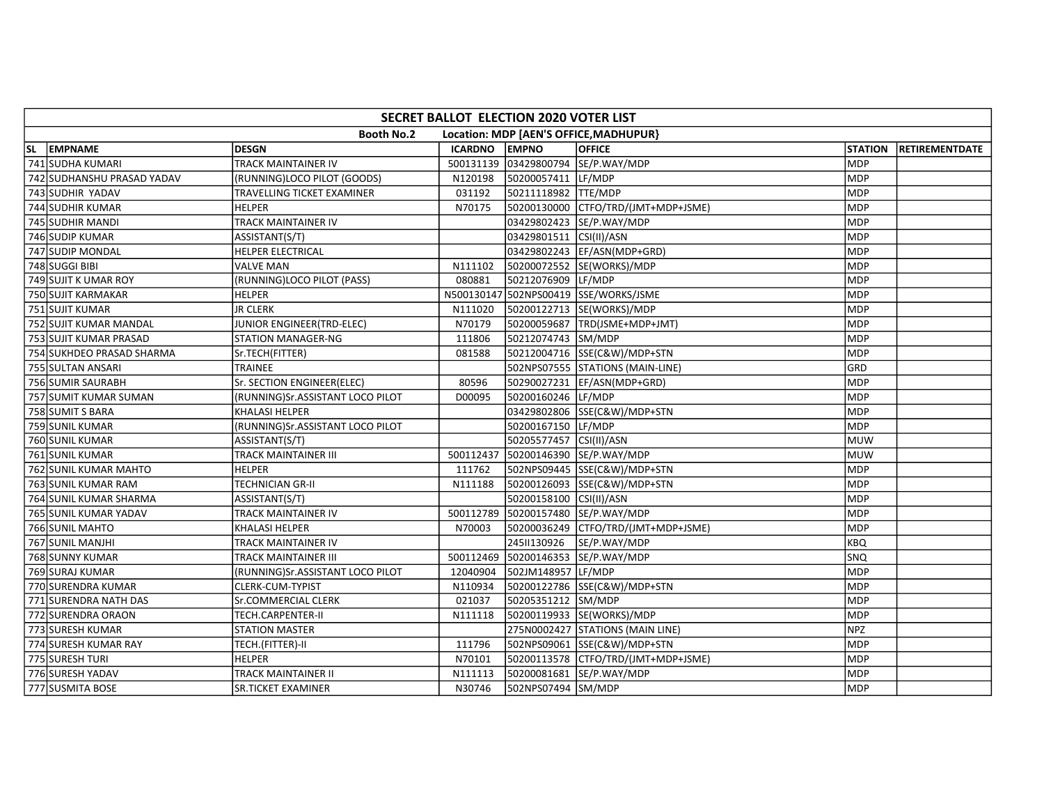| SECRET BALLOT ELECTION 2020 VOTER LIST |                                  |           |                         |                                        |                |                |  |  |  |
|----------------------------------------|----------------------------------|-----------|-------------------------|----------------------------------------|----------------|----------------|--|--|--|
|                                        | <b>Booth No.2</b>                |           |                         | Location: MDP [AEN'S OFFICE, MADHUPUR] |                |                |  |  |  |
| SL EMPNAME                             | <b>DESGN</b>                     | ICARDNO   | <b>EMPNO</b>            | <b>OFFICE</b>                          | <b>STATION</b> | RETIREMENTDATE |  |  |  |
| 741 SUDHA KUMARI                       | <b>TRACK MAINTAINER IV</b>       |           |                         | 500131139 03429800794 SE/P.WAY/MDP     | <b>MDP</b>     |                |  |  |  |
| 742 SUDHANSHU PRASAD YADAV             | (RUNNING)LOCO PILOT (GOODS)      | N120198   | 50200057411 LF/MDP      |                                        | <b>MDP</b>     |                |  |  |  |
| 743 SUDHIR YADAV                       | TRAVELLING TICKET EXAMINER       | 031192    | 50211118982 TTE/MDP     |                                        | MDP            |                |  |  |  |
| 744 SUDHIR KUMAR                       | <b>HELPER</b>                    | N70175    |                         | 50200130000 CTFO/TRD/(JMT+MDP+JSME)    | MDP            |                |  |  |  |
| 745 SUDHIR MANDI                       | TRACK MAINTAINER IV              |           |                         | 03429802423 SE/P.WAY/MDP               | MDP            |                |  |  |  |
| 746 SUDIP KUMAR                        | ASSISTANT(S/T)                   |           | 03429801511 CSI(II)/ASN |                                        | MDP            |                |  |  |  |
| 747 SUDIP MONDAL                       | <b>HELPER ELECTRICAL</b>         |           |                         | 03429802243 EF/ASN(MDP+GRD)            | MDP            |                |  |  |  |
| 748 SUGGI BIBI                         | <b>VALVE MAN</b>                 | N111102   |                         | 50200072552 SE(WORKS)/MDP              | <b>MDP</b>     |                |  |  |  |
| 749 SUJIT K UMAR ROY                   | (RUNNING)LOCO PILOT (PASS)       | 080881    | 50212076909 LF/MDP      |                                        | <b>MDP</b>     |                |  |  |  |
| 750 SUJIT KARMAKAR                     | <b>HELPER</b>                    |           |                         | N500130147 502NPS00419 SSE/WORKS/JSME  | MDP            |                |  |  |  |
| 751 SUJIT KUMAR                        | <b>JR CLERK</b>                  | N111020   |                         | 50200122713 SE(WORKS)/MDP              | MDP            |                |  |  |  |
| 752 SUJIT KUMAR MANDAL                 | JUNIOR ENGINEER(TRD-ELEC)        | N70179    |                         | 50200059687  TRD(JSME+MDP+JMT)         | <b>MDP</b>     |                |  |  |  |
| 753 SUJIT KUMAR PRASAD                 | <b>STATION MANAGER-NG</b>        | 111806    | 50212074743 SM/MDP      |                                        | MDP            |                |  |  |  |
| 754 SUKHDEO PRASAD SHARMA              | Sr.TECH(FITTER)                  | 081588    |                         | 50212004716 SSE(C&W)/MDP+STN           | MDP            |                |  |  |  |
| 755 SULTAN ANSARI                      | TRAINEE                          |           |                         | 502NPS07555 STATIONS (MAIN-LINE)       | GRD            |                |  |  |  |
| 756 SUMIR SAURABH                      | Sr. SECTION ENGINEER(ELEC)       | 80596     |                         | 50290027231 EF/ASN(MDP+GRD)            | MDP            |                |  |  |  |
| 757 SUMIT KUMAR SUMAN                  | (RUNNING)Sr.ASSISTANT LOCO PILOT | D00095    | 50200160246 LF/MDP      |                                        | <b>MDP</b>     |                |  |  |  |
| 758 SUMITS BARA                        | <b>KHALASI HELPER</b>            |           |                         | 03429802806 SSE(C&W)/MDP+STN           | MDP            |                |  |  |  |
| 759 SUNIL KUMAR                        | (RUNNING)Sr.ASSISTANT LOCO PILOT |           | 50200167150 LF/MDP      |                                        | MDP            |                |  |  |  |
| 760 SUNIL KUMAR                        | ASSISTANT(S/T)                   |           | 50205577457 CSI(II)/ASN |                                        | <b>MUW</b>     |                |  |  |  |
| 761 SUNIL KUMAR                        | <b>TRACK MAINTAINER III</b>      | 500112437 |                         | 50200146390 SE/P.WAY/MDP               | MUW            |                |  |  |  |
| 762 SUNIL KUMAR MAHTO                  | <b>HELPER</b>                    | 111762    |                         | 502NPS09445 SSE(C&W)/MDP+STN           | <b>MDP</b>     |                |  |  |  |
| 763 SUNIL KUMAR RAM                    | TECHNICIAN GR-II                 | N111188   |                         | 50200126093 SSE(C&W)/MDP+STN           | <b>MDP</b>     |                |  |  |  |
| 764 SUNIL KUMAR SHARMA                 | ASSISTANT(S/T)                   |           | 50200158100 CSI(II)/ASN |                                        | MDP            |                |  |  |  |
| 765 SUNIL KUMAR YADAV                  | TRACK MAINTAINER IV              |           |                         | 500112789 50200157480 SE/P.WAY/MDP     | <b>MDP</b>     |                |  |  |  |
| 766 SUNIL MAHTO                        | <b>KHALASI HELPER</b>            | N70003    |                         |                                        | <b>MDP</b>     |                |  |  |  |
| 767 SUNIL MANJHI                       | <b>TRACK MAINTAINER IV</b>       |           | 2451130926              | SE/P.WAY/MDP                           | KBQ            |                |  |  |  |
| 768 SUNNY KUMAR                        | TRACK MAINTAINER III             | 500112469 |                         | 50200146353 SE/P.WAY/MDP               | SNQ            |                |  |  |  |
| 769 SURAJ KUMAR                        | (RUNNING)Sr.ASSISTANT LOCO PILOT | 12040904  | 502JM148957 LF/MDP      |                                        | MDP            |                |  |  |  |
| 770 SURENDRA KUMAR                     | CLERK-CUM-TYPIST                 | N110934   |                         | 50200122786 SSE(C&W)/MDP+STN           | MDP            |                |  |  |  |
| 771 SURENDRA NATH DAS                  | Sr.COMMERCIAL CLERK              | 021037    | 50205351212 SM/MDP      |                                        | MDP            |                |  |  |  |
| 772 SURENDRA ORAON                     | <b>TECH.CARPENTER-II</b>         | N111118   |                         | 50200119933 SE(WORKS)/MDP              | <b>MDP</b>     |                |  |  |  |
| 773 SURESH KUMAR                       | <b>STATION MASTER</b>            |           |                         | 275N0002427 STATIONS (MAIN LINE)       | <b>NPZ</b>     |                |  |  |  |
| 774 SURESH KUMAR RAY                   | TECH.(FITTER)-II                 | 111796    |                         | 502NPS09061 SSE(C&W)/MDP+STN           | MDP            |                |  |  |  |
| 775 SURESH TURI                        | <b>HELPER</b>                    | N70101    |                         | 50200113578 CTFO/TRD/(JMT+MDP+JSME)    | MDP            |                |  |  |  |
| 776 SURESH YADAV                       | TRACK MAINTAINER II              | N111113   |                         | 50200081681 SE/P.WAY/MDP               | <b>MDP</b>     |                |  |  |  |
| 777 SUSMITA BOSE                       | <b>SR.TICKET EXAMINER</b>        | N30746    | 502NPS07494 SM/MDP      |                                        | MDP            |                |  |  |  |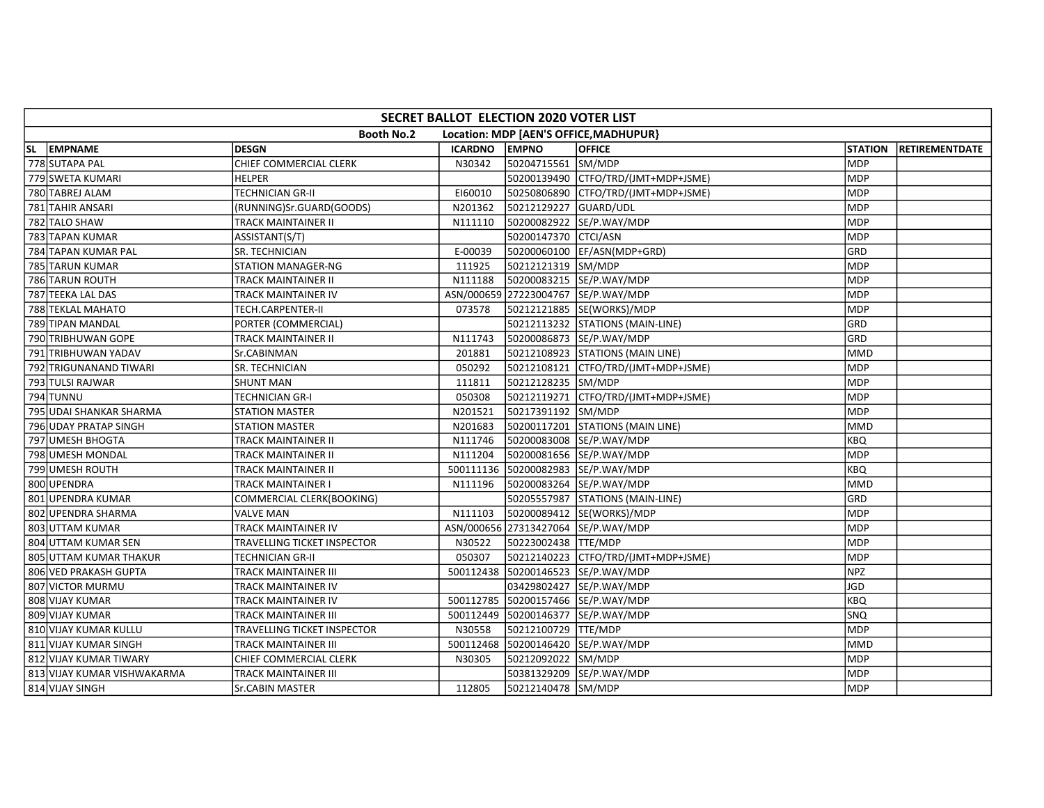| SECRET BALLOT ELECTION 2020 VOTER LIST |                             |               |                       |                                        |                |                       |  |  |  |  |
|----------------------------------------|-----------------------------|---------------|-----------------------|----------------------------------------|----------------|-----------------------|--|--|--|--|
|                                        | <b>Booth No.2</b>           |               |                       | Location: MDP [AEN'S OFFICE, MADHUPUR} |                |                       |  |  |  |  |
| SL EMPNAME                             | <b>DESGN</b>                | ICARDNO EMPNO |                       | <b>OFFICE</b>                          | <b>STATION</b> | <b>RETIREMENTDATE</b> |  |  |  |  |
| 778 SUTAPA PAL                         | CHIEF COMMERCIAL CLERK      | N30342        | 50204715561 SM/MDP    |                                        | <b>MDP</b>     |                       |  |  |  |  |
| 779 SWETA KUMARI                       | HELPER                      |               |                       |                                        | <b>MDP</b>     |                       |  |  |  |  |
| 780 TABREJ ALAM                        | TECHNICIAN GR-II            | E160010       |                       | 50250806890 CTFO/TRD/(JMT+MDP+JSME)    | <b>MDP</b>     |                       |  |  |  |  |
| 781 TAHIR ANSARI                       | (RUNNING)Sr.GUARD(GOODS)    | N201362       | 50212129227 GUARD/UDL |                                        | <b>MDP</b>     |                       |  |  |  |  |
| 782 TALO SHAW                          | TRACK MAINTAINER II         | N111110       |                       | 50200082922 SE/P.WAY/MDP               | <b>MDP</b>     |                       |  |  |  |  |
| 783 TAPAN KUMAR                        | ASSISTANT(S/T)              |               | 50200147370 CTCI/ASN  |                                        | <b>MDP</b>     |                       |  |  |  |  |
| 784 TAPAN KUMAR PAL                    | SR. TECHNICIAN              | E-00039       |                       | 50200060100 EF/ASN(MDP+GRD)            | GRD            |                       |  |  |  |  |
| 785 TARUN KUMAR                        | STATION MANAGER-NG          | 111925        | 50212121319 SM/MDP    |                                        | <b>MDP</b>     |                       |  |  |  |  |
| 786 TARUN ROUTH                        | TRACK MAINTAINER II         | N111188       |                       | 50200083215 SE/P.WAY/MDP               | <b>MDP</b>     |                       |  |  |  |  |
| 787 TEEKA LAL DAS                      | TRACK MAINTAINER IV         |               |                       | ASN/000659 27223004767 SE/P.WAY/MDP    | <b>MDP</b>     |                       |  |  |  |  |
| 788 TEKLAL MAHATO                      | TECH.CARPENTER-II           | 073578        |                       | 50212121885 SE(WORKS)/MDP              | MDP            |                       |  |  |  |  |
| 789 TIPAN MANDAL                       | PORTER (COMMERCIAL)         |               |                       | 50212113232 STATIONS (MAIN-LINE)       | GRD            |                       |  |  |  |  |
| 790 TRIBHUWAN GOPE                     | TRACK MAINTAINER II         | N111743       |                       | 50200086873 SE/P.WAY/MDP               | GRD            |                       |  |  |  |  |
| 791 TRIBHUWAN YADAV                    | Sr.CABINMAN                 | 201881        |                       | 50212108923 STATIONS (MAIN LINE)       | <b>MMD</b>     |                       |  |  |  |  |
| 792 TRIGUNANAND TIWARI                 | SR. TECHNICIAN              | 050292        |                       | 50212108121 CTFO/TRD/(JMT+MDP+JSME)    | MDP            |                       |  |  |  |  |
| 793 TULSI RAJWAR                       | SHUNT MAN                   | 111811        | 50212128235 SM/MDP    |                                        | <b>MDP</b>     |                       |  |  |  |  |
| 794 TUNNU                              | <b>TECHNICIAN GR-I</b>      | 050308        |                       | 50212119271 CTFO/TRD/(JMT+MDP+JSME)    | <b>MDP</b>     |                       |  |  |  |  |
| 795 UDAI SHANKAR SHARMA                | <b>STATION MASTER</b>       | N201521       | 50217391192 SM/MDP    |                                        | MDP            |                       |  |  |  |  |
| 796 UDAY PRATAP SINGH                  | <b>STATION MASTER</b>       | N201683       |                       | 50200117201 STATIONS (MAIN LINE)       | <b>MMD</b>     |                       |  |  |  |  |
| 797 UMESH BHOGTA                       | <b>TRACK MAINTAINER II</b>  | N111746       |                       | 50200083008 SE/P.WAY/MDP               | <b>KBQ</b>     |                       |  |  |  |  |
| 798 UMESH MONDAL                       | <b>TRACK MAINTAINER II</b>  | N111204       |                       | 50200081656 SE/P.WAY/MDP               | <b>MDP</b>     |                       |  |  |  |  |
| 799 UMESH ROUTH                        | TRACK MAINTAINER II         |               |                       | 500111136 50200082983 SE/P.WAY/MDP     | <b>KBQ</b>     |                       |  |  |  |  |
| 800 UPENDRA                            | TRACK MAINTAINER I          | N111196       |                       | 50200083264  SE/P.WAY/MDP              | <b>MMD</b>     |                       |  |  |  |  |
| 801 UPENDRA KUMAR                      | COMMERCIAL CLERK(BOOKING)   |               |                       | 50205557987 STATIONS (MAIN-LINE)       | GRD            |                       |  |  |  |  |
| 802 UPENDRA SHARMA                     | <b>VALVE MAN</b>            | N111103       |                       | 50200089412 SE(WORKS)/MDP              | <b>MDP</b>     |                       |  |  |  |  |
| 803 UTTAM KUMAR                        | TRACK MAINTAINER IV         |               |                       | ASN/000656 27313427064 SE/P.WAY/MDP    | <b>MDP</b>     |                       |  |  |  |  |
| 804 UTTAM KUMAR SEN                    | TRAVELLING TICKET INSPECTOR | N30522        | 50223002438 TTE/MDP   |                                        | <b>MDP</b>     |                       |  |  |  |  |
| 805 UTTAM KUMAR THAKUR                 | TECHNICIAN GR-II            | 050307        |                       | 50212140223 CTFO/TRD/(JMT+MDP+JSME)    | MDP            |                       |  |  |  |  |
| 806 VED PRAKASH GUPTA                  | TRACK MAINTAINER III        |               |                       | 500112438 50200146523 SE/P.WAY/MDP     | NPZ            |                       |  |  |  |  |
| 807 VICTOR MURMU                       | TRACK MAINTAINER IV         |               |                       | 03429802427 SE/P.WAY/MDP               | <b>JGD</b>     |                       |  |  |  |  |
| 808 VIJAY KUMAR                        | TRACK MAINTAINER IV         |               |                       | 500112785 50200157466 SE/P.WAY/MDP     | <b>KBQ</b>     |                       |  |  |  |  |
| 809 VIJAY KUMAR                        | TRACK MAINTAINER III        |               |                       | 500112449 50200146377 SE/P.WAY/MDP     | <b>SNQ</b>     |                       |  |  |  |  |
| 810 VIJAY KUMAR KULLU                  | TRAVELLING TICKET INSPECTOR | N30558        | 50212100729 TTE/MDP   |                                        | <b>MDP</b>     |                       |  |  |  |  |
| 811 VIJAY KUMAR SINGH                  | TRACK MAINTAINER III        |               |                       | 500112468 50200146420 SE/P.WAY/MDP     | <b>MMD</b>     |                       |  |  |  |  |
| 812 VIJAY KUMAR TIWARY                 | CHIEF COMMERCIAL CLERK      | N30305        | 50212092022 SM/MDP    |                                        | <b>MDP</b>     |                       |  |  |  |  |
| 813 VIJAY KUMAR VISHWAKARMA            | TRACK MAINTAINER III        |               |                       | 50381329209 SE/P.WAY/MDP               | <b>MDP</b>     |                       |  |  |  |  |
| 814 VIJAY SINGH                        | Sr.CABIN MASTER             | 112805        | 50212140478 SM/MDP    |                                        | MDP            |                       |  |  |  |  |